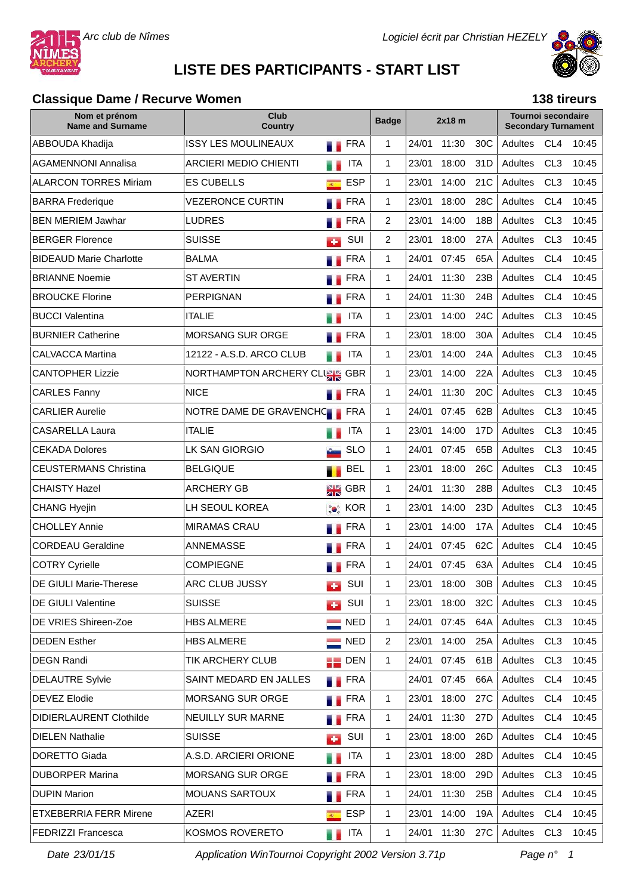



# **LISTE DES PARTICIPANTS - START LIST**

#### **Classique Dame / Recurve Women**

|  |  | 138 tireurs |
|--|--|-------------|
|--|--|-------------|

| Nom et prénom<br><b>Name and Surname</b> | Club<br>Country              |                  |                    | <b>Badge</b>   |       | $2x18$ m    |                 | Tournoi secondaire<br><b>Secondary Turnament</b> |                 |       |
|------------------------------------------|------------------------------|------------------|--------------------|----------------|-------|-------------|-----------------|--------------------------------------------------|-----------------|-------|
| ABBOUDA Khadija                          | <b>ISSY LES MOULINEAUX</b>   |                  | FRA                | $\mathbf{1}$   | 24/01 | 11:30       | 30C             | <b>Adultes</b>                                   | CL <sub>4</sub> | 10:45 |
| AGAMENNONI Annalisa                      | <b>ARCIERI MEDIO CHIENTI</b> |                  | <b>ITA</b>         | $\mathbf 1$    | 23/01 | 18:00       | 31D             | Adultes                                          | CL <sub>3</sub> | 10:45 |
| <b>ALARCON TORRES Miriam</b>             | <b>ES CUBELLS</b>            | $\overline{R}$   | <b>ESP</b>         | $\mathbf{1}$   | 23/01 | 14:00       | 21C             | Adultes                                          | CL <sub>3</sub> | 10:45 |
| <b>BARRA</b> Frederique                  | <b>VEZERONCE CURTIN</b>      |                  | FRA                | $\mathbf{1}$   | 23/01 | 18:00       | 28C             | Adultes                                          | CL <sub>4</sub> | 10:45 |
| <b>BEN MERIEM Jawhar</b>                 | <b>LUDRES</b>                |                  | <b>FRA</b>         | $\overline{2}$ | 23/01 | 14:00       | 18B             | Adultes                                          | CL <sub>3</sub> | 10:45 |
| <b>BERGER Florence</b>                   | <b>SUISSE</b>                | <b>Jan</b>       | SUI                | $\overline{2}$ | 23/01 | 18:00       | 27A             | Adultes                                          | CL <sub>3</sub> | 10:45 |
| <b>BIDEAUD Marie Charlotte</b>           | <b>BALMA</b>                 |                  | <b>FRA</b>         | $\mathbf 1$    | 24/01 | 07:45       | 65A             | Adultes                                          | CL <sub>4</sub> | 10:45 |
| <b>BRIANNE Noemie</b>                    | <b>ST AVERTIN</b>            |                  | FRA                | $\mathbf 1$    | 24/01 | 11:30       | 23B             | Adultes                                          | CL <sub>4</sub> | 10:45 |
| <b>BROUCKE Florine</b>                   | <b>PERPIGNAN</b>             |                  | <b>FRA</b>         | $\mathbf{1}$   | 24/01 | 11:30       | 24B             | Adultes                                          | CL <sub>4</sub> | 10:45 |
| <b>BUCCI Valentina</b>                   | <b>ITALIE</b>                |                  | <b>ITA</b>         | $\mathbf{1}$   | 23/01 | 14:00       | 24C             | Adultes                                          | CL <sub>3</sub> | 10:45 |
| <b>BURNIER Catherine</b>                 | <b>MORSANG SUR ORGE</b>      |                  | <b>FRA</b>         | $\mathbf{1}$   | 23/01 | 18:00       | 30A             | Adultes                                          | CL <sub>4</sub> | 10:45 |
| <b>CALVACCA Martina</b>                  | 12122 - A.S.D. ARCO CLUB     |                  | <b>ITA</b>         | $\mathbf{1}$   | 23/01 | 14:00       | 24A             | Adultes                                          | CL <sub>3</sub> | 10:45 |
| <b>CANTOPHER Lizzie</b>                  | NORTHAMPTON ARCHERY CLUSE    |                  | <b>GBR</b>         | $\mathbf{1}$   | 23/01 | 14:00       | 22A             | Adultes                                          | CL <sub>3</sub> | 10:45 |
| <b>CARLES Fanny</b>                      | <b>NICE</b>                  | .,               | FRA                | $\mathbf 1$    | 24/01 | 11:30       | 20C             | Adultes                                          | CL <sub>3</sub> | 10:45 |
| <b>CARLIER Aurelie</b>                   | NOTRE DAME DE GRAVENCHO      |                  | FRA                | $\mathbf 1$    | 24/01 | 07:45       | 62B             | Adultes                                          | CL <sub>3</sub> | 10:45 |
| CASARELLA Laura                          | <b>ITALIE</b>                |                  | <b>ITA</b>         | $\mathbf{1}$   | 23/01 | 14:00       | 17 <sub>D</sub> | Adultes                                          | CL <sub>3</sub> | 10:45 |
| <b>CEKADA Dolores</b>                    | LK SAN GIORGIO               |                  | <b>SLO</b>         | $\mathbf{1}$   | 24/01 | 07:45       | 65B             | Adultes                                          | CL <sub>3</sub> | 10:45 |
| <b>CEUSTERMANS Christina</b>             | <b>BELGIQUE</b>              |                  | <b>BEL</b>         | $\mathbf 1$    | 23/01 | 18:00       | 26C             | Adultes                                          | CL <sub>3</sub> | 10:45 |
| <b>CHAISTY Hazel</b>                     | <b>ARCHERY GB</b>            | N K<br>M R       | <b>GBR</b>         | $\mathbf{1}$   | 24/01 | 11:30       | 28B             | Adultes                                          | CL <sub>3</sub> | 10:45 |
| <b>CHANG Hyejin</b>                      | LH SEOUL KOREA               |                  | <b>Co</b> KOR      | $\mathbf 1$    | 23/01 | 14:00       | 23D             | Adultes                                          | CL <sub>3</sub> | 10:45 |
| <b>CHOLLEY Annie</b>                     | <b>MIRAMAS CRAU</b>          |                  | <b>FRA</b>         | $\mathbf{1}$   | 23/01 | 14:00       | 17A             | Adultes                                          | CL <sub>4</sub> | 10:45 |
| <b>CORDEAU Geraldine</b>                 | ANNEMASSE                    |                  | FRA                | $\mathbf 1$    | 24/01 | 07:45       | 62C             | Adultes                                          | CL <sub>4</sub> | 10:45 |
| <b>COTRY Cyrielle</b>                    | <b>COMPIEGNE</b>             | . .              | FRA                | $\mathbf 1$    | 24/01 | 07:45       | 63A             | Adultes                                          | CL <sub>4</sub> | 10:45 |
| DE GIULI Marie-Therese                   | ARC CLUB JUSSY               |                  | SUI                | $\mathbf{1}$   |       | 23/01 18:00 | 30B             | Adultes CL3                                      |                 | 10:45 |
| <b>DE GIULI Valentine</b>                | <b>SUISSE</b>                | <b>A</b>         | SUI                | $\mathbf{1}$   | 23/01 | 18:00       | 32C             | Adultes                                          | CL <sub>3</sub> | 10:45 |
| DE VRIES Shireen-Zoe                     | <b>HBS ALMERE</b>            |                  | $\equiv$ NED       | $\mathbf 1$    | 24/01 | 07:45       | 64A             | Adultes                                          | CL <sub>3</sub> | 10:45 |
| <b>DEDEN Esther</b>                      | <b>HBS ALMERE</b>            |                  | $\blacksquare$ NED | 2              | 23/01 | 14:00       | 25A             | Adultes                                          | CL <sub>3</sub> | 10:45 |
| <b>DEGN Randi</b>                        | <b>TIK ARCHERY CLUB</b>      |                  | $\blacksquare$ DEN | $\mathbf{1}$   | 24/01 | 07:45       | 61B             | Adultes                                          | CL <sub>3</sub> | 10:45 |
| <b>DELAUTRE Sylvie</b>                   | SAINT MEDARD EN JALLES       |                  | <b>N</b> FRA       |                | 24/01 | 07:45       | 66A             | Adultes                                          | CL <sub>4</sub> | 10:45 |
| DEVEZ Elodie                             | <b>MORSANG SUR ORGE</b>      |                  | <b>TERA</b>        | $\mathbf{1}$   | 23/01 | 18:00       | 27C             | Adultes                                          | CL <sub>4</sub> | 10:45 |
| <b>DIDIERLAURENT Clothilde</b>           | NEUILLY SUR MARNE            |                  | <b>TERA</b>        | $\mathbf 1$    | 24/01 | 11:30       | 27D             | Adultes                                          | CL <sub>4</sub> | 10:45 |
| <b>DIELEN Nathalie</b>                   | <b>SUISSE</b>                | <b>CO</b>        | SUI                | $\mathbf 1$    | 23/01 | 18:00       | 26D             | Adultes                                          | CL <sub>4</sub> | 10:45 |
| DORETTO Giada                            | A.S.D. ARCIERI ORIONE        | e e              | ITA                | $\mathbf{1}$   | 23/01 | 18:00       | 28D             | Adultes                                          | CL <sub>4</sub> | 10:45 |
| <b>DUBORPER Marina</b>                   | <b>MORSANG SUR ORGE</b>      |                  | <b>FRA</b>         | $\mathbf{1}$   | 23/01 | 18:00       | 29D             | Adultes                                          | CL <sub>3</sub> | 10:45 |
| <b>DUPIN Marion</b>                      | <b>MOUANS SARTOUX</b>        |                  | <b>Exercise</b>    | $\mathbf 1$    | 24/01 | 11:30       | 25B             | Adultes                                          | CL <sub>4</sub> | 10:45 |
| <b>ETXEBERRIA FERR Mirene</b>            | AZERI                        | $\overline{R}$ . | ESP                | $\mathbf{1}$   | 23/01 | 14:00       | 19A             | Adultes                                          | CL <sub>4</sub> | 10:45 |
| FEDRIZZI Francesca                       | KOSMOS ROVERETO              |                  | <b>THE ITA</b>     | $\mathbf{1}$   | 24/01 | 11:30       | 27C             | Adultes CL3                                      |                 | 10:45 |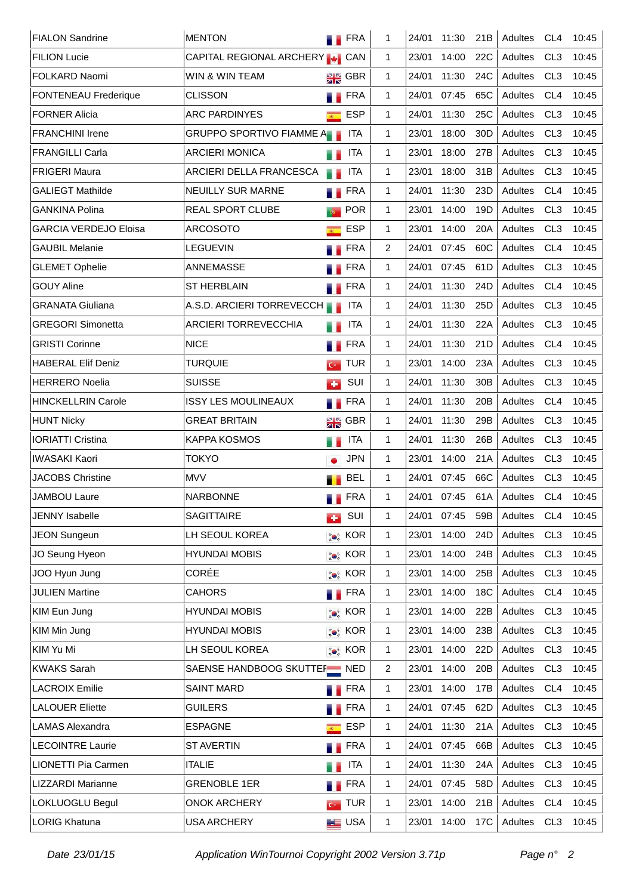| <b>FIALON Sandrine</b>       | <b>MENTON</b>                         |                                              | <b>FRA</b>         | 1  | 24/01 | 11:30 | 21B             | Adultes | CL <sub>4</sub> | 10:45 |
|------------------------------|---------------------------------------|----------------------------------------------|--------------------|----|-------|-------|-----------------|---------|-----------------|-------|
| <b>FILION Lucie</b>          | CAPITAL REGIONAL ARCHERY <b>4</b> CAN |                                              |                    | 1  | 23/01 | 14:00 | 22C             | Adultes | CL <sub>3</sub> | 10:45 |
| FOLKARD Naomi                | WIN & WIN TEAM                        |                                              | $\frac{1}{2R}$ GBR | 1  | 24/01 | 11:30 | 24C             | Adultes | CL <sub>3</sub> | 10:45 |
| <b>FONTENEAU Frederique</b>  | <b>CLISSON</b>                        |                                              | <b>FRA</b>         | 1. | 24/01 | 07:45 | 65C             | Adultes | CL <sub>4</sub> | 10:45 |
| <b>FORNER Alicia</b>         | <b>ARC PARDINYES</b>                  | $\overline{R^{(1)}_{\scriptscriptstyle{A}}}$ | <b>ESP</b>         | 1. | 24/01 | 11:30 | 25C             | Adultes | CL <sub>3</sub> | 10:45 |
| <b>FRANCHINI Irene</b>       | GRUPPO SPORTIVO FIAMME A              |                                              | <b>ITA</b>         | 1  | 23/01 | 18:00 | 30 <sub>D</sub> | Adultes | CL <sub>3</sub> | 10:45 |
| <b>FRANGILLI Carla</b>       | <b>ARCIERI MONICA</b>                 | . .                                          | <b>ITA</b>         | 1  | 23/01 | 18:00 | 27B             | Adultes | CL <sub>3</sub> | 10:45 |
| <b>FRIGERI Maura</b>         | ARCIERI DELLA FRANCESCA               | sв                                           | <b>ITA</b>         | 1  | 23/01 | 18:00 | 31B             | Adultes | CL <sub>3</sub> | 10:45 |
| <b>GALIEGT Mathilde</b>      | <b>NEUILLY SUR MARNE</b>              |                                              | <b>FRA</b>         | 1  | 24/01 | 11:30 | 23D             | Adultes | CL <sub>4</sub> | 10:45 |
| <b>GANKINA Polina</b>        | <b>REAL SPORT CLUBE</b>               | ÷,                                           | <b>POR</b>         | 1  | 23/01 | 14:00 | 19D             | Adultes | CL <sub>3</sub> | 10:45 |
| <b>GARCIA VERDEJO Eloisa</b> | <b>ARCOSOTO</b>                       | $\overline{R^{(1)}_{\scriptscriptstyle{A}}}$ | <b>ESP</b>         | 1  | 23/01 | 14:00 | 20A             | Adultes | CL <sub>3</sub> | 10:45 |
| <b>GAUBIL Melanie</b>        | <b>LEGUEVIN</b>                       |                                              | <b>FRA</b>         | 2  | 24/01 | 07:45 | 60C             | Adultes | CL <sub>4</sub> | 10:45 |
| <b>GLEMET Ophelie</b>        | ANNEMASSE                             |                                              | <b>FRA</b>         | 1. | 24/01 | 07:45 | 61D             | Adultes | CL <sub>3</sub> | 10:45 |
| <b>GOUY Aline</b>            | <b>ST HERBLAIN</b>                    |                                              | <b>FRA</b>         | 1. | 24/01 | 11:30 | 24D             | Adultes | CL <sub>4</sub> | 10:45 |
| GRANATA Giuliana             | A.S.D. ARCIERI TORREVECCH             |                                              | ITA                | 1  | 24/01 | 11:30 | 25D             | Adultes | CL <sub>3</sub> | 10:45 |
| <b>GREGORI Simonetta</b>     | <b>ARCIERI TORREVECCHIA</b>           | a a                                          | <b>ITA</b>         | 1  | 24/01 | 11:30 | 22A             | Adultes | CL <sub>3</sub> | 10:45 |
| <b>GRISTI Corinne</b>        | <b>NICE</b>                           |                                              | <b>FRA</b>         | 1  | 24/01 | 11:30 | 21D             | Adultes | CL <sub>4</sub> | 10:45 |
| <b>HABERAL Elif Deniz</b>    | TURQUIE                               |                                              | $\sim$ TUR         | 1  | 23/01 | 14:00 | 23A             | Adultes | CL <sub>3</sub> | 10:45 |
| <b>HERRERO Noelia</b>        | <b>SUISSE</b>                         | <b>COL</b>                                   | SUI                | 1  | 24/01 | 11:30 | 30 <sub>B</sub> | Adultes | CL <sub>3</sub> | 10:45 |
| <b>HINCKELLRIN Carole</b>    | <b>ISSY LES MOULINEAUX</b>            |                                              | <b>FRA</b>         | 1  | 24/01 | 11:30 | 20 <sub>B</sub> | Adultes | CL <sub>4</sub> | 10:45 |
| <b>HUNT Nicky</b>            | <b>GREAT BRITAIN</b>                  |                                              | $\frac{1}{2}$ GBR  | 1. | 24/01 | 11:30 | 29B             | Adultes | CL <sub>3</sub> | 10:45 |
| <b>IORIATTI Cristina</b>     | <b>KAPPA KOSMOS</b>                   | . .                                          | <b>ITA</b>         | 1  | 24/01 | 11:30 | 26B             | Adultes | CL <sub>3</sub> | 10:45 |
| <b>IWASAKI Kaori</b>         | TOKYO                                 |                                              | <b>JPN</b>         | 1  | 23/01 | 14:00 | 21A             | Adultes | CL <sub>3</sub> | 10:45 |
| JACOBS Christine             | <b>MVV</b>                            |                                              | <b>BEL</b>         | 1  | 24/01 | 07:45 | 66C             | Adultes | CL <sub>3</sub> | 10:45 |
| JAMBOU Laure                 | <b>NARBONNE</b>                       | ۰.                                           | FRA                | 1  | 24/01 | 07:45 | 61A             | Adultes | CL <sub>4</sub> | 10:45 |
| <b>JENNY Isabelle</b>        | <b>SAGITTAIRE</b>                     | a S                                          | SUI                | 1  | 24/01 | 07:45 | 59B             | Adultes | CL <sub>4</sub> | 10:45 |
| <b>JEON Sungeun</b>          | LH SEOUL KOREA                        |                                              | <b>O</b> KOR       | 1  | 23/01 | 14:00 | 24D             | Adultes | CL <sub>3</sub> | 10:45 |
| JO Seung Hyeon               | <b>HYUNDAI MOBIS</b>                  |                                              | <b>ON</b> KOR      | 1  | 23/01 | 14:00 | 24B             | Adultes | CL <sub>3</sub> | 10:45 |
| JOO Hyun Jung                | CORÉE                                 |                                              | $\bullet$ KOR      | 1  | 23/01 | 14:00 | 25B             | Adultes | CL <sub>3</sub> | 10:45 |
| <b>JULIEN Martine</b>        | <b>CAHORS</b>                         |                                              | $\blacksquare$ FRA | 1. | 23/01 | 14:00 | 18C             | Adultes | CL <sub>4</sub> | 10:45 |
| KIM Eun Jung                 | <b>HYUNDAI MOBIS</b>                  |                                              | <b>ON</b> KOR      | 1. | 23/01 | 14:00 | 22B             | Adultes | CL <sub>3</sub> | 10:45 |
| KIM Min Jung                 | <b>HYUNDAI MOBIS</b>                  |                                              | <b>ON</b> KOR      | 1  | 23/01 | 14:00 | 23B             | Adultes | CL <sub>3</sub> | 10:45 |
| KIM Yu Mi                    | LH SEOUL KOREA                        |                                              | <b>ON</b> KOR      | 1  | 23/01 | 14:00 | 22D             | Adultes | CL <sub>3</sub> | 10:45 |
| <b>KWAKS Sarah</b>           | SAENSE HANDBOOG SKUTTEF NED           |                                              |                    | 2  | 23/01 | 14:00 | 20B             | Adultes | CL <sub>3</sub> | 10:45 |
| <b>LACROIX Emilie</b>        | <b>SAINT MARD</b>                     |                                              | <b>FRA</b>         | 1  | 23/01 | 14:00 | 17B             | Adultes | CL <sub>4</sub> | 10:45 |
| <b>LALOUER Eliette</b>       | <b>GUILERS</b>                        |                                              | <b>FRA</b>         | 1. | 24/01 | 07:45 | 62D             | Adultes | CL <sub>3</sub> | 10:45 |
| <b>LAMAS Alexandra</b>       | <b>ESPAGNE</b>                        | $\overline{R}$                               | <b>ESP</b>         | 1. | 24/01 | 11:30 | 21A             | Adultes | CL <sub>3</sub> | 10:45 |
| <b>LECOINTRE Laurie</b>      | <b>ST AVERTIN</b>                     |                                              | <b>FRA</b>         | 1  | 24/01 | 07:45 | 66B             | Adultes | CL <sub>3</sub> | 10:45 |
| LIONETTI Pia Carmen          | <b>ITALIE</b>                         | W.                                           | ITA                | 1  | 24/01 | 11:30 | 24A             | Adultes | CL <sub>3</sub> | 10:45 |
| LIZZARDI Marianne            | <b>GRENOBLE 1ER</b>                   | M.                                           | <b>FRA</b>         | 1. | 24/01 | 07:45 | 58D             | Adultes | CL <sub>3</sub> | 10:45 |
| LOKLUOGLU Begul              | <b>ONOK ARCHERY</b>                   |                                              | $\sim$ TUR         | 1  | 23/01 | 14:00 | 21B             | Adultes | CL <sub>4</sub> | 10:45 |
| <b>LORIG Khatuna</b>         | USA ARCHERY                           |                                              | <b>LE</b> USA      | 1  | 23/01 | 14:00 | 17C             | Adultes | CL <sub>3</sub> | 10:45 |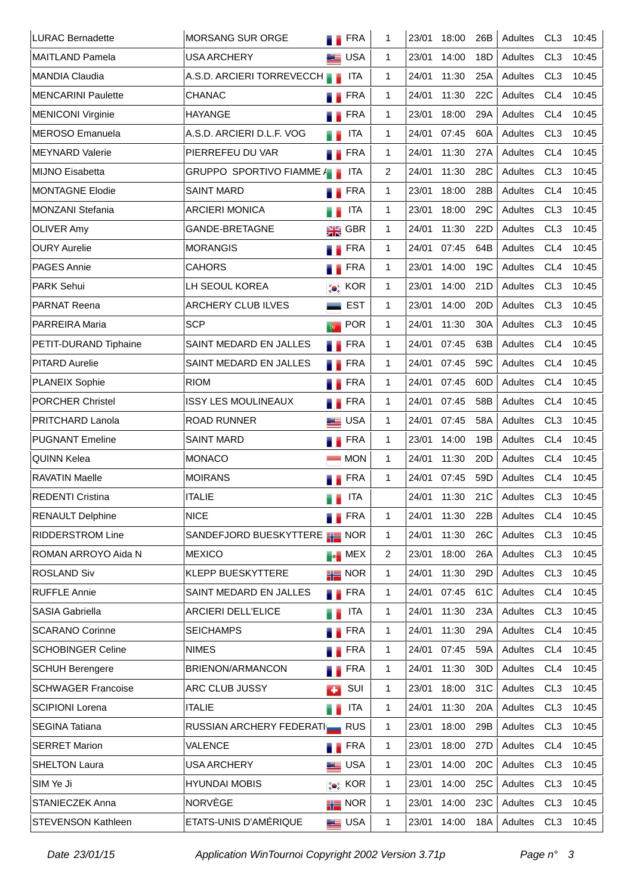| <b>LURAC Bernadette</b>   | <b>MORSANG SUR ORGE</b>              | <b>N</b> FRA         |            | 1            | 23/01 | 18:00 | 26B             | Adultes | CL <sub>3</sub> | 10:45 |
|---------------------------|--------------------------------------|----------------------|------------|--------------|-------|-------|-----------------|---------|-----------------|-------|
| <b>MAITLAND Pamela</b>    | <b>USA ARCHERY</b>                   | <b>ED</b> USA        |            | 1            | 23/01 | 14:00 | 18D             | Adultes | CL <sub>3</sub> | 10:45 |
| <b>MANDIA Claudia</b>     | A.S.D. ARCIERI TORREVECCH            |                      | ITA        | 1            | 24/01 | 11:30 | 25A             | Adultes | CL <sub>3</sub> | 10:45 |
| <b>MENCARINI Paulette</b> | <b>CHANAC</b>                        | <b>FRA</b>           |            | 1            | 24/01 | 11:30 | 22C             | Adultes | CL <sub>4</sub> | 10:45 |
| <b>MENICONI Virginie</b>  | <b>HAYANGE</b>                       | <b>FRA</b>           |            | 1.           | 23/01 | 18:00 | 29A             | Adultes | CL <sub>4</sub> | 10:45 |
| <b>MEROSO Emanuela</b>    | A.S.D. ARCIERI D.L.F. VOG            | . .                  | <b>ITA</b> | 1.           | 24/01 | 07:45 | 60A             | Adultes | CL <sub>3</sub> | 10:45 |
| <b>MEYNARD Valerie</b>    | PIERREFEU DU VAR                     | <b>FRA</b>           |            | 1            | 24/01 | 11:30 | 27A             | Adultes | CL <sub>4</sub> | 10:45 |
| <b>MIJNO Eisabetta</b>    | GRUPPO SPORTIVO FIAMME A             |                      | <b>ITA</b> | 2            | 24/01 | 11:30 | 28C             | Adultes | CL <sub>3</sub> | 10:45 |
| <b>MONTAGNE Elodie</b>    | <b>SAINT MARD</b>                    | $\blacksquare$ FRA   |            | 1            | 23/01 | 18:00 | 28B             | Adultes | CL <sub>4</sub> | 10:45 |
| <b>MONZANI Stefania</b>   | <b>ARCIERI MONICA</b>                |                      | <b>ITA</b> | 1            | 23/01 | 18:00 | 29C             | Adultes | CL <sub>3</sub> | 10:45 |
| <b>OLIVER Amy</b>         | GANDE-BRETAGNE                       | <b>EXE</b> GBR       |            | $\mathbf{1}$ | 24/01 | 11:30 | 22D             | Adultes | CL <sub>3</sub> | 10:45 |
| <b>OURY Aurelie</b>       | <b>MORANGIS</b>                      | <b>FRA</b>           |            | 1            | 24/01 | 07:45 | 64B             | Adultes | CL4             | 10:45 |
| <b>PAGES Annie</b>        | <b>CAHORS</b>                        | <b>FRA</b>           |            | $\mathbf{1}$ | 23/01 | 14:00 | 19C             | Adultes | CL4             | 10:45 |
| <b>PARK Sehui</b>         | LH SEOUL KOREA                       | <b>Co</b> KOR        |            | $\mathbf{1}$ | 23/01 | 14:00 | 21D             | Adultes | CL <sub>3</sub> | 10:45 |
| <b>PARNAT Reena</b>       | <b>ARCHERY CLUB ILVES</b>            |                      | <b>EST</b> | $\mathbf{1}$ | 23/01 | 14:00 | 20 <sub>D</sub> | Adultes | CL <sub>3</sub> | 10:45 |
| <b>PARREIRA Maria</b>     | <b>SCP</b>                           | <b>POR</b><br>$\Phi$ |            | $\mathbf{1}$ | 24/01 | 11:30 | 30A             | Adultes | CL <sub>3</sub> | 10:45 |
| PETIT-DURAND Tiphaine     | SAINT MEDARD EN JALLES               | <b>FRA</b>           |            | 1            | 24/01 | 07:45 | 63B             | Adultes | CL4             | 10:45 |
| <b>PITARD Aurelie</b>     | SAINT MEDARD EN JALLES               | <b>FRA</b>           |            | 1            | 24/01 | 07:45 | 59C             | Adultes | CL4             | 10:45 |
| <b>PLANEIX Sophie</b>     | <b>RIOM</b>                          | <b>FRA</b>           |            | 1            | 24/01 | 07:45 | 60 <sub>D</sub> | Adultes | CL <sub>4</sub> | 10:45 |
| <b>PORCHER Christel</b>   | <b>ISSY LES MOULINEAUX</b>           | <b>FRA</b>           |            | 1            | 24/01 | 07:45 | 58B             | Adultes | CL <sub>4</sub> | 10:45 |
| PRITCHARD Lanola          | <b>ROAD RUNNER</b>                   | <b>LE</b> USA        |            | 1            | 24/01 | 07:45 | 58A             | Adultes | CL <sub>3</sub> | 10:45 |
| <b>PUGNANT Emeline</b>    | <b>SAINT MARD</b>                    | <b>TERA</b>          |            | $\mathbf{1}$ | 23/01 | 14:00 | 19B             | Adultes | CL <sub>4</sub> | 10:45 |
| QUINN Kelea               | <b>MONACO</b>                        |                      | <b>MON</b> | 1            | 24/01 | 11:30 | 20D             | Adultes | CL <sub>4</sub> | 10:45 |
| <b>RAVATIN Maelle</b>     | <b>MOIRANS</b>                       | <b>FRA</b>           |            | 1            | 24/01 | 07:45 | 59 <sub>D</sub> | Adultes | CL <sub>4</sub> | 10:45 |
| <b>REDENTI Cristina</b>   | <b>ITALIE</b>                        | . .                  | <b>ITA</b> |              | 24/01 | 11:30 | 21C             | Adultes | CL <sub>3</sub> | 10:45 |
| <b>RENAULT Delphine</b>   | <b>NICE</b>                          | <b>FRA</b>           |            | 1            | 24/01 | 11:30 | 22B             | Adultes | CL <sub>4</sub> | 10:45 |
| <b>RIDDERSTROM Line</b>   | SANDEFJORD BUESKYTTERE <b>HE</b> NOR |                      |            | 1            | 24/01 | 11:30 | 26C             | Adultes | CL <sub>3</sub> | 10:45 |
| ROMAN ARROYO Aida N       | <b>MEXICO</b>                        | <b>NEX</b>           |            | 2            | 23/01 | 18:00 | 26A             | Adultes | CL <sub>3</sub> | 10:45 |
| <b>ROSLAND Siv</b>        | <b>KLEPP BUESKYTTERE</b>             | $\frac{1}{10}$ NOR   |            | 1            | 24/01 | 11:30 | 29D             | Adultes | CL <sub>3</sub> | 10:45 |
| <b>RUFFLE Annie</b>       | SAINT MEDARD EN JALLES               | <b>FRA</b>           |            | 1            | 24/01 | 07:45 | 61C             | Adultes | CL <sub>4</sub> | 10:45 |
| <b>SASIA Gabriella</b>    | <b>ARCIERI DELL'ELICE</b>            | u p                  | ITA        | 1            | 24/01 | 11:30 | 23A             | Adultes | CL <sub>3</sub> | 10:45 |
| <b>SCARANO Corinne</b>    | <b>SEICHAMPS</b>                     | <b>FRA</b>           |            | 1            | 24/01 | 11:30 | 29A             | Adultes | CL <sub>4</sub> | 10:45 |
| <b>SCHOBINGER Celine</b>  | <b>NIMES</b>                         | <b>FRA</b>           |            | 1            | 24/01 | 07:45 | 59A             | Adultes | CL <sub>4</sub> | 10:45 |
| <b>SCHUH Berengere</b>    | BRIENON/ARMANCON                     | <b>TERA</b>          |            | 1            | 24/01 | 11:30 | 30 <sub>D</sub> | Adultes | CL <sub>4</sub> | 10:45 |
| <b>SCHWAGER Francoise</b> | ARC CLUB JUSSY                       | <b>CO</b>            | SUI        | 1            | 23/01 | 18:00 | 31C             | Adultes | CL <sub>3</sub> | 10:45 |
| <b>SCIPIONI Lorena</b>    | <b>ITALIE</b>                        | ä,                   | <b>ITA</b> | 1            | 24/01 | 11:30 | 20A             | Adultes | CL <sub>3</sub> | 10:45 |
| <b>SEGINA Tatiana</b>     | RUSSIAN ARCHERY FEDERATIER RUS       |                      |            | $\mathbf{1}$ | 23/01 | 18:00 | 29B             | Adultes | CL <sub>3</sub> | 10:45 |
| <b>SERRET Marion</b>      | VALENCE                              | <b>FRA</b>           |            | 1            | 23/01 | 18:00 | 27D             | Adultes | CL <sub>4</sub> | 10:45 |
| <b>SHELTON Laura</b>      | <b>USA ARCHERY</b>                   | <b>ED</b> USA        |            | 1            | 23/01 | 14:00 | 20 <sub>C</sub> | Adultes | CL <sub>3</sub> | 10:45 |
| SIM Ye Ji                 | <b>HYUNDAI MOBIS</b>                 | <b>ON</b> KOR        |            | 1            | 23/01 | 14:00 | 25C             | Adultes | CL <sub>3</sub> | 10:45 |
| STANIECZEK Anna           | NORVÈGE                              | $\frac{1}{10}$ NOR   |            | 1            | 23/01 | 14:00 | 23C             | Adultes | CL <sub>3</sub> | 10:45 |
| STEVENSON Kathleen        | ETATS-UNIS D'AMÉRIQUE                | <b>LE</b> USA        |            | 1            | 23/01 | 14:00 | 18A             | Adultes | CL <sub>3</sub> | 10:45 |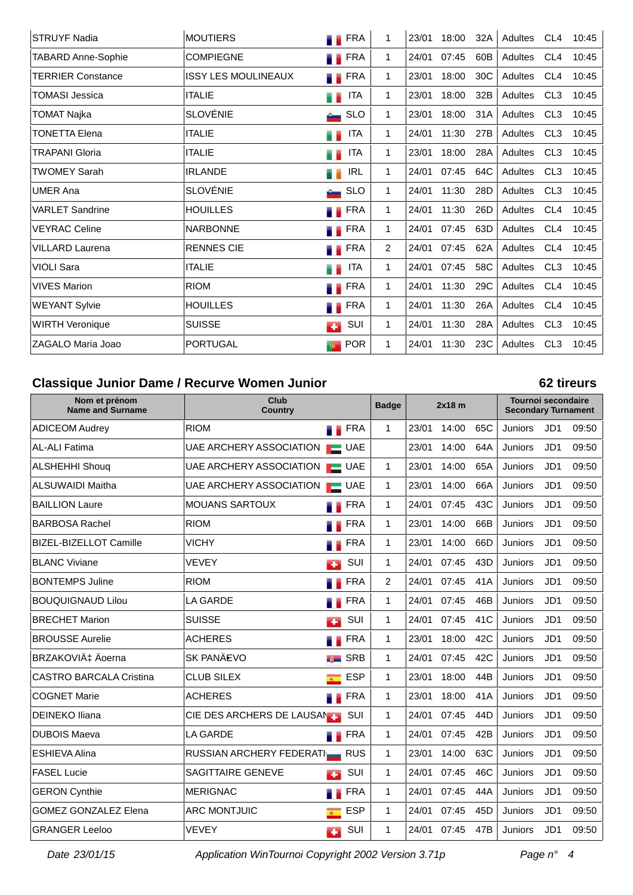| <b>STRUYF Nadia</b>       | <b>MOUTIERS</b>            | <b>FRA</b>           | 1              | 23/01 | 18:00 | 32A             | Adultes | CL4             | 10:45 |
|---------------------------|----------------------------|----------------------|----------------|-------|-------|-----------------|---------|-----------------|-------|
| <b>TABARD Anne-Sophie</b> | <b>COMPIEGNE</b>           | <b>FRA</b>           | 1.             | 24/01 | 07:45 | 60B             | Adultes | CL4             | 10:45 |
| <b>TERRIER Constance</b>  | <b>ISSY LES MOULINEAUX</b> | FRA                  | 1              | 23/01 | 18:00 | 30 <sup>C</sup> | Adultes | CL <sub>4</sub> | 10:45 |
| TOMASI Jessica            | <b>ITALIE</b>              | ITA                  | 1              | 23/01 | 18:00 | 32B             | Adultes | CL <sub>3</sub> | 10:45 |
| TOMAT Najka               | <b>SLOVÉNIE</b>            | <b>SLO</b>           | 1.             | 23/01 | 18:00 | 31A             | Adultes | CL <sub>3</sub> | 10:45 |
| TONETTA Elena             | <b>ITALIE</b>              | <b>ITA</b>           | 1.             | 24/01 | 11:30 | 27B             | Adultes | CL <sub>3</sub> | 10:45 |
| <b>TRAPANI Gloria</b>     | <b>ITALIE</b>              | <b>ITA</b>           | 1.             | 23/01 | 18:00 | 28A             | Adultes | CL <sub>3</sub> | 10:45 |
| TWOMEY Sarah              | <b>IRLANDE</b>             | <b>IRL</b>           | $\mathbf{1}$   | 24/01 | 07:45 | 64C             | Adultes | CL <sub>3</sub> | 10:45 |
| <b>UMER Ana</b>           | <b>SLOVÉNIE</b>            | <b>SLO</b>           | $\mathbf 1$    | 24/01 | 11:30 | 28D             | Adultes | CL <sub>3</sub> | 10:45 |
| <b>VARLET Sandrine</b>    | <b>HOUILLES</b>            | <b>FRA</b>           | 1              | 24/01 | 11:30 | 26D             | Adultes | CL4             | 10:45 |
| <b>VEYRAC Celine</b>      | <b>NARBONNE</b>            | <b>FRA</b>           | 1.             | 24/01 | 07:45 | 63D             | Adultes | CL4             | 10:45 |
| <b>VILLARD Laurena</b>    | <b>RENNES CIE</b>          | <b>FRA</b>           | $\overline{2}$ | 24/01 | 07:45 | 62A             | Adultes | CL4             | 10:45 |
| VIOLI Sara                | <b>ITALIE</b>              | <b>ITA</b>           | $\mathbf{1}$   | 24/01 | 07:45 | 58C             | Adultes | CL <sub>3</sub> | 10:45 |
| <b>VIVES Marion</b>       | <b>RIOM</b>                | FRA<br>. .           | 1.             | 24/01 | 11:30 | 29C             | Adultes | CL4             | 10:45 |
| <b>WEYANT Sylvie</b>      | <b>HOUILLES</b>            | <b>FRA</b>           | 1              | 24/01 | 11:30 | 26A             | Adultes | CL <sub>4</sub> | 10:45 |
| <b>WIRTH Veronique</b>    | <b>SUISSE</b>              | SUI<br>$\bullet$     | $\mathbf{1}$   | 24/01 | 11:30 | 28A             | Adultes | CL <sub>3</sub> | 10:45 |
| ZAGALO Maria Joao         | <b>PORTUGAL</b>            | <b>POR</b><br>$\Phi$ | 1              | 24/01 | 11:30 | 23C             | Adultes | CL <sub>3</sub> | 10:45 |

### **Classique Junior Dame / Recurve Women Junior 62 tireurs**

### **Nom et prénom Name and Surname Club Country 2x18 m Tournoi secondaire Secondary Turnament Badge** ADICEOM Audrey RIOM FRA 1 23/01 14:00 65C Juniors JD1 09:50 AL-ALI Fatima  $|U$ AE ARCHERY ASSOCIATION UAE  $|$  23/01 14:00 64A Juniors JD1 09:50 ALSHEHHI Shouq UAE ARCHERY ASSOCIATION UAE 1 23/01 14:00 65A Juniors JD1 09:50 ALSUWAIDI Maitha UAE ARCHERY ASSOCIATION UAE 1 23/01 14:00 66A Juniors JD1 09:50 BAILLION Laure MOUANS SARTOUX FRA 1 24/01 07:45 43C Juniors JD1 09:50 BARBOSA Rachel RIOM FRA 1 23/01 14:00 66B Juniors JD1 09:50 BIZEL-BIZELLOT Camille VICHY FRA 1 23/01 14:00 66D Juniors JD1 09:50 BLANC Viviane VEVEY SUI 1 24/01 07:45 43D Juniors JD1 09:50 BONTEMPS Juline | RIOM | RIOM | RIOM | FRA | 2 | 24/01 07:45 41A | Juniors JD1 09:50 BOUQUIGNAUD Lilou | LA GARDE | FRA | 1 24/01 07:45 46B Juniors JD1 09:50 BRECHET Marion **SUISSE** SUISSE **SUI 1** 24/01 07:45 41C Juniors JD1 09:50 BROUSSE Aurelie **ACHERES** ACHERES **FRA 1** 23/01 18:00 42C Juniors JD1 09:50 BRZAKOVIć Äoerna SK PANÄEVO SARB 1 24/01 07:45 42C Juniors JD1 09:50 CASTRO BARCALA Cristina  $\qquad$  CLUB SILEX  $\qquad$  ESP | 1  $\qquad$  23/01 18:00 44B | Juniors JD1 09:50  $\overline{C}$ OGNET Marie  $\overline{C}$  ACHERES  $\overline{C}$   $\overline{C}$  FRA  $\overline{C}$  1  $\overline{C}$  18:00 41A Juniors JD1 09:50 DEINEKO Iliana CIE DES ARCHERS DE LAUSAN SUI 1 24/01 07:45 44D Juniors JD1 09:50 DUBOIS Maeva LA GARDE FRA 1 24/01 07:45 42B Juniors JD1 09:50 ESHIEVA Alina **RUSSIAN ARCHERY FEDERATIGE RUS** 1 23/01 14:00 63C Juniors JD1 09:50 FASEL Lucie  $\vert$ SAGITTAIRE GENEVE  $\vert$  SUI  $\vert$  1  $\vert$  24/01 07:45 46C  $\vert$  Juniors JD1 09:50 GERON Cynthie MERIGNAC **FRA 1 24/01 07:45 44A** Juniors JD1 09:50 GOMEZ GONZALEZ Elena  $|$ ARC MONTJUIC  $\qquad \qquad$  ESP  $|$  1  $|$  24/01 07:45 45D  $|$  Juniors JD1 09:50 GRANGER Leeloo VEVEY SUI 1 24/01 07:45 47B Juniors JD1 09:50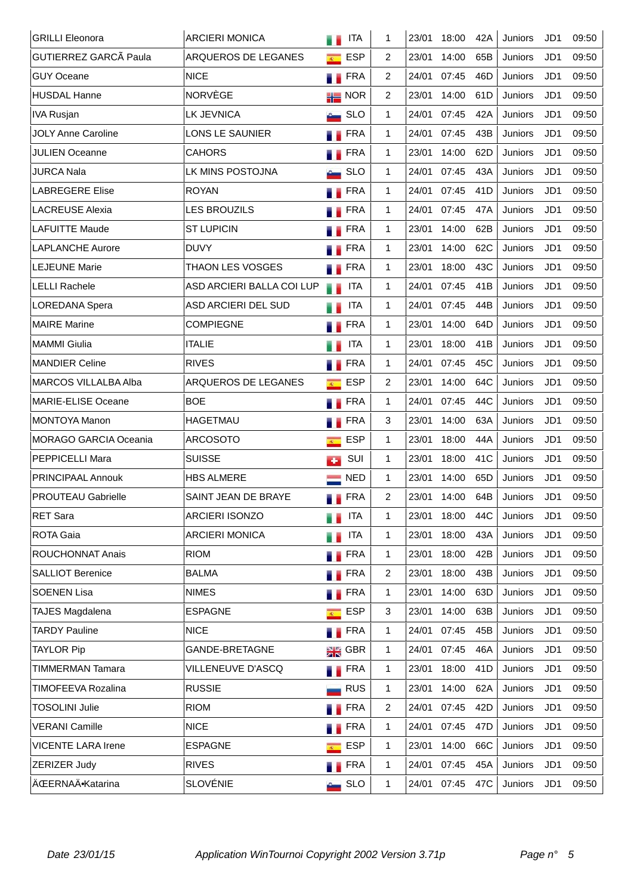| <b>GRILLI Eleonora</b>       | <b>ARCIERI MONICA</b>      |                | <b>ITA</b>          | 1            | 23/01 | 18:00 | 42A             | <b>Juniors</b> | JD1             | 09:50 |
|------------------------------|----------------------------|----------------|---------------------|--------------|-------|-------|-----------------|----------------|-----------------|-------|
| GUTIERREZ GARCÃ Paula        | ARQUEROS DE LEGANES        | $\overline{R}$ | <b>ESP</b>          | 2            | 23/01 | 14:00 | 65B             | Juniors        | JD1             | 09:50 |
| <b>GUY Oceane</b>            | <b>NICE</b>                |                | <b>FRA</b>          | 2            | 24/01 | 07:45 | 46D             | Juniors        | JD1             | 09:50 |
| <b>HUSDAL Hanne</b>          | <b>NORVÈGE</b>             |                | $\frac{1}{10}$ NOR  | 2            | 23/01 | 14:00 | 61D             | Juniors        | JD <sub>1</sub> | 09:50 |
| <b>IVA Rusjan</b>            | <b>LK JEVNICA</b>          |                | <b>Contract SLO</b> | $\mathbf{1}$ | 24/01 | 07:45 | 42A             | Juniors        | JD <sub>1</sub> | 09:50 |
| <b>JOLY Anne Caroline</b>    | LONS LE SAUNIER            |                | <b>FRA</b>          | $\mathbf{1}$ | 24/01 | 07:45 | 43B             | Juniors        | JD <sub>1</sub> | 09:50 |
| <b>JULIEN Oceanne</b>        | <b>CAHORS</b>              |                | FRA                 | 1            | 23/01 | 14:00 | 62D             | Juniors        | JD <sub>1</sub> | 09:50 |
| JURCA Nala                   | LK MINS POSTOJNA           |                | <b>SLO</b>          | 1            | 24/01 | 07:45 | 43A             | Juniors        | JD1             | 09:50 |
| <b>LABREGERE Elise</b>       | <b>ROYAN</b>               |                | FRA                 | 1            | 24/01 | 07:45 | 41D             | Juniors        | JD <sub>1</sub> | 09:50 |
| <b>LACREUSE Alexia</b>       | <b>LES BROUZILS</b>        |                | <b>FRA</b>          | $\mathbf{1}$ | 24/01 | 07:45 | 47A             | Juniors        | JD1             | 09:50 |
| <b>LAFUITTE Maude</b>        | <b>ST LUPICIN</b>          |                | <b>FRA</b>          | $\mathbf{1}$ | 23/01 | 14:00 | 62B             | Juniors        | JD1             | 09:50 |
| <b>LAPLANCHE Aurore</b>      | <b>DUVY</b>                | ш              | <b>FRA</b>          | $\mathbf{1}$ | 23/01 | 14:00 | 62C             | Juniors        | JD1             | 09:50 |
| <b>LEJEUNE Marie</b>         | <b>THAON LES VOSGES</b>    |                | <b>FRA</b>          | $\mathbf{1}$ | 23/01 | 18:00 | 43C             | Juniors        | JD <sub>1</sub> | 09:50 |
| <b>LELLI Rachele</b>         | ASD ARCIERI BALLA COI LUP  | W.             | <b>ITA</b>          | $\mathbf{1}$ | 24/01 | 07:45 | 41B             | Juniors        | JD1             | 09:50 |
| LOREDANA Spera               | <b>ASD ARCIERI DEL SUD</b> | a a            | ITA                 | $\mathbf{1}$ | 24/01 | 07:45 | 44B             | Juniors        | JD <sub>1</sub> | 09:50 |
| <b>MAIRE</b> Marine          | <b>COMPIEGNE</b>           | и.             | <b>FRA</b>          | 1            | 23/01 | 14:00 | 64D             | Juniors        | JD1             | 09:50 |
| <b>MAMMI Giulia</b>          | <b>ITALIE</b>              |                | ITA                 | 1            | 23/01 | 18:00 | 41B             | Juniors        | JD1             | 09:50 |
| <b>MANDIER Celine</b>        | <b>RIVES</b>               | a.             | <b>FRA</b>          | 1            | 24/01 | 07:45 | 45C             | Juniors        | JD1             | 09:50 |
| MARCOS VILLALBA Alba         | ARQUEROS DE LEGANES        | $\overline{R}$ | <b>ESP</b>          | 2            | 23/01 | 14:00 | 64C             | Juniors        | JD <sub>1</sub> | 09:50 |
| <b>MARIE-ELISE Oceane</b>    | <b>BOE</b>                 | 51             | <b>FRA</b>          | 1            | 24/01 | 07:45 | 44C             | Juniors        | JD1             | 09:50 |
| <b>MONTOYA Manon</b>         | <b>HAGETMAU</b>            | ш              | FRA                 | 3            | 23/01 | 14:00 | 63A             | Juniors        | JD <sub>1</sub> | 09:50 |
| <b>MORAGO GARCIA Oceania</b> | <b>ARCOSOTO</b>            | $\overline{R}$ | <b>ESP</b>          | $\mathbf{1}$ | 23/01 | 18:00 | 44A             | Juniors        | JD1             | 09:50 |
| PEPPICELLI Mara              | <b>SUISSE</b>              | <b>CO</b>      | SUI                 | 1            | 23/01 | 18:00 | 41C             | Juniors        | JD <sub>1</sub> | 09:50 |
| PRINCIPAAL Annouk            | <b>HBS ALMERE</b>          |                | <b>NED</b>          | 1            | 23/01 | 14:00 | 65D             | Juniors        | JD1             | 09:50 |
| <b>PROUTEAU Gabrielle</b>    | SAINT JEAN DE BRAYE        |                | FRA                 | 2            | 23/01 | 14:00 | 64B             | Juniors        | JD <sub>1</sub> | 09:50 |
| RET Sara                     | ARCIERI ISONZO             |                | <b>ITA</b>          | 1            | 23/01 | 18:00 | 44C             | Juniors        | JD1             | 09:50 |
| <b>ROTA Gaia</b>             | <b>ARCIERI MONICA</b>      |                | <b>ITA</b>          | 1            | 23/01 | 18:00 | 43A             | Juniors        | JD1             | 09:50 |
| ROUCHONNAT Anais             | <b>RIOM</b>                | 51             | FRA                 | 1            | 23/01 | 18:00 | 42B             | Juniors        | JD1             | 09:50 |
| <b>SALLIOT Berenice</b>      | <b>BALMA</b>               | 71             | <b>FRA</b>          | 2            | 23/01 | 18:00 | 43B             | Juniors        | JD1             | 09:50 |
| <b>SOENEN Lisa</b>           | <b>NIMES</b>               |                | <b>FRA</b>          | 1            | 23/01 | 14:00 | 63D             | Juniors        | JD1             | 09:50 |
| <b>TAJES Magdalena</b>       | <b>ESPAGNE</b>             | $\overline{R}$ | <b>ESP</b>          | 3            | 23/01 | 14:00 | 63B             | Juniors        | JD1             | 09:50 |
| <b>TARDY Pauline</b>         | <b>NICE</b>                |                | <b>TERA</b>         | 1            | 24/01 | 07:45 | 45B             | Juniors        | JD1             | 09:50 |
| <b>TAYLOR Pip</b>            | GANDE-BRETAGNE             |                | $\frac{1}{2}$ GBR   | 1            | 24/01 | 07:45 | 46A             | Juniors        | JD1             | 09:50 |
| <b>TIMMERMAN Tamara</b>      | VILLENEUVE D'ASCQ          |                | <b>TERA</b>         | 1            | 23/01 | 18:00 | 41D             | Juniors        | JD1             | 09:50 |
| TIMOFEEVA Rozalina           | <b>RUSSIE</b>              |                | <b>RUS</b>          | $\mathbf{1}$ | 23/01 | 14:00 | 62A             | Juniors        | JD1             | 09:50 |
| <b>TOSOLINI Julie</b>        | <b>RIOM</b>                |                | FRA                 | 2            | 24/01 | 07:45 | 42 <sub>D</sub> | Juniors        | JD1             | 09:50 |
| <b>VERANI Camille</b>        | <b>NICE</b>                | 71             | FRA                 | $\mathbf{1}$ | 24/01 | 07:45 | 47 <sub>D</sub> | Juniors        | JD1             | 09:50 |
| <b>VICENTE LARA Irene</b>    | <b>ESPAGNE</b>             | $\overline{R}$ | <b>ESP</b>          | $\mathbf{1}$ | 23/01 | 14:00 | 66C             | Juniors        | JD1             | 09:50 |
| ZERIZER Judy                 | <b>RIVES</b>               |                | <b>FRA</b>          | 1            | 24/01 | 07:45 | 45A             | Juniors        | JD1             | 09:50 |
| ÄŒERNAÄ·Katarina             | <b>SLOVÉNIE</b>            | $\mathbf{c}$   | <b>SLO</b>          | 1            | 24/01 | 07:45 | 47C             | Juniors        | JD1             | 09:50 |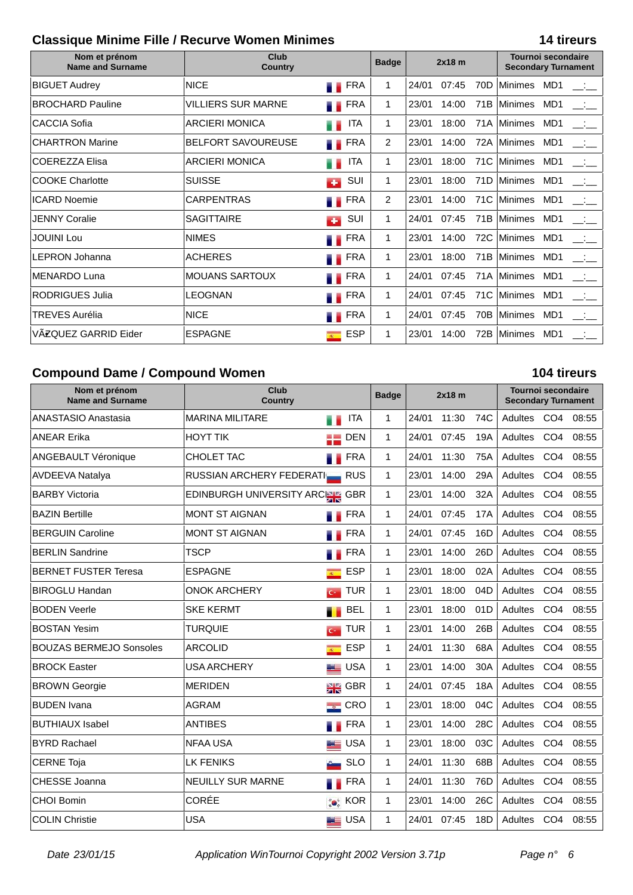### **Classique Minime Fille / Recurve Women Minimes 14 tireurs**

| Nom et prénom<br><b>Name and Surname</b> | Club<br><b>Country</b>    |                         | <b>Badge</b>   | $2x18$ m |       |                 | <b>Tournoi secondaire</b><br><b>Secondary Turnament</b> |                 |                          |
|------------------------------------------|---------------------------|-------------------------|----------------|----------|-------|-----------------|---------------------------------------------------------|-----------------|--------------------------|
| <b>BIGUET Audrey</b>                     | <b>NICE</b>               | <b>FRA</b><br>. .       | 1              | 24/01    | 07:45 | 70 <sub>D</sub> | <b>Minimes</b>                                          | MD1             |                          |
| <b>BROCHARD Pauline</b>                  | <b>VILLIERS SUR MARNE</b> | <b>FRA</b>              | 1              | 23/01    | 14:00 | 71B             | Minimes                                                 | MD1             | __:__                    |
| <b>CACCIA Sofia</b>                      | <b>ARCIERI MONICA</b>     | <b>ITA</b>              | 1              | 23/01    | 18:00 | 71A             | Minimes                                                 | MD <sub>1</sub> | $\sim 100$               |
| <b>CHARTRON Marine</b>                   | <b>BELFORT SAVOUREUSE</b> | <b>TERA</b>             | $\overline{2}$ | 23/01    | 14:00 | 72A             | Minimes                                                 | MD1             | $\overline{\phantom{a}}$ |
| <b>COEREZZA Elisa</b>                    | <b>ARCIERI MONICA</b>     | <b>ITA</b>              | 1              | 23/01    | 18:00 | 71C             | <b>Minimes</b>                                          | MD1             | $\sim 10^{-1}$           |
| <b>COOKE Charlotte</b>                   | <b>SUISSE</b>             | SUI<br>a po             | 1              | 23/01    | 18:00 | 71D             | Minimes                                                 | MD <sub>1</sub> | المتقلب                  |
| <b>ICARD Noemie</b>                      | <b>CARPENTRAS</b>         | FRA                     | $\overline{2}$ | 23/01    | 14:00 | 71C             | Minimes                                                 | MD1             | للمنافسة                 |
| <b>JENNY Coralie</b>                     | <b>SAGITTAIRE</b>         | SUI<br>с.               | 1              | 24/01    | 07:45 | 71B             | Minimes                                                 | MD <sub>1</sub> | للمنافسة                 |
| <b>JOUINI Lou</b>                        | <b>NIMES</b>              | <b>FRA</b>              | 1              | 23/01    | 14:00 | 72C             | <b>Minimes</b>                                          | MD1             | $\frac{1}{2}$            |
| <b>LEPRON Johanna</b>                    | <b>ACHERES</b>            | <b>FRA</b>              | 1              | 23/01    | 18:00 | 71B             | Minimes                                                 | MD <sub>1</sub> | للمتأنس                  |
| <b>MENARDO Luna</b>                      | <b>MOUANS SARTOUX</b>     | <b>FRA</b>              | $\mathbf{1}$   | 24/01    | 07:45 |                 | 71A Minimes                                             | MD1             | المتقصد                  |
| <b>RODRIGUES Julia</b>                   | <b>LEOGNAN</b>            | <b>FRA</b>              | $\mathbf{1}$   | 24/01    | 07:45 | 71C             | Minimes                                                 | MD <sub>1</sub> | $\mathcal{L}$            |
| <b>TREVES Aurélia</b>                    | <b>NICE</b>               | <b>FRA</b>              | 1              | 24/01    | 07:45 | 70B             | Minimes                                                 | MD <sub>1</sub> |                          |
| VÄZQUEZ GARRID Eider                     | <b>ESPAGNE</b>            | ESP<br>$\overline{R}$ . | 1              | 23/01    | 14:00 | 72B             | Minimes                                                 | MD1             |                          |

### **Compound Dame / Compound Women 104 tireurs**

### **Nom et prénom Name and Surname Club Country 2x18 m Tournoi secondaire Secondary Turnament Badge** ANASTASIO Anastasia  $\blacksquare$ MARINA MILITARE  $\blacksquare$ ITA | 1  $\blacksquare$ 24/01 11:30 74C | Adultes CO4 08:55 ANEAR Erika HOYT TIK DEN 1 24/01 07:45 19A Adultes CO4 08:55 ANGEBAULT Véronique  $\vert$ CHOLET TAC  $\vert$  FRA | 1 24/01 11:30 75A Adultes CO4 08:55 AVDEEVA Natalya **RUSSIAN ARCHERY FEDERATION RUS | 1 | 23/01** 14:00 29A | Adultes CO4 08:55 BARBY Victoria **EDINBURGH UNIVERSITY ARCH GBR** 1 23/01 14:00 32A Adultes CO4 08:55 BAZIN Bertille MONT ST AIGNAN FRA 1 24/01 07:45 17A Adultes CO4 08:55 BERGUIN Caroline MONT ST AIGNAN **FRA** 1  $\sqrt{24/01}$  07:45 16D Adultes CO4 08:55 BERLIN Sandrine | TSCP | TSCP | FRA | 1 23/01 14:00 26D | Adultes CO4 08:55 BERNET FUSTER Teresa ESPAGNE ESPAGNE ESP 1 23/01 18:00 02A Adultes CO4 08:55 BIROGLU Handan ONOK ARCHERY TUR 1 23/01 18:00 04D Adultes CO4 08:55 BODEN Veerle |SKE KERMT BEL | 1 |23/01 18:00 01D | Adultes CO4 08:55 BOSTAN Yesim TURQUIE TUR 1 23/01 14:00 26B Adultes CO4 08:55 BOUZAS BERMEJO Sonsoles ARCOLID ESP 1 24/01 11:30 68A Adultes CO4 08:55 BROCK Easter **In the USA ARCHERY The USA 1** 23/01 14:00 30A Adultes CO4 08:55 BROWN Georgie MERIDEN GBR 1 24/01 07:45 18A Adultes CO4 08:55 BUDEN Ivana AGRAM CRO 1 23/01 18:00 04C Adultes CO4 08:55 BUTHIAUX Isabel **ANTIBES** ANTIBES **FRA** 1 23/01 14:00 28C Adultes CO4 08:55 BYRD Rachael NFAA USA USA 1 23/01 18:00 03C Adultes CO4 08:55 CERNE Toja LK FENIKS SLO 1 24/01 11:30 68B Adultes CO4 08:55 CHESSE Joanna NEUILLY SUR MARNE FRA 1 24/01 11:30 76D Adultes CO4 08:55 CHOI Bomin CORÉE KOR 1 23/01 14:00 26C Adultes CO4 08:55 COLIN Christie USA USA 1 24/01 07:45 18D Adultes CO4 08:55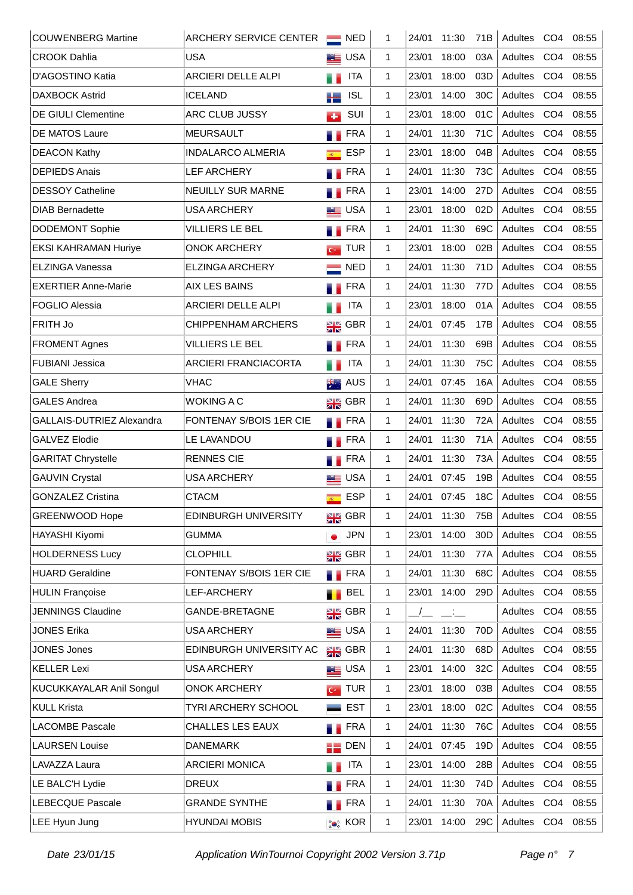| <b>COUWENBERG Martine</b>   | <b>ARCHERY SERVICE CENTER</b> |                         | $\blacksquare$ NED | 1            | 24/01 | 11:30         | 71B             | Adultes     | CO <sub>4</sub> | 08:55 |
|-----------------------------|-------------------------------|-------------------------|--------------------|--------------|-------|---------------|-----------------|-------------|-----------------|-------|
| <b>CROOK Dahlia</b>         | <b>USA</b>                    |                         | <b>LE</b> USA      | 1            | 23/01 | 18:00         | 03A             | Adultes     | CO <sub>4</sub> | 08:55 |
| D'AGOSTINO Katia            | <b>ARCIERI DELLE ALPI</b>     | a p                     | ITA                | 1            | 23/01 | 18:00         | 03D             | Adultes     | CO <sub>4</sub> | 08:55 |
| <b>DAXBOCK Astrid</b>       | <b>ICELAND</b>                | a ka                    | <b>ISL</b>         | 1            | 23/01 | 14:00         | 30 <sub>C</sub> | Adultes     | CO <sub>4</sub> | 08:55 |
| <b>DE GIULI Clementine</b>  | ARC CLUB JUSSY                | с.                      | SUI                | $\mathbf{1}$ | 23/01 | 18:00         | 01C             | Adultes     | CO <sub>4</sub> | 08:55 |
| <b>DE MATOS Laure</b>       | <b>MEURSAULT</b>              | a.                      | <b>FRA</b>         | $\mathbf{1}$ | 24/01 | 11:30         | 71C             | Adultes     | CO <sub>4</sub> | 08:55 |
| <b>DEACON Kathy</b>         | <b>INDALARCO ALMERIA</b>      | $\overline{R}$          | <b>ESP</b>         | $\mathbf{1}$ | 23/01 | 18:00         | 04B             | Adultes     | CO <sub>4</sub> | 08:55 |
| <b>DEPIEDS Anais</b>        | <b>LEF ARCHERY</b>            | a.                      | <b>FRA</b>         | 1            | 24/01 | 11:30         | 73C             | Adultes     | CO <sub>4</sub> | 08:55 |
| <b>DESSOY Catheline</b>     | <b>NEUILLY SUR MARNE</b>      |                         | <b>FRA</b>         | $\mathbf{1}$ | 23/01 | 14:00         | 27D             | Adultes     | CO <sub>4</sub> | 08:55 |
| <b>DIAB Bernadette</b>      | <b>USA ARCHERY</b>            |                         | <b>ED</b> USA      | 1            | 23/01 | 18:00         | 02D             | Adultes     | CO <sub>4</sub> | 08:55 |
| <b>DODEMONT Sophie</b>      | VILLIERS LE BEL               |                         | <b>FRA</b>         | $\mathbf{1}$ | 24/01 | 11:30         | 69C             | Adultes     | CO <sub>4</sub> | 08:55 |
| <b>EKSI KAHRAMAN Huriye</b> | <b>ONOK ARCHERY</b>           | $C^*$                   | <b>TUR</b>         | $\mathbf{1}$ | 23/01 | 18:00         | 02B             | Adultes     | CO <sub>4</sub> | 08:55 |
| <b>ELZINGA Vanessa</b>      | <b>ELZINGA ARCHERY</b>        |                         | <b>NED</b>         | $\mathbf{1}$ | 24/01 | 11:30         | 71D             | Adultes     | CO <sub>4</sub> | 08:55 |
| <b>EXERTIER Anne-Marie</b>  | <b>AIX LES BAINS</b>          | . .                     | <b>FRA</b>         | $\mathbf{1}$ | 24/01 | 11:30         | 77D             | Adultes     | CO <sub>4</sub> | 08:55 |
| <b>FOGLIO Alessia</b>       | <b>ARCIERI DELLE ALPI</b>     | u a                     | <b>ITA</b>         | $\mathbf{1}$ | 23/01 | 18:00         | 01A             | Adultes     | CO <sub>4</sub> | 08:55 |
| FRITH Jo                    | <b>CHIPPENHAM ARCHERS</b>     |                         | $\frac{1}{2}$ GBR  | 1            | 24/01 | 07:45         | 17B             | Adultes     | CO <sub>4</sub> | 08:55 |
| <b>FROMENT Agnes</b>        | <b>VILLIERS LE BEL</b>        | . .                     | <b>FRA</b>         | 1            | 24/01 | 11:30         | 69B             | Adultes     | CO <sub>4</sub> | 08:55 |
| <b>FUBIANI Jessica</b>      | <b>ARCIERI FRANCIACORTA</b>   | a p                     | <b>ITA</b>         | 1            | 24/01 | 11:30         | 75C             | Adultes     | CO <sub>4</sub> | 08:55 |
| <b>GALE Sherry</b>          | <b>VHAC</b>                   | #€∴.                    | AUS                | $\mathbf{1}$ | 24/01 | 07:45         | 16A             | Adultes     | CO <sub>4</sub> | 08:55 |
| <b>GALES Andrea</b>         | <b>WOKING A C</b>             |                         | $\frac{N}{2N}$ GBR | $\mathbf{1}$ | 24/01 | 11:30         | 69D             | Adultes     | CO <sub>4</sub> | 08:55 |
| GALLAIS-DUTRIEZ Alexandra   | FONTENAY S/BOIS 1ER CIE       |                         | <b>FRA</b>         | $\mathbf{1}$ | 24/01 | 11:30         | 72A             | Adultes     | CO <sub>4</sub> | 08:55 |
| <b>GALVEZ Elodie</b>        | LE LAVANDOU                   |                         | <b>FRA</b>         | $\mathbf{1}$ | 24/01 | 11:30         | 71A             | Adultes     | CO <sub>4</sub> | 08:55 |
| <b>GARITAT Chrystelle</b>   | <b>RENNES CIE</b>             | ۰.                      | FRA                | $\mathbf{1}$ | 24/01 | 11:30         | 73A             | Adultes     | CO <sub>4</sub> | 08:55 |
| <b>GAUVIN Crystal</b>       | <b>USA ARCHERY</b>            |                         | <b>ED</b> USA      | $\mathbf{1}$ | 24/01 | 07:45         | 19B             | Adultes     | CO <sub>4</sub> | 08:55 |
| <b>GONZALEZ Cristina</b>    | <b>CTACM</b>                  | $\overline{R_{\rm{m}}}$ | <b>ESP</b>         | 1            | 24/01 | 07:45         | 18 <sub>C</sub> | Adultes CO4 |                 | 08:55 |
| <b>GREENWOOD Hope</b>       | <b>EDINBURGH UNIVERSITY</b>   |                         | $\frac{1}{2R}$ GBR | 1            | 24/01 | 11:30         | 75B             | Adultes     | CO <sub>4</sub> | 08:55 |
| HAYASHI Kiyomi              | <b>GUMMA</b>                  |                         | <b>JPN</b>         | $\mathbf{1}$ | 23/01 | 14:00         | 30 <sub>D</sub> | Adultes     | CO <sub>4</sub> | 08:55 |
| <b>HOLDERNESS Lucy</b>      | <b>CLOPHILL</b>               |                         | $\frac{N}{2N}$ GBR | $\mathbf{1}$ | 24/01 | 11:30         | 77A             | Adultes     | CO <sub>4</sub> | 08:55 |
| <b>HUARD Geraldine</b>      | FONTENAY S/BOIS 1ER CIE       |                         | <b>FRA</b>         | $\mathbf{1}$ | 24/01 | 11:30         | 68C             | Adultes     | CO <sub>4</sub> | 08:55 |
| <b>HULIN Françoise</b>      | LEF-ARCHERY                   |                         | <b>BEL</b>         | $\mathbf{1}$ | 23/01 | 14:00         | 29 <sub>D</sub> | Adultes     | CO <sub>4</sub> | 08:55 |
| <b>JENNINGS Claudine</b>    | <b>GANDE-BRETAGNE</b>         |                         | $\frac{1}{2}$ GBR  | 1            |       | $\frac{1}{2}$ |                 | Adultes     | CO <sub>4</sub> | 08:55 |
| <b>JONES Erika</b>          | USA ARCHERY                   |                         | USA                | $\mathbf{1}$ | 24/01 | 11:30         | 70 <sub>D</sub> | Adultes     | CO <sub>4</sub> | 08:55 |
| <b>JONES Jones</b>          | EDINBURGH UNIVERSITY AC       |                         | $\frac{N}{2N}$ GBR | $\mathbf{1}$ | 24/01 | 11:30         | 68D             | Adultes     | CO <sub>4</sub> | 08:55 |
| <b>KELLER Lexi</b>          | USA ARCHERY                   |                         | <b>LE</b> USA      | $\mathbf{1}$ | 23/01 | 14:00         | 32C             | Adultes     | CO <sub>4</sub> | 08:55 |
| KUCUKKAYALAR Anil Songul    | <b>ONOK ARCHERY</b>           |                         | $G$ TUR            | 1            | 23/01 | 18:00         | 03B             | Adultes     | CO <sub>4</sub> | 08:55 |
| <b>KULL Krista</b>          | TYRI ARCHERY SCHOOL           |                         | <b>EST</b>         | 1            | 23/01 | 18:00         | 02C             | Adultes     | CO <sub>4</sub> | 08:55 |
| <b>LACOMBE Pascale</b>      | CHALLES LES EAUX              |                         | <b>FRA</b>         | 1            | 24/01 | 11:30         | 76C             | Adultes     | CO <sub>4</sub> | 08:55 |
| <b>LAURSEN Louise</b>       | <b>DANEMARK</b>               |                         | $\blacksquare$ DEN | $\mathbf{1}$ | 24/01 | 07:45         | 19D             | Adultes     | CO <sub>4</sub> | 08:55 |
| LAVAZZA Laura               | <b>ARCIERI MONICA</b>         | a a                     | <b>ITA</b>         | 1            | 23/01 | 14:00         | 28B             | Adultes     | CO <sub>4</sub> | 08:55 |
| LE BALC'H Lydie             | <b>DREUX</b>                  |                         | <b>FRA</b>         | $\mathbf{1}$ | 24/01 | 11:30         | 74D             | Adultes     | CO <sub>4</sub> | 08:55 |
| LEBECQUE Pascale            | <b>GRANDE SYNTHE</b>          |                         | FRA                | $\mathbf{1}$ | 24/01 | 11:30         | 70A             | Adultes     | CO <sub>4</sub> | 08:55 |
| LEE Hyun Jung               | <b>HYUNDAI MOBIS</b>          |                         | <b>OF</b> KOR      | $\mathbf{1}$ | 23/01 | 14:00         | 29C             | Adultes CO4 |                 | 08:55 |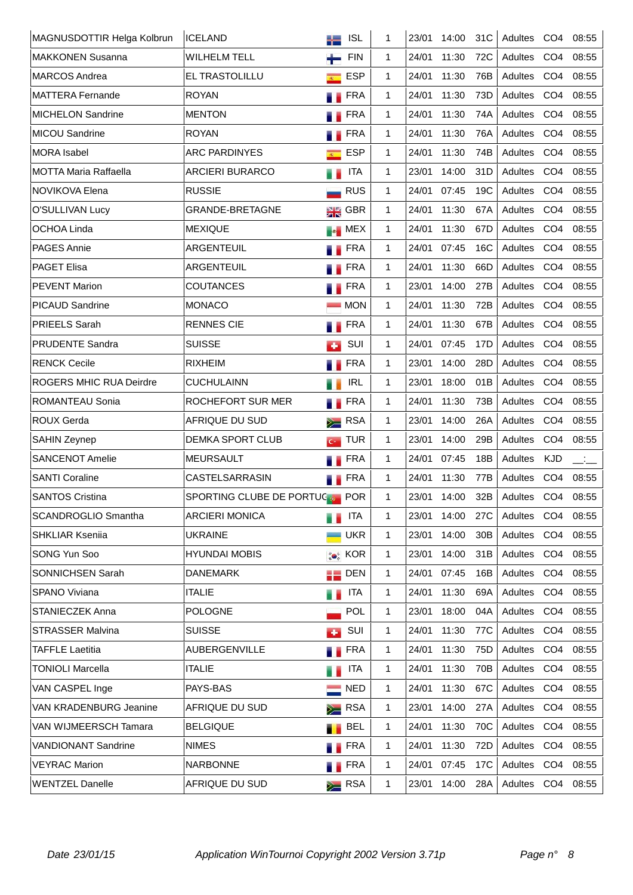| MAGNUSDOTTIR Helga Kolbrun     | <b>ICELAND</b>                | ╬═                  | <b>ISL</b>         | 1            | 23/01 | 14:00 | 31C | Adultes     | CO <sub>4</sub> | 08:55         |
|--------------------------------|-------------------------------|---------------------|--------------------|--------------|-------|-------|-----|-------------|-----------------|---------------|
| <b>MAKKONEN Susanna</b>        | <b>WILHELM TELL</b>           |                     | <b>FIN</b>         | $\mathbf{1}$ | 24/01 | 11:30 | 72C | Adultes     | CO <sub>4</sub> | 08:55         |
| <b>MARCOS Andrea</b>           | EL TRASTOLILLU                | $\overline{R}$      | <b>ESP</b>         | $\mathbf{1}$ | 24/01 | 11:30 | 76B | Adultes     | CO <sub>4</sub> | 08:55         |
| <b>MATTERA Fernande</b>        | <b>ROYAN</b>                  |                     | <b>FRA</b>         | 1            | 24/01 | 11:30 | 73D | Adultes     | CO <sub>4</sub> | 08:55         |
| <b>MICHELON Sandrine</b>       | <b>MENTON</b>                 |                     | <b>FRA</b>         | $\mathbf{1}$ | 24/01 | 11:30 | 74A | Adultes     | CO <sub>4</sub> | 08:55         |
| <b>MICOU Sandrine</b>          | <b>ROYAN</b>                  |                     | FRA                | $\mathbf{1}$ | 24/01 | 11:30 | 76A | Adultes     | CO <sub>4</sub> | 08:55         |
| <b>MORA</b> Isabel             | <b>ARC PARDINYES</b>          | $\mathcal{R}^{(n)}$ | <b>ESP</b>         | $\mathbf{1}$ | 24/01 | 11:30 | 74B | Adultes     | CO <sub>4</sub> | 08:55         |
| <b>MOTTA Maria Raffaella</b>   | <b>ARCIERI BURARCO</b>        |                     | <b>ITA</b>         | $\mathbf{1}$ | 23/01 | 14:00 | 31D | Adultes     | CO <sub>4</sub> | 08:55         |
| NOVIKOVA Elena                 | <b>RUSSIE</b>                 |                     | <b>RUS</b>         | $\mathbf{1}$ | 24/01 | 07:45 | 19C | Adultes     | CO <sub>4</sub> | 08:55         |
| O'SULLIVAN Lucy                | GRANDE-BRETAGNE               |                     | $\frac{1}{2R}$ GBR | $\mathbf{1}$ | 24/01 | 11:30 | 67A | Adultes     | CO <sub>4</sub> | 08:55         |
| <b>OCHOA Linda</b>             | <b>MEXIQUE</b>                |                     | <b>Ex</b> MEX      | $\mathbf{1}$ | 24/01 | 11:30 | 67D | Adultes     | CO <sub>4</sub> | 08:55         |
| PAGES Annie                    | ARGENTEUIL                    |                     | <b>FRA</b>         | $\mathbf{1}$ | 24/01 | 07:45 | 16C | Adultes     | CO <sub>4</sub> | 08:55         |
| <b>PAGET Elisa</b>             | ARGENTEUIL                    |                     | FRA                | $\mathbf{1}$ | 24/01 | 11:30 | 66D | Adultes     | CO <sub>4</sub> | 08:55         |
| <b>PEVENT Marion</b>           | <b>COUTANCES</b>              |                     | <b>FRA</b>         | $\mathbf{1}$ | 23/01 | 14:00 | 27B | Adultes     | CO <sub>4</sub> | 08:55         |
| PICAUD Sandrine                | <b>MONACO</b>                 |                     | <b>MON</b>         | $\mathbf{1}$ | 24/01 | 11:30 | 72B | Adultes     | CO <sub>4</sub> | 08:55         |
| <b>PRIEELS Sarah</b>           | <b>RENNES CIE</b>             |                     | <b>FRA</b>         | $\mathbf{1}$ | 24/01 | 11:30 | 67B | Adultes     | CO <sub>4</sub> | 08:55         |
| <b>PRUDENTE Sandra</b>         | <b>SUISSE</b>                 | <b>COL</b>          | SUI                | $\mathbf{1}$ | 24/01 | 07:45 | 17D | Adultes     | CO <sub>4</sub> | 08:55         |
| <b>RENCK Cecile</b>            | <b>RIXHEIM</b>                |                     | <b>FRA</b>         | $\mathbf{1}$ | 23/01 | 14:00 | 28D | Adultes     | CO <sub>4</sub> | 08:55         |
| <b>ROGERS MHIC RUA Deirdre</b> | <b>CUCHULAINN</b>             |                     | <b>IRL</b>         | $\mathbf{1}$ | 23/01 | 18:00 | 01B | Adultes     | CO <sub>4</sub> | 08:55         |
| ROMANTEAU Sonia                | ROCHEFORT SUR MER             |                     | <b>FRA</b>         | $\mathbf{1}$ | 24/01 | 11:30 | 73B | Adultes     | CO <sub>4</sub> | 08:55         |
| <b>ROUX Gerda</b>              | AFRIQUE DU SUD                |                     | $\sum$ RSA         | $\mathbf{1}$ | 23/01 | 14:00 | 26A | Adultes     | CO <sub>4</sub> | 08:55         |
| <b>SAHIN Zeynep</b>            | <b>DEMKA SPORT CLUB</b>       |                     | $G$ TUR            | $\mathbf{1}$ | 23/01 | 14:00 | 29B | Adultes     | CO <sub>4</sub> | 08:55         |
| <b>SANCENOT Amelie</b>         | <b>MEURSAULT</b>              |                     | <b>FRA</b>         | $\mathbf{1}$ | 24/01 | 07:45 | 18B | Adultes     | <b>KJD</b>      | $\frac{1}{2}$ |
| <b>SANTI Coraline</b>          | CASTELSARRASIN                |                     | <b>FRA</b>         | $\mathbf{1}$ | 24/01 | 11:30 | 77B | Adultes     | CO <sub>4</sub> | 08:55         |
| <b>SANTOS Cristina</b>         | SPORTING CLUBE DE PORTUCE POR |                     |                    | 1            | 23/01 | 14:00 | 32B | Adultes CO4 |                 | 08:55         |
| <b>SCANDROGLIO Smantha</b>     | <b>ARCIERI MONICA</b>         |                     | <b>ITA</b>         | 1            | 23/01 | 14:00 | 27C | Adultes CO4 |                 | 08:55         |
| <b>SHKLIAR Kseniia</b>         | <b>UKRAINE</b>                |                     | $\blacksquare$ UKR | $\mathbf{1}$ | 23/01 | 14:00 | 30B | Adultes     | CO <sub>4</sub> | 08:55         |
| SONG Yun Soo                   | <b>HYUNDAI MOBIS</b>          |                     | <b>Co</b> KOR      | 1            | 23/01 | 14:00 | 31B | Adultes CO4 |                 | 08:55         |
| SONNICHSEN Sarah               | <b>DANEMARK</b>               |                     | $\frac{1}{2}$ DEN  | $\mathbf{1}$ | 24/01 | 07:45 | 16B | Adultes CO4 |                 | 08:55         |
| SPANO Viviana                  | <b>ITALIE</b>                 |                     | <b>TELESCOPE</b>   | 1            | 24/01 | 11:30 | 69A | Adultes CO4 |                 | 08:55         |
| STANIECZEK Anna                | <b>POLOGNE</b>                |                     | POL                | $\mathbf{1}$ | 23/01 | 18:00 | 04A | Adultes     | CO <sub>4</sub> | 08:55         |
| <b>STRASSER Malvina</b>        | <b>SUISSE</b>                 |                     | $\blacksquare$ SUI | 1            | 24/01 | 11:30 | 77C | Adultes CO4 |                 | 08:55         |
| <b>TAFFLE Laetitia</b>         | AUBERGENVILLE                 |                     | <b>TERA</b>        | 1            | 24/01 | 11:30 | 75D | Adultes CO4 |                 | 08:55         |
| <b>TONIOLI Marcella</b>        | <b>ITALIE</b>                 |                     | ITA                | 1            | 24/01 | 11:30 | 70B | Adultes CO4 |                 | 08:55         |
| VAN CASPEL Inge                | PAYS-BAS                      |                     | <b>NED</b>         | 1            | 24/01 | 11:30 | 67C | Adultes CO4 |                 | 08:55         |
| VAN KRADENBURG Jeanine         | AFRIQUE DU SUD                |                     | $\sum$ RSA         | 1            | 23/01 | 14:00 | 27A | Adultes CO4 |                 | 08:55         |
| VAN WIJMEERSCH Tamara          | <b>BELGIQUE</b>               |                     | <b>BEL</b>         | 1            | 24/01 | 11:30 | 70C | Adultes     | CO <sub>4</sub> | 08:55         |
| <b>VANDIONANT Sandrine</b>     | <b>NIMES</b>                  |                     | <b>TERA</b>        | 1            | 24/01 | 11:30 | 72D | Adultes     | CO <sub>4</sub> | 08:55         |
| <b>VEYRAC Marion</b>           | <b>NARBONNE</b>               |                     | <b>TERA</b>        | 1            | 24/01 | 07:45 | 17C | Adultes     | CO <sub>4</sub> | 08:55         |
| <b>WENTZEL Danelle</b>         | AFRIQUE DU SUD                |                     | $\geq$ RSA         | 1            | 23/01 | 14:00 | 28A | Adultes CO4 |                 | 08:55         |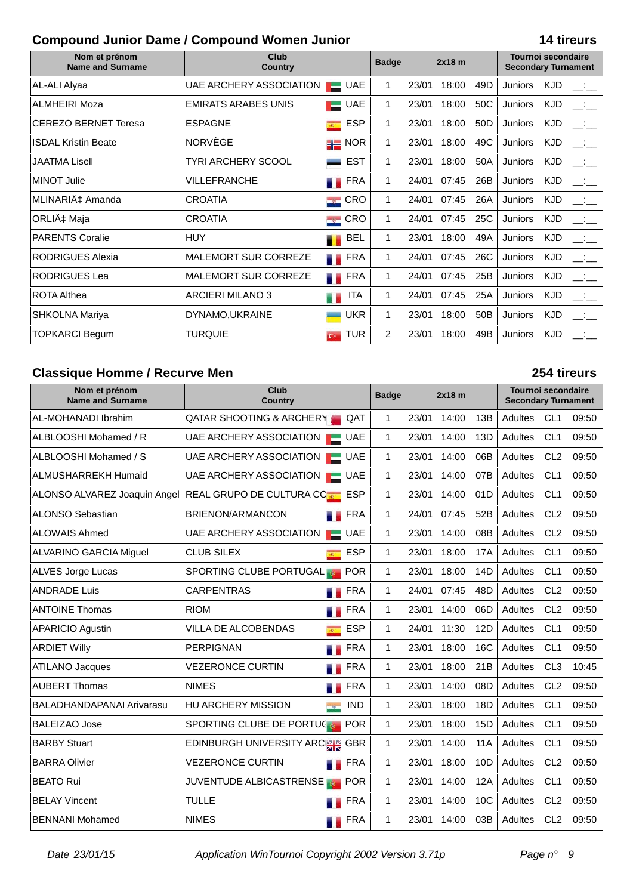### **Compound Junior Dame / Compound Women Junior 14 tireurs**

| Nom et prénom<br><b>Name and Surname</b> | Club<br><b>Country</b>      |                                                   | <b>Badge</b>   | $2x18$ m |       |                 | <b>Tournoi secondaire</b><br><b>Secondary Turnament</b> |            |               |
|------------------------------------------|-----------------------------|---------------------------------------------------|----------------|----------|-------|-----------------|---------------------------------------------------------|------------|---------------|
| AL-ALI Alyaa                             | UAE ARCHERY ASSOCIATION     | $\blacksquare$ UAE                                | 1              | 23/01    | 18:00 | 49D             | <b>Juniors</b>                                          | <b>KJD</b> |               |
| <b>ALMHEIRI Moza</b>                     | <b>EMIRATS ARABES UNIS</b>  | <b>UAE</b><br><b>The Contract of the Contract</b> | $\mathbf 1$    | 23/01    | 18:00 | 50C             | Juniors                                                 | <b>KJD</b> | $\frac{1}{2}$ |
| <b>CEREZO BERNET Teresa</b>              | <b>ESPAGNE</b>              | <b>ESP</b><br>$\overline{R}$                      | $\mathbf 1$    | 23/01    | 18:00 | 50 <sub>D</sub> | Juniors                                                 | <b>KJD</b> | المتفق        |
| <b>ISDAL Kristin Beate</b>               | NORVEGE                     | $\blacksquare$ NOR                                | $\mathbf 1$    | 23/01    | 18:00 | 49C             | <b>Juniors</b>                                          | <b>KJD</b> |               |
| <b>JAATMA Lisell</b>                     | <b>TYRI ARCHERY SCOOL</b>   | <b>EST</b>                                        | $\mathbf{1}$   | 23/01    | 18:00 | 50A             | <b>Juniors</b>                                          | <b>KJD</b> | المتقصد       |
| <b>MINOT Julie</b>                       | <b>VILLEFRANCHE</b>         | FRA<br>. .                                        | 1              | 24/01    | 07:45 | 26B             | Juniors                                                 | <b>KJD</b> |               |
| MLINARIć Amanda                          | <b>CROATIA</b>              | $\blacksquare$ CRO                                | $\mathbf 1$    | 24/01    | 07:45 | 26A             | Juniors                                                 | <b>KJD</b> | للمنافسة      |
| ORLIć Maja                               | <b>CROATIA</b>              | $\blacksquare$ CRO                                | 1              | 24/01    | 07:45 | 25C             | Juniors                                                 | <b>KJD</b> |               |
| <b>PARENTS Coralie</b>                   | <b>HUY</b>                  | BEL<br>. .                                        | $\mathbf 1$    | 23/01    | 18:00 | 49A             | Juniors                                                 | <b>KJD</b> | $\Box$        |
| <b>RODRIGUES Alexia</b>                  | <b>MALEMORT SUR CORREZE</b> | <b>FRA</b>                                        | $\mathbf 1$    | 24/01    | 07:45 | 26C             | <b>Juniors</b>                                          | <b>KJD</b> | $\sim 100$    |
| <b>RODRIGUES Lea</b>                     | <b>MALEMORT SUR CORREZE</b> | <b>TERA</b>                                       | 1              | 24/01    | 07:45 | 25B             | Juniors                                                 | <b>KJD</b> | للمنافس       |
| ROTA Althea                              | <b>ARCIERI MILANO 3</b>     | <b>ITA</b>                                        | 1              | 24/01    | 07:45 | 25A             | Juniors                                                 | <b>KJD</b> | للمتأنس       |
| <b>SHKOLNA Mariya</b>                    | DYNAMO, UKRAINE             | <b>UKR</b>                                        | 1              | 23/01    | 18:00 | 50B             | Juniors                                                 | <b>KJD</b> |               |
| <b>TOPKARCI Begum</b>                    | <b>TURQUIE</b>              | <b>TUR</b><br>$\overline{C}$                      | $\overline{2}$ | 23/01    | 18:00 | 49B             | <b>Juniors</b>                                          | <b>KJD</b> |               |

### **Classique Homme / Recurve Men 254 tireurs**

### **Nom et prénom Name and Surname Club Country 2x18 m Tournoi secondaire Secondary Turnament Badge** AL-MOHANADI Ibrahim QATAR SHOOTING & ARCHERY QAT 1 23/01 14:00 13B Adultes CL1 09:50 ALBLOOSHI Mohamed / R UAE ARCHERY ASSOCIATION UAE 1 23/01 14:00 13D Adultes CL1 09:50 ALBLOOSHI Mohamed / S | UAE ARCHERY ASSOCIATION | UAE | 1 | 23/01 14:00 06B | Adultes CL2 09:50 ALMUSHARREKH Humaid UAE ARCHERY ASSOCIATION UAE 1 23/01 14:00 07B Adultes CL1 09:50 ALONSO ALVAREZ Joaquin Angel REAL GRUPO DE CULTURA CORE ESP  $\vert$  1 23/01 14:00 01D Adultes CL1 09:50 ALONSO Sebastian **BRIENON/ARMANCON FRA 1 24/01 07:45 52B Adultes CL2 09:50** ALOWAIS Ahmed **Alternative CL2** 09:50 UAE ARCHERY ASSOCIATION **U** UAE 1 23/01 14:00 08B Adultes CL2 09:50 ALVARINO GARCIA Miguel CLUB SILEX **ESP** 1 23/01 18:00 17A Adultes CL1 09:50 ALVES Jorge Lucas SPORTING CLUBE PORTUGAL **DETERING 1 32/01 18:00 14D** Adultes CL1 09:50 ANDRADE Luis CARPENTRAS FRA 1 24/01 07:45 48D Adultes CL2 09:50 ANTOINE Thomas FRA <sup>|</sup> 1 |23/01 14:00 06D | Adultes CL2 09:50 APARICIO Agustin  $\vert$ VILLA DE ALCOBENDAS  $\vert$  ESP  $\vert$  1  $\vert$  24/01 11:30 12D  $\vert$  Adultes CL1 09:50 ARDIET Willy |PERPIGNAN FRA | 1 |23/01 18:00 16C | Adultes CL1 09:50 ATILANO Jacques VEZERONCE CURTIN FRA 1 23/01 18:00 21B Adultes CL3 10:45 AUBERT Thomas NIMES FRA 1 23/01 14:00 08D Adultes CL2 09:50 BALADHANDAPANAI Arivarasu HU ARCHERY MISSION IND 1 23/01 18:00 18D Adultes CL1 09:50 BALEIZAO Jose SPORTING CLUBE DE PORTUGA POR  $\vert$  1  $\vert$  23/01 18:00 15D  $\vert$  Adultes CL1 09:50 BARBY Stuart **EDINBURGH UNIVERSITY ARCH GBR** 1 23/01 14:00 11A Adultes CL1 09:50 BARRA Olivier **VEZERONCE CURTIN** FRA 1 23/01 18:00 10D Adultes CL2 09:50 BEATO Rui **International COVENTUDE ALBICASTRENSE DEPANNICION** 123/01 14:00 12A Adultes CL1 09:50 BELAY Vincent TULLE **TULLE** THE FRA 1 23/01 14:00 10C Adultes CL2 09:50 BENNANI Mohamed | NIMES | NIMES | FRA | 1 23/01 14:00 03B | Adultes CL2 09:50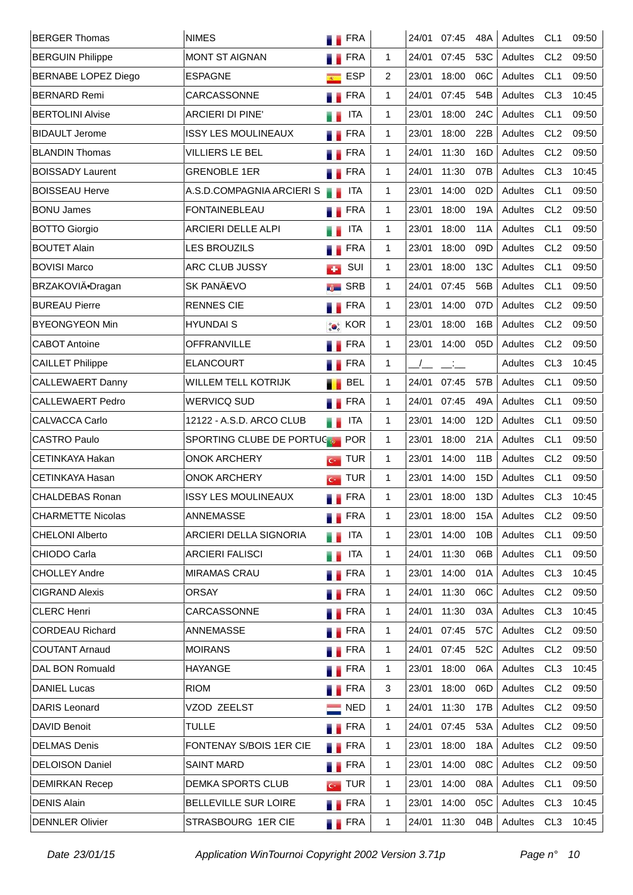| <b>BERGER Thomas</b>       | <b>NIMES</b>                  | <b>FRA</b>                   |              | 24/01 | 07:45                       | 48A | Adultes | CL <sub>1</sub> | 09:50 |
|----------------------------|-------------------------------|------------------------------|--------------|-------|-----------------------------|-----|---------|-----------------|-------|
| <b>BERGUIN Philippe</b>    | <b>MONT ST AIGNAN</b>         | <b>FRA</b>                   | 1.           | 24/01 | 07:45                       | 53C | Adultes | CL <sub>2</sub> | 09:50 |
| <b>BERNABE LOPEZ Diego</b> | <b>ESPAGNE</b>                | <b>ESP</b><br>$R^{\rm{max}}$ | 2            | 23/01 | 18:00                       | 06C | Adultes | CL <sub>1</sub> | 09:50 |
| <b>BERNARD Remi</b>        | CARCASSONNE                   | <b>Exercise</b>              | $\mathbf{1}$ | 24/01 | 07:45                       | 54B | Adultes | CL <sub>3</sub> | 10:45 |
| <b>BERTOLINI Alvise</b>    | <b>ARCIERI DI PINE'</b>       | <b>ITA</b>                   | 1.           | 23/01 | 18:00                       | 24C | Adultes | CL <sub>1</sub> | 09:50 |
| <b>BIDAULT Jerome</b>      | <b>ISSY LES MOULINEAUX</b>    | <b>FRA</b>                   | $\mathbf{1}$ | 23/01 | 18:00                       | 22B | Adultes | CL <sub>2</sub> | 09:50 |
| <b>BLANDIN Thomas</b>      | <b>VILLIERS LE BEL</b>        | <b>FRA</b>                   | 1.           | 24/01 | 11:30                       | 16D | Adultes | CL <sub>2</sub> | 09:50 |
| <b>BOISSADY Laurent</b>    | <b>GRENOBLE 1ER</b>           | <b>FRA</b><br>ш              | $\mathbf{1}$ | 24/01 | 11:30                       | 07B | Adultes | CL <sub>3</sub> | 10:45 |
| <b>BOISSEAU Herve</b>      | A.S.D.COMPAGNIA ARCIERIS      | <b>ITA</b>                   | 1.           | 23/01 | 14:00                       | 02D | Adultes | CL <sub>1</sub> | 09:50 |
| <b>BONU James</b>          | <b>FONTAINEBLEAU</b>          | FRA<br>۰.                    | 1            | 23/01 | 18:00                       | 19A | Adultes | CL <sub>2</sub> | 09:50 |
| <b>BOTTO Giorgio</b>       | ARCIERI DELLE ALPI            | <b>ITA</b>                   | 1            | 23/01 | 18:00                       | 11A | Adultes | CL <sub>1</sub> | 09:50 |
| <b>BOUTET Alain</b>        | <b>LES BROUZILS</b>           | <b>FRA</b><br>. .            | 1            | 23/01 | 18:00                       | 09D | Adultes | CL <sub>2</sub> | 09:50 |
| <b>BOVISI Marco</b>        | ARC CLUB JUSSY                | SUI<br><b>CO</b>             | 1            | 23/01 | 18:00                       | 13C | Adultes | CL <sub>1</sub> | 09:50 |
| BRZAKOVIÄ·Dragan           | <b>SK PANÄEVO</b>             | <b>SRB</b>                   | $\mathbf{1}$ | 24/01 | 07:45                       | 56B | Adultes | CL <sub>1</sub> | 09:50 |
| <b>BUREAU Pierre</b>       | <b>RENNES CIE</b>             | <b>Example</b> FRA           | 1.           | 23/01 | 14:00                       | 07D | Adultes | CL <sub>2</sub> | 09:50 |
| <b>BYEONGYEON Min</b>      | <b>HYUNDAIS</b>               | <b>Co</b> KOR                | $\mathbf{1}$ | 23/01 | 18:00                       | 16B | Adultes | CL <sub>2</sub> | 09:50 |
| <b>CABOT Antoine</b>       | OFFRANVILLE                   | <b>Exercise</b>              | 1.           | 23/01 | 14:00                       | 05D | Adultes | CL <sub>2</sub> | 09:50 |
| <b>CAILLET Philippe</b>    | <b>ELANCOURT</b>              | <b>FRA</b>                   | 1            |       | $\mathcal{L}_{\mathcal{L}}$ |     | Adultes | CL <sub>3</sub> | 10:45 |
| <b>CALLEWAERT Danny</b>    | WILLEM TELL KOTRIJK           | <b>BEL</b>                   | 1.           | 24/01 | 07:45                       | 57B | Adultes | CL <sub>1</sub> | 09:50 |
| <b>CALLEWAERT Pedro</b>    | <b>WERVICQ SUD</b>            | FRA                          | 1            | 24/01 | 07:45                       | 49A | Adultes | CL <sub>1</sub> | 09:50 |
| <b>CALVACCA Carlo</b>      | 12122 - A.S.D. ARCO CLUB      | <b>ITA</b><br>a a            | $\mathbf{1}$ | 23/01 | 14:00                       | 12D | Adultes | CL <sub>1</sub> | 09:50 |
| <b>CASTRO Paulo</b>        | SPORTING CLUBE DE PORTUCE POR |                              | $\mathbf{1}$ | 23/01 | 18:00                       | 21A | Adultes | CL <sub>1</sub> | 09:50 |
| <b>CETINKAYA Hakan</b>     | <b>ONOK ARCHERY</b>           | $G$ TUR                      | 1.           | 23/01 | 14:00                       | 11B | Adultes | CL <sub>2</sub> | 09:50 |
| CETINKAYA Hasan            | <b>ONOK ARCHERY</b>           | <b>TUR</b><br>$C^*$          | 1            | 23/01 | 14:00                       | 15D | Adultes | CL <sub>1</sub> | 09:50 |
| <b>CHALDEBAS Ronan</b>     | <b>ISSY LES MOULINEAUX</b>    | <b>FRA</b>                   | 1            | 23/01 | 18:00                       | 13D | Adultes | CL <sub>3</sub> | 10:45 |
| <b>CHARMETTE Nicolas</b>   | ANNEMASSE                     | <b>FRA</b>                   | 1            | 23/01 | 18:00                       | 15A | Adultes | CL <sub>2</sub> | 09:50 |
| <b>CHELONI Alberto</b>     | ARCIERI DELLA SIGNORIA        | <b>ITA</b><br>. .            | 1            | 23/01 | 14:00                       | 10B | Adultes | CL <sub>1</sub> | 09:50 |
| CHIODO Carla               | <b>ARCIERI FALISCI</b>        | <b>ITA</b><br>55             | 1            | 24/01 | 11:30                       | 06B | Adultes | CL <sub>1</sub> | 09:50 |
| <b>CHOLLEY Andre</b>       | <b>MIRAMAS CRAU</b>           | <b>TERA</b>                  | 1            | 23/01 | 14:00                       | 01A | Adultes | CL <sub>3</sub> | 10:45 |
| <b>CIGRAND Alexis</b>      | <b>ORSAY</b>                  | <b>TERA</b>                  | 1.           | 24/01 | 11:30                       | 06C | Adultes | CL <sub>2</sub> | 09:50 |
| <b>CLERC Henri</b>         | CARCASSONNE                   | <b>TERA</b>                  | 1            | 24/01 | 11:30                       | 03A | Adultes | CL <sub>3</sub> | 10:45 |
| <b>CORDEAU Richard</b>     | ANNEMASSE                     | <b>N</b> FRA                 | 1            | 24/01 | 07:45                       | 57C | Adultes | CL <sub>2</sub> | 09:50 |
| <b>COUTANT Arnaud</b>      | <b>MOIRANS</b>                | <b>TERA</b>                  | 1            | 24/01 | 07:45                       | 52C | Adultes | CL <sub>2</sub> | 09:50 |
| DAL BON Romuald            | <b>HAYANGE</b>                | <b>N</b> FRA                 | 1            | 23/01 | 18:00                       | 06A | Adultes | CL <sub>3</sub> | 10:45 |
| <b>DANIEL Lucas</b>        | <b>RIOM</b>                   | <b>FRA</b>                   | 3            | 23/01 | 18:00                       | 06D | Adultes | CL <sub>2</sub> | 09:50 |
| <b>DARIS Leonard</b>       | VZOD ZEELST                   | $\blacksquare$ NED           | 1            | 24/01 | 11:30                       | 17B | Adultes | CL <sub>2</sub> | 09:50 |
| <b>DAVID Benoit</b>        | <b>TULLE</b>                  | <b>Exercise</b>              | 1            | 24/01 | 07:45                       | 53A | Adultes | CL <sub>2</sub> | 09:50 |
| <b>DELMAS Denis</b>        | FONTENAY S/BOIS 1ER CIE       | <b>TERA</b>                  | 1            | 23/01 | 18:00                       | 18A | Adultes | CL <sub>2</sub> | 09:50 |
| <b>DELOISON Daniel</b>     | <b>SAINT MARD</b>             | <b>FRA</b>                   | 1            | 23/01 | 14:00                       | 08C | Adultes | CL <sub>2</sub> | 09:50 |
| <b>DEMIRKAN Recep</b>      | DEMKA SPORTS CLUB             | $\epsilon$ TUR               | 1            | 23/01 | 14:00                       | 08A | Adultes | CL <sub>1</sub> | 09:50 |
| <b>DENIS Alain</b>         | <b>BELLEVILLE SUR LOIRE</b>   | <b>FRA</b>                   | 1            | 23/01 | 14:00                       | 05C | Adultes | CL <sub>3</sub> | 10:45 |
| <b>DENNLER Olivier</b>     | STRASBOURG 1ER CIE            | <b>TERA</b>                  | 1            | 24/01 | 11:30                       | 04B | Adultes | CL <sub>3</sub> | 10:45 |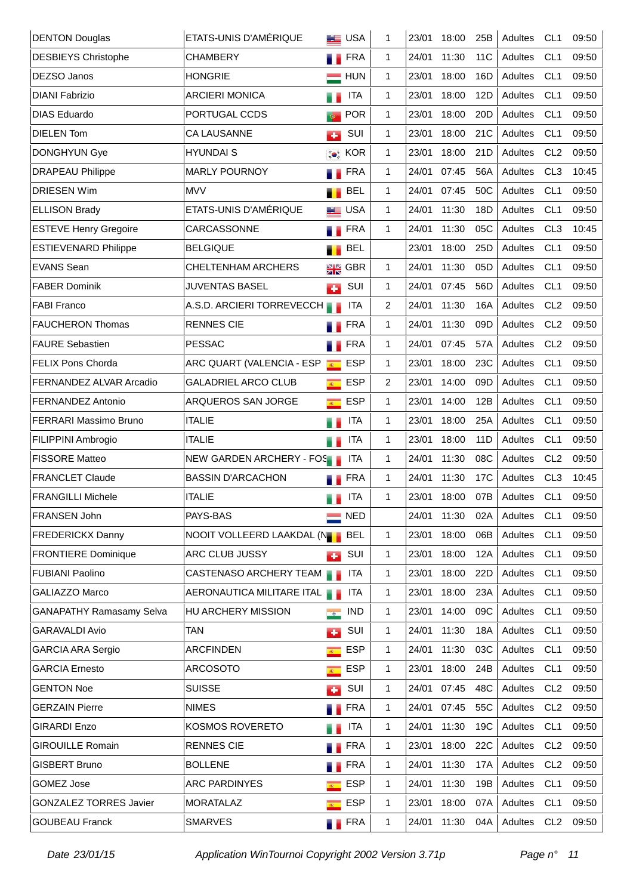| <b>DENTON Douglas</b>           | ETATS-UNIS D'AMÉRIQUE         | <b>EE</b> USA                                              | 1            | 23/01 | 18:00 | 25B             | Adultes | CL <sub>1</sub> | 09:50 |
|---------------------------------|-------------------------------|------------------------------------------------------------|--------------|-------|-------|-----------------|---------|-----------------|-------|
| <b>DESBIEYS Christophe</b>      | <b>CHAMBERY</b>               | <b>FRA</b><br>a a                                          | 1            | 24/01 | 11:30 | 11 <sub>C</sub> | Adultes | CL <sub>1</sub> | 09:50 |
| <b>DEZSO Janos</b>              | <b>HONGRIE</b>                | <b>HUN</b>                                                 | 1            | 23/01 | 18:00 | 16D             | Adultes | CL <sub>1</sub> | 09:50 |
| <b>DIANI Fabrizio</b>           | <b>ARCIERI MONICA</b>         | <b>ITA</b><br>a a                                          | 1            | 23/01 | 18:00 | 12D             | Adultes | CL <sub>1</sub> | 09:50 |
| <b>DIAS Eduardo</b>             | PORTUGAL CCDS                 | <b>POR</b><br>$\Phi$                                       | 1            | 23/01 | 18:00 | 20 <sub>D</sub> | Adultes | CL <sub>1</sub> | 09:50 |
| <b>DIELEN Tom</b>               | <b>CA LAUSANNE</b>            | SUI<br><b>CO</b>                                           | 1            | 23/01 | 18:00 | 21C             | Adultes | CL <sub>1</sub> | 09:50 |
| <b>DONGHYUN Gye</b>             | <b>HYUNDAIS</b>               | <b>Co</b> KOR                                              | 1            | 23/01 | 18:00 | 21D             | Adultes | CL <sub>2</sub> | 09:50 |
| <b>DRAPEAU Philippe</b>         | <b>MARLY POURNOY</b>          | <b>FRA</b><br>. .                                          | 1            | 24/01 | 07:45 | 56A             | Adultes | CL <sub>3</sub> | 10:45 |
| <b>DRIESEN Wim</b>              | <b>MVV</b>                    | <b>BEL</b>                                                 | 1            | 24/01 | 07:45 | 50C             | Adultes | CL <sub>1</sub> | 09:50 |
| <b>ELLISON Brady</b>            | ETATS-UNIS D'AMÉRIQUE         | <b>BE</b> USA                                              | 1            | 24/01 | 11:30 | 18D             | Adultes | CL <sub>1</sub> | 09:50 |
| <b>ESTEVE Henry Gregoire</b>    | CARCASSONNE                   | <b>FRA</b>                                                 | 1            | 24/01 | 11:30 | 05C             | Adultes | CL <sub>3</sub> | 10:45 |
| <b>ESTIEVENARD Philippe</b>     | <b>BELGIQUE</b>               | <b>BEL</b><br>.,                                           |              | 23/01 | 18:00 | 25 <sub>D</sub> | Adultes | CL <sub>1</sub> | 09:50 |
| <b>EVANS Sean</b>               | <b>CHELTENHAM ARCHERS</b>     | $\frac{1}{2R}$ GBR                                         | 1            | 24/01 | 11:30 | 05D             | Adultes | CL <sub>1</sub> | 09:50 |
| <b>FABER Dominik</b>            | <b>JUVENTAS BASEL</b>         | SUI<br><b>CO</b>                                           | 1            | 24/01 | 07:45 | 56D             | Adultes | CL <sub>1</sub> | 09:50 |
| <b>FABI Franco</b>              | A.S.D. ARCIERI TORREVECCH     | <b>ITA</b>                                                 | 2            | 24/01 | 11:30 | 16A             | Adultes | CL <sub>2</sub> | 09:50 |
| <b>FAUCHERON Thomas</b>         | <b>RENNES CIE</b>             | <b>FRA</b><br>۳.                                           | 1            | 24/01 | 11:30 | 09D             | Adultes | CL <sub>2</sub> | 09:50 |
| <b>FAURE Sebastien</b>          | <b>PESSAC</b>                 | FRA<br>۳.                                                  | 1            | 24/01 | 07:45 | 57A             | Adultes | CL <sub>2</sub> | 09:50 |
| <b>FELIX Pons Chorda</b>        | ARC QUART (VALENCIA - ESP     | <b>ESP</b><br>$\overline{R^{(1)}_{\scriptscriptstyle{A}}}$ | 1            | 23/01 | 18:00 | 23C             | Adultes | CL <sub>1</sub> | 09:50 |
| <b>FERNANDEZ ALVAR Arcadio</b>  | <b>GALADRIEL ARCO CLUB</b>    | <b>ESP</b><br>$\overline{R}$                               | 2            | 23/01 | 14:00 | 09D             | Adultes | CL <sub>1</sub> | 09:50 |
| <b>FERNANDEZ Antonio</b>        | ARQUEROS SAN JORGE            | <b>ESP</b><br>$\overline{R}$                               | 1            | 23/01 | 14:00 | 12B             | Adultes | CL <sub>1</sub> | 09:50 |
| FERRARI Massimo Bruno           | <b>ITALIE</b>                 | <b>ITA</b><br>H.                                           | 1            | 23/01 | 18:00 | 25A             | Adultes | CL <sub>1</sub> | 09:50 |
| FILIPPINI Ambrogio              | <b>ITALIE</b>                 | <b>ITA</b><br>H.                                           | 1            | 23/01 | 18:00 | 11 <sub>D</sub> | Adultes | CL <sub>1</sub> | 09:50 |
| <b>FISSORE Matteo</b>           | NEW GARDEN ARCHERY - FOS      | <b>ITA</b>                                                 | 1            | 24/01 | 11:30 | 08C             | Adultes | CL <sub>2</sub> | 09:50 |
| <b>FRANCLET Claude</b>          | <b>BASSIN D'ARCACHON</b>      | <b>FRA</b>                                                 | 1            | 24/01 | 11:30 | 17 <sub>C</sub> | Adultes | CL <sub>3</sub> | 10:45 |
| <b>FRANGILLI Michele</b>        | <b>ITALIE</b>                 | <b>ITA</b><br>H.                                           | 1            | 23/01 | 18:00 | 07B             | Adultes | CL <sub>1</sub> | 09:50 |
| FRANSEN John                    | PAYS-BAS                      | <b>NED</b>                                                 |              | 24/01 | 11:30 | 02A             | Adultes | CL <sub>1</sub> | 09:50 |
| <b>FREDERICKX Danny</b>         | NOOIT VOLLEERD LAAKDAL (NOOIT | <b>BEL</b>                                                 | 1            | 23/01 | 18:00 | 06B             | Adultes | CL <sub>1</sub> | 09:50 |
| <b>FRONTIERE Dominique</b>      | ARC CLUB JUSSY                | SUI<br>к.                                                  | 1            | 23/01 | 18:00 | 12A             | Adultes | CL <sub>1</sub> | 09:50 |
| <b>FUBIANI Paolino</b>          | <b>CASTENASO ARCHERY TEAM</b> | <b>ITA</b>                                                 | 1            | 23/01 | 18:00 | 22D             | Adultes | CL <sub>1</sub> | 09:50 |
| GALIAZZO Marco                  | AERONAUTICA MILITARE ITAL     | <b>ITA</b>                                                 | 1            | 23/01 | 18:00 | 23A             | Adultes | CL <sub>1</sub> | 09:50 |
| <b>GANAPATHY Ramasamy Selva</b> | HU ARCHERY MISSION            | <b>IND</b><br>$\rightarrow$                                | 1.           | 23/01 | 14:00 | 09C             | Adultes | CL <sub>1</sub> | 09:50 |
| <b>GARAVALDI Avio</b>           | <b>TAN</b>                    | SUI<br>к.                                                  | $\mathbf{1}$ | 24/01 | 11:30 | 18A             | Adultes | CL <sub>1</sub> | 09:50 |
| <b>GARCIA ARA Sergio</b>        | <b>ARCFINDEN</b>              | <b>ESP</b><br>$\overline{R_{\rm{max}}}$                    | 1.           | 24/01 | 11:30 | 03C             | Adultes | CL <sub>1</sub> | 09:50 |
| <b>GARCIA Ernesto</b>           | <b>ARCOSOTO</b>               | <b>ESP</b><br>$\overline{R^{(1)}}$                         | 1            | 23/01 | 18:00 | 24B             | Adultes | CL <sub>1</sub> | 09:50 |
| <b>GENTON Noe</b>               | <b>SUISSE</b>                 | SUI<br>с.                                                  | 1            | 24/01 | 07:45 | 48C             | Adultes | CL <sub>2</sub> | 09:50 |
| <b>GERZAIN Pierre</b>           | <b>NIMES</b>                  | <b>TERA</b>                                                | 1            | 24/01 | 07:45 | 55C             | Adultes | CL <sub>2</sub> | 09:50 |
| <b>GIRARDI Enzo</b>             | KOSMOS ROVERETO               | <b>ITA</b>                                                 | 1            | 24/01 | 11:30 | 19C             | Adultes | CL <sub>1</sub> | 09:50 |
| <b>GIROUILLE Romain</b>         | <b>RENNES CIE</b>             | FRA<br>a a                                                 | 1.           | 23/01 | 18:00 | 22C             | Adultes | CL <sub>2</sub> | 09:50 |
| <b>GISBERT Bruno</b>            | <b>BOLLENE</b>                | <b>FRA</b>                                                 | 1.           | 24/01 | 11:30 | 17A             | Adultes | CL <sub>2</sub> | 09:50 |
| <b>GOMEZ Jose</b>               | <b>ARC PARDINYES</b>          | <b>ESP</b><br>$\overline{R}$                               | $\mathbf{1}$ | 24/01 | 11:30 | 19B             | Adultes | CL <sub>1</sub> | 09:50 |
| <b>GONZALEZ TORRES Javier</b>   | <b>MORATALAZ</b>              | <b>ESP</b><br>$\overline{R}$                               | 1.           | 23/01 | 18:00 | 07A             | Adultes | CL <sub>1</sub> | 09:50 |
| <b>GOUBEAU Franck</b>           | <b>SMARVES</b>                | <b>FRA</b>                                                 | 1            | 24/01 | 11:30 | 04A             | Adultes | CL <sub>2</sub> | 09:50 |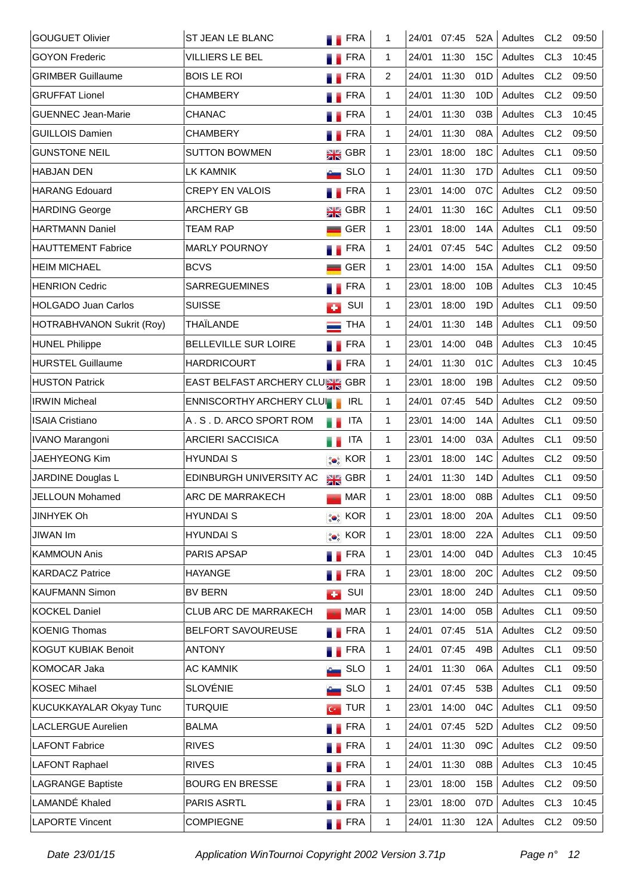| <b>GOUGUET Olivier</b>     | ST JEAN LE BLANC               |           | <b>TERA</b>        | 1            | 24/01 | 07:45 | 52A | Adultes | CL <sub>2</sub> | 09:50 |
|----------------------------|--------------------------------|-----------|--------------------|--------------|-------|-------|-----|---------|-----------------|-------|
| <b>GOYON Frederic</b>      | <b>VILLIERS LE BEL</b>         |           | <b>FRA</b>         | 1.           | 24/01 | 11:30 | 15C | Adultes | CL <sub>3</sub> | 10:45 |
| <b>GRIMBER Guillaume</b>   | <b>BOIS LE ROI</b>             |           | <b>FRA</b>         | 2            | 24/01 | 11:30 | 01D | Adultes | CL <sub>2</sub> | 09:50 |
| <b>GRUFFAT Lionel</b>      | <b>CHAMBERY</b>                |           | <b>FRA</b>         | 1.           | 24/01 | 11:30 | 10D | Adultes | CL <sub>2</sub> | 09:50 |
| <b>GUENNEC Jean-Marie</b>  | <b>CHANAC</b>                  |           | <b>FRA</b>         | 1.           | 24/01 | 11:30 | 03B | Adultes | CL <sub>3</sub> | 10:45 |
| <b>GUILLOIS Damien</b>     | <b>CHAMBERY</b>                | . .       | <b>FRA</b>         | 1.           | 24/01 | 11:30 | 08A | Adultes | CL <sub>2</sub> | 09:50 |
| <b>GUNSTONE NEIL</b>       | <b>SUTTON BOWMEN</b>           |           | $\frac{1}{2}$ GBR  | 1.           | 23/01 | 18:00 | 18C | Adultes | CL <sub>1</sub> | 09:50 |
| <b>HABJAN DEN</b>          | LK KAMNIK                      |           | <b>SLO</b>         | 1.           | 24/01 | 11:30 | 17D | Adultes | CL <sub>1</sub> | 09:50 |
| <b>HARANG Edouard</b>      | <b>CREPY EN VALOIS</b>         |           | <b>FRA</b>         | 1            | 23/01 | 14:00 | 07C | Adultes | CL <sub>2</sub> | 09:50 |
| <b>HARDING George</b>      | <b>ARCHERY GB</b>              |           | $\frac{1}{2}$ GBR  | 1            | 24/01 | 11:30 | 16C | Adultes | CL <sub>1</sub> | 09:50 |
| <b>HARTMANN Daniel</b>     | TEAM RAP                       |           | <b>GER</b>         | $\mathbf{1}$ | 23/01 | 18:00 | 14A | Adultes | CL <sub>1</sub> | 09:50 |
| <b>HAUTTEMENT Fabrice</b>  | <b>MARLY POURNOY</b>           |           | <b>FRA</b>         | $\mathbf{1}$ | 24/01 | 07:45 | 54C | Adultes | CL <sub>2</sub> | 09:50 |
| <b>HEIM MICHAEL</b>        | <b>BCVS</b>                    |           | <b>GER</b>         | $\mathbf{1}$ | 23/01 | 14:00 | 15A | Adultes | CL <sub>1</sub> | 09:50 |
| <b>HENRION Cedric</b>      | <b>SARREGUEMINES</b>           |           | <b>FRA</b>         | $\mathbf{1}$ | 23/01 | 18:00 | 10B | Adultes | CL <sub>3</sub> | 10:45 |
| <b>HOLGADO Juan Carlos</b> | <b>SUISSE</b>                  | <b>CO</b> | SUI                | $\mathbf{1}$ | 23/01 | 18:00 | 19D | Adultes | CL <sub>1</sub> | 09:50 |
| HOTRABHVANON Sukrit (Roy)  | THAÏLANDE                      | $\equiv$  | <b>THA</b>         | $\mathbf{1}$ | 24/01 | 11:30 | 14B | Adultes | CL <sub>1</sub> | 09:50 |
| <b>HUNEL Philippe</b>      | <b>BELLEVILLE SUR LOIRE</b>    |           | <b>FRA</b>         | $\mathbf{1}$ | 23/01 | 14:00 | 04B | Adultes | CL <sub>3</sub> | 10:45 |
| <b>HURSTEL Guillaume</b>   | <b>HARDRICOURT</b>             | a a       | <b>FRA</b>         | $\mathbf{1}$ | 24/01 | 11:30 | 01C | Adultes | CL <sub>3</sub> | 10:45 |
| <b>HUSTON Patrick</b>      | EAST BELFAST ARCHERY CLURK GBR |           |                    | $\mathbf{1}$ | 23/01 | 18:00 | 19B | Adultes | CL <sub>2</sub> | 09:50 |
| <b>IRWIN Micheal</b>       | ENNISCORTHY ARCHERY CLUIN      |           | <b>IRL</b>         | 1            | 24/01 | 07:45 | 54D | Adultes | CL <sub>2</sub> | 09:50 |
| <b>ISAIA Cristiano</b>     | A.S.D. ARCO SPORT ROM          | a p       | <b>ITA</b>         | 1            | 23/01 | 14:00 | 14A | Adultes | CL <sub>1</sub> | 09:50 |
| IVANO Marangoni            | <b>ARCIERI SACCISICA</b>       | a a       | <b>ITA</b>         | 1            | 23/01 | 14:00 | 03A | Adultes | CL <sub>1</sub> | 09:50 |
| JAEHYEONG Kim              | <b>HYUNDAI S</b>               |           | <b>Co</b> KOR      | $\mathbf{1}$ | 23/01 | 18:00 | 14C | Adultes | CL <sub>2</sub> | 09:50 |
| JARDINE Douglas L          | EDINBURGH UNIVERSITY AC        |           | $\frac{N}{2N}$ GBR | $\mathbf{1}$ | 24/01 | 11:30 | 14D | Adultes | CL <sub>1</sub> | 09:50 |
| <b>JELLOUN Mohamed</b>     | ARC DE MARRAKECH               |           | <b>MAR</b>         | 1            | 23/01 | 18:00 | 08B | Adultes | CL <sub>1</sub> | 09:50 |
| <b>JINHYEK Oh</b>          | <b>HYUNDAI S</b>               |           | <b>O</b> KOR       | 1            | 23/01 | 18:00 | 20A | Adultes | CL <sub>1</sub> | 09:50 |
| JIWAN Im                   | <b>HYUNDAI S</b>               |           | <b>Co</b> KOR      | 1            | 23/01 | 18:00 | 22A | Adultes | CL <sub>1</sub> | 09:50 |
| <b>KAMMOUN Anis</b>        | PARIS APSAP                    |           | <b>FRA</b>         | 1            | 23/01 | 14:00 | 04D | Adultes | CL <sub>3</sub> | 10:45 |
| <b>KARDACZ Patrice</b>     | <b>HAYANGE</b>                 |           | <b>FRA</b>         | 1            | 23/01 | 18:00 | 20C | Adultes | CL <sub>2</sub> | 09:50 |
| <b>KAUFMANN Simon</b>      | <b>BV BERN</b>                 | a Sa      | SUI                |              | 23/01 | 18:00 | 24D | Adultes | CL <sub>1</sub> | 09:50 |
| <b>KOCKEL Daniel</b>       | <b>CLUB ARC DE MARRAKECH</b>   |           | <b>MAR</b>         | 1            | 23/01 | 14:00 | 05B | Adultes | CL <sub>1</sub> | 09:50 |
| <b>KOENIG Thomas</b>       | BELFORT SAVOUREUSE             |           | <b>FRA</b>         | 1            | 24/01 | 07:45 | 51A | Adultes | CL <sub>2</sub> | 09:50 |
| <b>KOGUT KUBIAK Benoit</b> | <b>ANTONY</b>                  |           | <b>FRA</b>         | 1            | 24/01 | 07:45 | 49B | Adultes | CL <sub>1</sub> | 09:50 |
| KOMOCAR Jaka               | <b>AC KAMNIK</b>               |           | <b>SLO</b>         | 1            | 24/01 | 11:30 | 06A | Adultes | CL <sub>1</sub> | 09:50 |
| KOSEC Mihael               | SLOVÉNIE                       |           | <b>SLO</b>         | 1            | 24/01 | 07:45 | 53B | Adultes | CL <sub>1</sub> | 09:50 |
| KUCUKKAYALAR Okyay Tunc    | <b>TURQUIE</b>                 |           | $G$ TUR            | 1            | 23/01 | 14:00 | 04C | Adultes | CL <sub>1</sub> | 09:50 |
| LACLERGUE Aurelien         | <b>BALMA</b>                   |           | <b>FRA</b>         | $\mathbf{1}$ | 24/01 | 07:45 | 52D | Adultes | CL <sub>2</sub> | 09:50 |
| <b>LAFONT Fabrice</b>      | <b>RIVES</b>                   |           | <b>FRA</b>         | 1            | 24/01 | 11:30 | 09C | Adultes | CL <sub>2</sub> | 09:50 |
| <b>LAFONT Raphael</b>      | <b>RIVES</b>                   |           | <b>FRA</b>         | 1            | 24/01 | 11:30 | 08B | Adultes | CL <sub>3</sub> | 10:45 |
| <b>LAGRANGE Baptiste</b>   | <b>BOURG EN BRESSE</b>         |           | <b>TERA</b>        | 1.           | 23/01 | 18:00 | 15B | Adultes | CL <sub>2</sub> | 09:50 |
| LAMANDÉ Khaled             | PARIS ASRTL                    |           | <b>FRA</b>         | 1            | 23/01 | 18:00 | 07D | Adultes | CL <sub>3</sub> | 10:45 |
| <b>LAPORTE Vincent</b>     | <b>COMPIEGNE</b>               |           | <b>FRA</b>         | 1            | 24/01 | 11:30 | 12A | Adultes | CL <sub>2</sub> | 09:50 |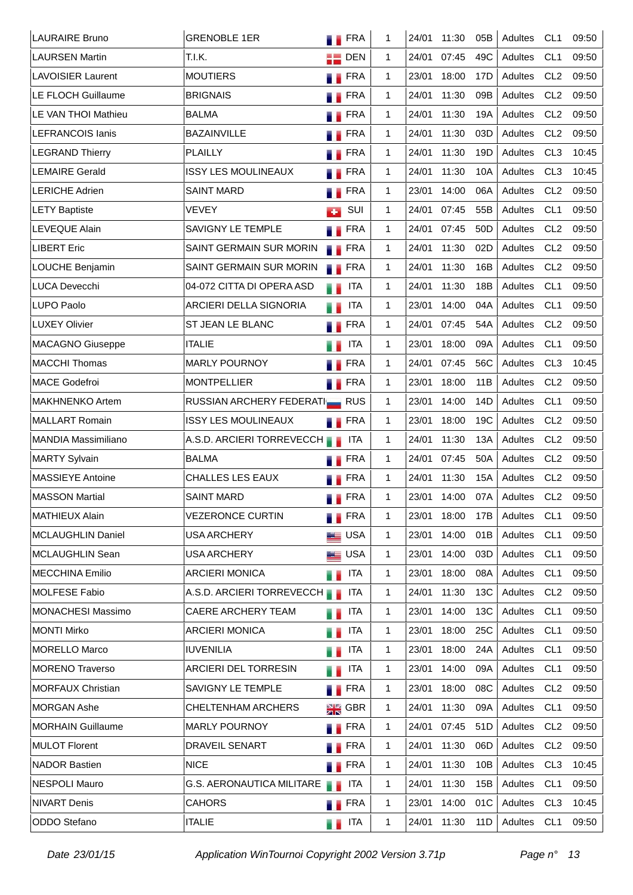| <b>LAURAIRE Bruno</b>      | <b>GRENOBLE 1ER</b>              | <b>FRA</b>         | 1            | 24/01 | 11:30 | 05B             | Adultes | CL <sub>1</sub> | 09:50 |
|----------------------------|----------------------------------|--------------------|--------------|-------|-------|-----------------|---------|-----------------|-------|
| <b>LAURSEN Martin</b>      | T.I.K.                           | $\blacksquare$ DEN | $\mathbf{1}$ | 24/01 | 07:45 | 49C             | Adultes | CL <sub>1</sub> | 09:50 |
| <b>LAVOISIER Laurent</b>   | <b>MOUTIERS</b>                  | <b>FRA</b>         | $\mathbf{1}$ | 23/01 | 18:00 | 17D             | Adultes | CL <sub>2</sub> | 09:50 |
| <b>LE FLOCH Guillaume</b>  | <b>BRIGNAIS</b>                  | <b>FRA</b>         | 1.           | 24/01 | 11:30 | 09B             | Adultes | CL <sub>2</sub> | 09:50 |
| LE VAN THOI Mathieu        | <b>BALMA</b>                     | <b>FRA</b>         | 1.           | 24/01 | 11:30 | 19A             | Adultes | CL <sub>2</sub> | 09:50 |
| <b>LEFRANCOIS lanis</b>    | <b>BAZAINVILLE</b>               | <b>FRA</b>         | 1.           | 24/01 | 11:30 | 03D             | Adultes | CL <sub>2</sub> | 09:50 |
| <b>LEGRAND Thierry</b>     | <b>PLAILLY</b>                   | <b>N</b> FRA       | 1.           | 24/01 | 11:30 | 19D             | Adultes | CL <sub>3</sub> | 10:45 |
| <b>LEMAIRE Gerald</b>      | <b>ISSY LES MOULINEAUX</b>       | <b>FRA</b>         | 1.           | 24/01 | 11:30 | 10A             | Adultes | CL <sub>3</sub> | 10:45 |
| <b>LERICHE Adrien</b>      | <b>SAINT MARD</b>                | <b>FRA</b>         | 1.           | 23/01 | 14:00 | 06A             | Adultes | CL <sub>2</sub> | 09:50 |
| <b>LETY Baptiste</b>       | <b>VEVEY</b>                     | SUI<br><b>COL</b>  | $\mathbf{1}$ | 24/01 | 07:45 | 55B             | Adultes | CL <sub>1</sub> | 09:50 |
| <b>LEVEQUE Alain</b>       | SAVIGNY LE TEMPLE                | <b>FRA</b>         | $\mathbf{1}$ | 24/01 | 07:45 | 50 <sub>D</sub> | Adultes | CL <sub>2</sub> | 09:50 |
| <b>LIBERT Eric</b>         | SAINT GERMAIN SUR MORIN          | <b>FRA</b>         | 1            | 24/01 | 11:30 | 02D             | Adultes | CL <sub>2</sub> | 09:50 |
| LOUCHE Benjamin            | SAINT GERMAIN SUR MORIN          | <b>FRA</b>         | $\mathbf{1}$ | 24/01 | 11:30 | 16B             | Adultes | CL <sub>2</sub> | 09:50 |
| <b>LUCA Devecchi</b>       | 04-072 CITTA DI OPERA ASD        | <b>ITA</b><br>u p  | $\mathbf{1}$ | 24/01 | 11:30 | 18B             | Adultes | CL <sub>1</sub> | 09:50 |
| <b>LUPO Paolo</b>          | ARCIERI DELLA SIGNORIA           | <b>ITA</b><br>u p  | $\mathbf{1}$ | 23/01 | 14:00 | 04A             | Adultes | CL <sub>1</sub> | 09:50 |
| <b>LUXEY Olivier</b>       | ST JEAN LE BLANC                 | <b>FRA</b>         | $\mathbf{1}$ | 24/01 | 07:45 | 54A             | Adultes | CL <sub>2</sub> | 09:50 |
| <b>MACAGNO Giuseppe</b>    | <b>ITALIE</b>                    | <b>ITA</b>         | $\mathbf{1}$ | 23/01 | 18:00 | 09A             | Adultes | CL <sub>1</sub> | 09:50 |
| <b>MACCHI Thomas</b>       | <b>MARLY POURNOY</b>             | FRA<br>. .         | $\mathbf{1}$ | 24/01 | 07:45 | 56C             | Adultes | CL <sub>3</sub> | 10:45 |
| <b>MACE Godefroi</b>       | <b>MONTPELLIER</b>               | <b>FRA</b>         | 1.           | 23/01 | 18:00 | 11B             | Adultes | CL <sub>2</sub> | 09:50 |
| <b>MAKHNENKO Artem</b>     | RUSSIAN ARCHERY FEDERATIER RUS   |                    | 1.           | 23/01 | 14:00 | 14D             | Adultes | CL <sub>1</sub> | 09:50 |
| <b>MALLART Romain</b>      | <b>ISSY LES MOULINEAUX</b>       | <b>FRA</b>         | 1.           | 23/01 | 18:00 | 19C             | Adultes | CL <sub>2</sub> | 09:50 |
| <b>MANDIA Massimiliano</b> | A.S.D. ARCIERI TORREVECCH        | <b>ITA</b>         | 1.           | 24/01 | 11:30 | 13A             | Adultes | CL <sub>2</sub> | 09:50 |
| <b>MARTY Sylvain</b>       | <b>BALMA</b>                     | <b>FRA</b>         | 1.           | 24/01 | 07:45 | 50A             | Adultes | CL <sub>2</sub> | 09:50 |
| <b>MASSIEYE Antoine</b>    | <b>CHALLES LES EAUX</b>          | <b>FRA</b>         | 1            | 24/01 | 11:30 | 15A             | Adultes | CL <sub>2</sub> | 09:50 |
| <b>MASSON Martial</b>      | <b>SAINT MARD</b>                | <b>FRA</b>         | 1            | 23/01 | 14:00 | 07A             | Adultes | CL <sub>2</sub> | 09:50 |
| <b>MATHIEUX Alain</b>      | <b>VEZERONCE CURTIN</b>          | <b>FRA</b>         | 1            | 23/01 | 18:00 | 17B             | Adultes | CL <sub>1</sub> | 09:50 |
| MCLAUGHLIN Daniel          | <b>USA ARCHERY</b>               | <b>LE</b> USA      | 1            | 23/01 | 14:00 | 01B             | Adultes | CL <sub>1</sub> | 09:50 |
| <b>MCLAUGHLIN Sean</b>     | <b>USA ARCHERY</b>               | <b>LE</b> USA      | 1            | 23/01 | 14:00 | 03D             | Adultes | CL <sub>1</sub> | 09:50 |
| <b>MECCHINA Emilio</b>     | <b>ARCIERI MONICA</b>            | ITA<br>e e         | 1            | 23/01 | 18:00 | 08A             | Adultes | CL <sub>1</sub> | 09:50 |
| <b>MOLFESE Fabio</b>       | A.S.D. ARCIERI TORREVECCH        | ITA                | 1            | 24/01 | 11:30 | 13C             | Adultes | CL <sub>2</sub> | 09:50 |
| <b>MONACHESI Massimo</b>   | CAERE ARCHERY TEAM               | <b>ITA</b><br>u p  | 1            | 23/01 | 14:00 | 13C             | Adultes | CL <sub>1</sub> | 09:50 |
| <b>MONTI Mirko</b>         | <b>ARCIERI MONICA</b>            | <b>ITA</b><br>a a  | 1            | 23/01 | 18:00 | 25C             | Adultes | CL <sub>1</sub> | 09:50 |
| <b>MORELLO Marco</b>       | <b>IUVENILIA</b>                 | <b>ITA</b><br>a a  | 1            | 23/01 | 18:00 | 24A             | Adultes | CL <sub>1</sub> | 09:50 |
| <b>MORENO Traverso</b>     | ARCIERI DEL TORRESIN             | <b>ITA</b><br>u p  | 1            | 23/01 | 14:00 | 09A             | Adultes | CL <sub>1</sub> | 09:50 |
| <b>MORFAUX Christian</b>   | SAVIGNY LE TEMPLE                | <b>FRA</b>         | $\mathbf 1$  | 23/01 | 18:00 | 08C             | Adultes | CL <sub>2</sub> | 09:50 |
| <b>MORGAN Ashe</b>         | <b>CHELTENHAM ARCHERS</b>        | $\frac{1}{2}$ GBR  | 1            | 24/01 | 11:30 | 09A             | Adultes | CL <sub>1</sub> | 09:50 |
| <b>MORHAIN Guillaume</b>   | <b>MARLY POURNOY</b>             | <b>Exercise</b>    | 1            | 24/01 | 07:45 | 51D             | Adultes | CL <sub>2</sub> | 09:50 |
| <b>MULOT Florent</b>       | DRAVEIL SENART                   | <b>TERA</b>        | 1            | 24/01 | 11:30 | 06D             | Adultes | CL <sub>2</sub> | 09:50 |
| <b>NADOR Bastien</b>       | <b>NICE</b>                      | <b>FRA</b>         | 1            | 24/01 | 11:30 | 10B             | Adultes | CL <sub>3</sub> | 10:45 |
| <b>NESPOLI Mauro</b>       | <b>G.S. AERONAUTICA MILITARE</b> | <b>ITA</b>         | 1            | 24/01 | 11:30 | 15B             | Adultes | CL <sub>1</sub> | 09:50 |
| <b>NIVART Denis</b>        | <b>CAHORS</b>                    | <b>FRA</b>         | 1            | 23/01 | 14:00 | 01C             | Adultes | CL <sub>3</sub> | 10:45 |
| ODDO Stefano               | <b>ITALIE</b>                    | <b>ITA</b><br>a k  | 1            | 24/01 | 11:30 | 11D             | Adultes | CL <sub>1</sub> | 09:50 |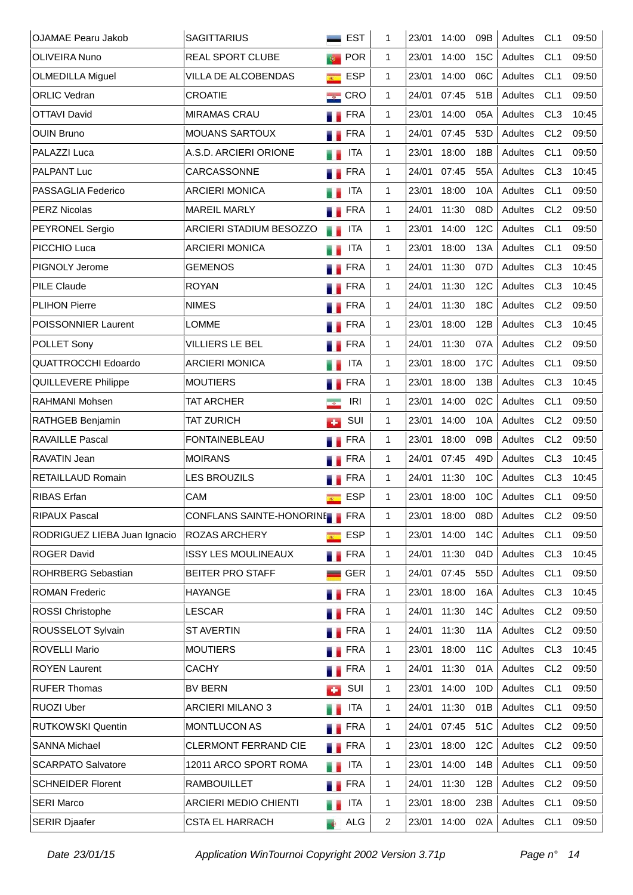| <b>OJAMAE Pearu Jakob</b>    | <b>SAGITTARIUS</b>           |                                              | <b>EST</b> | 1            | 23/01 | 14:00 | 09B             | Adultes | CL <sub>1</sub> | 09:50 |
|------------------------------|------------------------------|----------------------------------------------|------------|--------------|-------|-------|-----------------|---------|-----------------|-------|
| OLIVEIRA Nuno                | <b>REAL SPORT CLUBE</b>      | $\Phi$                                       | POR        | 1.           | 23/01 | 14:00 | 15C             | Adultes | CL <sub>1</sub> | 09:50 |
| <b>OLMEDILLA Miguel</b>      | VILLA DE ALCOBENDAS          | $\overline{R^{(1)}_{\scriptscriptstyle{A}}}$ | <b>ESP</b> | $\mathbf{1}$ | 23/01 | 14:00 | 06C             | Adultes | CL <sub>1</sub> | 09:50 |
| <b>ORLIC Vedran</b>          | <b>CROATIE</b>               | $\equiv$ CRO                                 |            | 1            | 24/01 | 07:45 | 51B             | Adultes | CL <sub>1</sub> | 09:50 |
| <b>OTTAVI David</b>          | <b>MIRAMAS CRAU</b>          | <b>FRA</b>                                   |            | 1.           | 23/01 | 14:00 | 05A             | Adultes | CL <sub>3</sub> | 10:45 |
| <b>OUIN Bruno</b>            | <b>MOUANS SARTOUX</b>        | <b>FRA</b>                                   |            | 1.           | 24/01 | 07:45 | 53D             | Adultes | CL <sub>2</sub> | 09:50 |
| PALAZZI Luca                 | A.S.D. ARCIERI ORIONE        |                                              | <b>ITA</b> | 1.           | 23/01 | 18:00 | 18B             | Adultes | CL <sub>1</sub> | 09:50 |
| <b>PALPANT Luc</b>           | <b>CARCASSONNE</b>           |                                              | <b>FRA</b> | 1            | 24/01 | 07:45 | 55A             | Adultes | CL <sub>3</sub> | 10:45 |
| PASSAGLIA Federico           | <b>ARCIERI MONICA</b>        |                                              | <b>ITA</b> | 1            | 23/01 | 18:00 | 10A             | Adultes | CL <sub>1</sub> | 09:50 |
| <b>PERZ Nicolas</b>          | <b>MAREIL MARLY</b>          | <b>FRA</b>                                   |            | 1            | 24/01 | 11:30 | 08D             | Adultes | CL <sub>2</sub> | 09:50 |
| <b>PEYRONEL Sergio</b>       | ARCIERI STADIUM BESOZZO      | . .                                          | <b>ITA</b> | 1            | 23/01 | 14:00 | 12C             | Adultes | CL <sub>1</sub> | 09:50 |
| PICCHIO Luca                 | <b>ARCIERI MONICA</b>        |                                              | <b>ITA</b> | 1            | 23/01 | 18:00 | 13A             | Adultes | CL <sub>1</sub> | 09:50 |
| PIGNOLY Jerome               | <b>GEMENOS</b>               |                                              | <b>FRA</b> | $\mathbf{1}$ | 24/01 | 11:30 | 07D             | Adultes | CL <sub>3</sub> | 10:45 |
| <b>PILE Claude</b>           | <b>ROYAN</b>                 |                                              | <b>FRA</b> | 1            | 24/01 | 11:30 | 12C             | Adultes | CL <sub>3</sub> | 10:45 |
| <b>PLIHON Pierre</b>         | <b>NIMES</b>                 |                                              | <b>FRA</b> | $\mathbf{1}$ | 24/01 | 11:30 | 18C             | Adultes | CL <sub>2</sub> | 09:50 |
| <b>POISSONNIER Laurent</b>   | <b>LOMME</b>                 |                                              | FRA        | 1            | 23/01 | 18:00 | 12B             | Adultes | CL <sub>3</sub> | 10:45 |
| POLLET Sony                  | <b>VILLIERS LE BEL</b>       |                                              | <b>FRA</b> | 1            | 24/01 | 11:30 | 07A             | Adultes | CL <sub>2</sub> | 09:50 |
| <b>QUATTROCCHI Edoardo</b>   | <b>ARCIERI MONICA</b>        |                                              | <b>ITA</b> | 1            | 23/01 | 18:00 | 17C             | Adultes | CL <sub>1</sub> | 09:50 |
| <b>QUILLEVERE Philippe</b>   | <b>MOUTIERS</b>              | a.                                           | <b>FRA</b> | 1            | 23/01 | 18:00 | 13B             | Adultes | CL <sub>3</sub> | 10:45 |
| RAHMANI Mohsen               | <b>TAT ARCHER</b>            | $\sigma$                                     | IRI        | 1            | 23/01 | 14:00 | 02C             | Adultes | CL <sub>1</sub> | 09:50 |
| RATHGEB Benjamin             | TAT ZURICH                   | <b>CO</b>                                    | SUI        | 1            | 23/01 | 14:00 | 10A             | Adultes | CL <sub>2</sub> | 09:50 |
| <b>RAVAILLE Pascal</b>       | <b>FONTAINEBLEAU</b>         |                                              | <b>FRA</b> | $\mathbf{1}$ | 23/01 | 18:00 | 09B             | Adultes | CL <sub>2</sub> | 09:50 |
| RAVATIN Jean                 | <b>MOIRANS</b>               |                                              | <b>FRA</b> | 1            | 24/01 | 07:45 | 49 <sub>D</sub> | Adultes | CL <sub>3</sub> | 10:45 |
| <b>RETAILLAUD Romain</b>     | <b>LES BROUZILS</b>          |                                              | FRA        | $\mathbf{1}$ | 24/01 | 11:30 | 10 <sub>C</sub> | Adultes | CL <sub>3</sub> | 10:45 |
| <b>RIBAS</b> Erfan           | CAM                          | $\overline{R_{\rm{m}}}$                      | <b>ESP</b> | 1            | 23/01 | 18:00 | 10 <sub>C</sub> | Adultes | CL <sub>1</sub> | 09:50 |
| RIPAUX Pascal                | CONFLANS SAINTE-HONORINE FRA |                                              |            | 1            | 23/01 | 18:00 | 08D             | Adultes | CL <sub>2</sub> | 09:50 |
| RODRIGUEZ LIEBA Juan Ignacio | ROZAS ARCHERY                | $\overline{R}$                               | <b>ESP</b> | 1            | 23/01 | 14:00 | <b>14C</b>      | Adultes | CL <sub>1</sub> | 09:50 |
| <b>ROGER David</b>           | <b>ISSY LES MOULINEAUX</b>   | <b>FRA</b>                                   |            | 1            | 24/01 | 11:30 | 04D             | Adultes | CL <sub>3</sub> | 10:45 |
| <b>ROHRBERG Sebastian</b>    | BEITER PRO STAFF             |                                              | <b>GER</b> | 1            | 24/01 | 07:45 | 55 <sub>D</sub> | Adultes | CL <sub>1</sub> | 09:50 |
| <b>ROMAN Frederic</b>        | <b>HAYANGE</b>               | <b>FRA</b>                                   |            | 1            | 23/01 | 18:00 | 16A             | Adultes | CL <sub>3</sub> | 10:45 |
| ROSSI Christophe             | <b>LESCAR</b>                | a a                                          | <b>FRA</b> | 1            | 24/01 | 11:30 | 14C             | Adultes | CL <sub>2</sub> | 09:50 |
| ROUSSELOT Sylvain            | <b>ST AVERTIN</b>            | <b>TERA</b>                                  |            | 1            | 24/01 | 11:30 | 11A             | Adultes | CL2             | 09:50 |
| ROVELLI Mario                | <b>MOUTIERS</b>              | т.                                           | FRA        | 1            | 23/01 | 18:00 | 11 <sub>C</sub> | Adultes | CL <sub>3</sub> | 10:45 |
| <b>ROYEN Laurent</b>         | <b>CACHY</b>                 | <b>TERA</b>                                  |            | 1            | 24/01 | 11:30 | 01A             | Adultes | CL <sub>2</sub> | 09:50 |
| <b>RUFER Thomas</b>          | <b>BV BERN</b>               | <b>CO</b>                                    | SUI        | 1            | 23/01 | 14:00 | 10D             | Adultes | CL <sub>1</sub> | 09:50 |
| <b>RUOZI Uber</b>            | ARCIERI MILANO 3             |                                              | <b>ITA</b> | 1            | 24/01 | 11:30 | 01B             | Adultes | CL <sub>1</sub> | 09:50 |
| <b>RUTKOWSKI Quentin</b>     | <b>MONTLUCON AS</b>          | <b>TERA</b>                                  |            | $\mathbf{1}$ | 24/01 | 07:45 | 51C             | Adultes | CL <sub>2</sub> | 09:50 |
| <b>SANNA Michael</b>         | CLERMONT FERRAND CIE         | <b>FRA</b>                                   |            | 1            | 23/01 | 18:00 | 12C             | Adultes | CL2             | 09:50 |
| <b>SCARPATO Salvatore</b>    | 12011 ARCO SPORT ROMA        | H.                                           | <b>ITA</b> | 1            | 23/01 | 14:00 | 14B             | Adultes | CL <sub>1</sub> | 09:50 |
| <b>SCHNEIDER Florent</b>     | <b>RAMBOUILLET</b>           | <b>FRA</b>                                   |            | $\mathbf{1}$ | 24/01 | 11:30 | 12B             | Adultes | CL <sub>2</sub> | 09:50 |
| <b>SERI Marco</b>            | <b>ARCIERI MEDIO CHIENTI</b> | H.                                           | <b>ITA</b> | 1            | 23/01 | 18:00 | 23B             | Adultes | CL <sub>1</sub> | 09:50 |
| <b>SERIR Djaafer</b>         | <b>CSTA EL HARRACH</b>       | $\bullet$                                    | ALG        | 2            | 23/01 | 14:00 | 02A             | Adultes | CL <sub>1</sub> | 09:50 |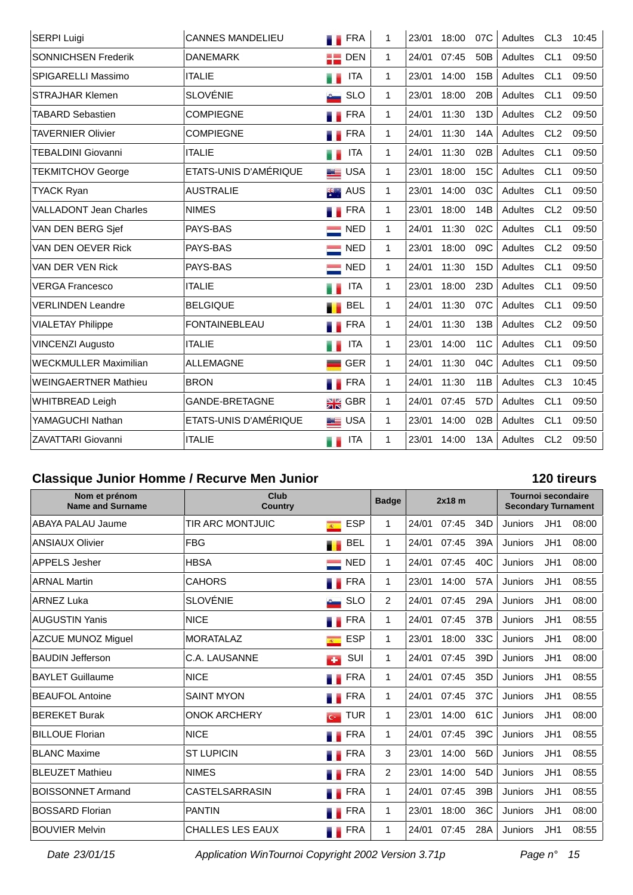| <b>SERPI Luigi</b>            | <b>CANNES MANDELIEU</b> | <b>FRA</b>         | 1            | 23/01 | 18:00 | 07C             | Adultes | CL <sub>3</sub> | 10:45 |
|-------------------------------|-------------------------|--------------------|--------------|-------|-------|-----------------|---------|-----------------|-------|
| SONNICHSEN Frederik           | <b>DANEMARK</b>         | $\blacksquare$ DEN | $\mathbf{1}$ | 24/01 | 07:45 | 50 <sub>B</sub> | Adultes | CL <sub>1</sub> | 09:50 |
| SPIGARELLI Massimo            | <b>ITALIE</b>           | <b>ITA</b>         | $\mathbf{1}$ | 23/01 | 14:00 | 15B             | Adultes | CL <sub>1</sub> | 09:50 |
| <b>STRAJHAR Klemen</b>        | <b>SLOVÉNIE</b>         | <b>SLO</b>         | $\mathbf{1}$ | 23/01 | 18:00 | 20B             | Adultes | CL <sub>1</sub> | 09:50 |
| <b>TABARD Sebastien</b>       | <b>COMPIEGNE</b>        | <b>FRA</b>         | $\mathbf{1}$ | 24/01 | 11:30 | 13D             | Adultes | CL <sub>2</sub> | 09:50 |
| <b>TAVERNIER Olivier</b>      | <b>COMPIEGNE</b>        | <b>FRA</b>         | 1            | 24/01 | 11:30 | 14A             | Adultes | CL <sub>2</sub> | 09:50 |
| <b>TEBALDINI Giovanni</b>     | <b>ITALIE</b>           | <b>ITA</b>         | $\mathbf{1}$ | 24/01 | 11:30 | 02B             | Adultes | CL <sub>1</sub> | 09:50 |
| <b>TEKMITCHOV George</b>      | ETATS-UNIS D'AMÉRIQUE   | <b>LE</b> USA      | $\mathbf{1}$ | 23/01 | 18:00 | <b>15C</b>      | Adultes | CL <sub>1</sub> | 09:50 |
| <b>TYACK Ryan</b>             | <b>AUSTRALIE</b>        | AUS<br>誤           | 1            | 23/01 | 14:00 | 03C             | Adultes | CL <sub>1</sub> | 09:50 |
| <b>VALLADONT Jean Charles</b> | <b>NIMES</b>            | <b>FRA</b>         | $\mathbf 1$  | 23/01 | 18:00 | 14B             | Adultes | CL2             | 09:50 |
| VAN DEN BERG Sjef             | PAYS-BAS                | $\blacksquare$ NED | $\mathbf 1$  | 24/01 | 11:30 | 02C             | Adultes | CL <sub>1</sub> | 09:50 |
| VAN DEN OEVER Rick            | PAYS-BAS                | <b>NED</b>         | $\mathbf{1}$ | 23/01 | 18:00 | 09C             | Adultes | CL <sub>2</sub> | 09:50 |
| VAN DER VEN Rick              | PAYS-BAS                | <b>NED</b>         | $\mathbf{1}$ | 24/01 | 11:30 | 15 <sub>D</sub> | Adultes | CL <sub>1</sub> | 09:50 |
| <b>VERGA Francesco</b>        | <b>ITALIE</b>           | <b>ITA</b>         | $\mathbf{1}$ | 23/01 | 18:00 | 23D             | Adultes | CL <sub>1</sub> | 09:50 |
| <b>VERLINDEN Leandre</b>      | <b>BELGIQUE</b>         | <b>BEL</b>         | $\mathbf{1}$ | 24/01 | 11:30 | 07C             | Adultes | CL <sub>1</sub> | 09:50 |
| <b>VIALETAY Philippe</b>      | <b>FONTAINEBLEAU</b>    | <b>FRA</b>         | 1            | 24/01 | 11:30 | 13B             | Adultes | CL <sub>2</sub> | 09:50 |
| <b>VINCENZI Augusto</b>       | <b>ITALIE</b>           | <b>ITA</b>         | $\mathbf{1}$ | 23/01 | 14:00 | 11 <sub>C</sub> | Adultes | CL <sub>1</sub> | 09:50 |
| <b>WECKMULLER Maximilian</b>  | <b>ALLEMAGNE</b>        | <b>GER</b>         | $\mathbf{1}$ | 24/01 | 11:30 | 04C             | Adultes | CL <sub>1</sub> | 09:50 |
| <b>WEINGAERTNER Mathieu</b>   | <b>BRON</b>             | <b>FRA</b>         | $\mathbf{1}$ | 24/01 | 11:30 | 11B             | Adultes | CL <sub>3</sub> | 10:45 |
| <b>WHITBREAD Leigh</b>        | <b>GANDE-BRETAGNE</b>   | $\frac{1}{2R}$ GBR | $\mathbf{1}$ | 24/01 | 07:45 | 57D             | Adultes | CL <sub>1</sub> | 09:50 |
| YAMAGUCHI Nathan              | ETATS-UNIS D'AMÉRIQUE   | <b>ED</b> USA      | $\mathbf 1$  | 23/01 | 14:00 | 02B             | Adultes | CL <sub>1</sub> | 09:50 |
| <b>ZAVATTARI Giovanni</b>     | <b>ITALIE</b>           | <b>ITA</b><br>a p  | 1            | 23/01 | 14:00 | 13A             | Adultes | CL <sub>2</sub> | 09:50 |

# **Classique Junior Homme / Recurve Men Junior 120 tireurs**

| Nom et prénom<br><b>Name and Surname</b> | Club<br><b>Country</b>  |                              | <b>Badge</b>   |       | $2x18$ m |                 | <b>Tournoi secondaire</b><br><b>Secondary Turnament</b> |     |       |
|------------------------------------------|-------------------------|------------------------------|----------------|-------|----------|-----------------|---------------------------------------------------------|-----|-------|
| ABAYA PALAU Jaume                        | TIR ARC MONTJUIC        | <b>ESP</b><br>$\overline{R}$ | 1              | 24/01 | 07:45    | 34D             | <b>Juniors</b>                                          | JH1 | 08:00 |
| <b>ANSIAUX Olivier</b>                   | <b>FBG</b>              | <b>BEL</b>                   | 1              | 24/01 | 07:45    | 39A             | <b>Juniors</b>                                          | JH1 | 08:00 |
| <b>APPELS Jesher</b>                     | <b>HBSA</b>             | <b>NED</b>                   | $\mathbf 1$    | 24/01 | 07:45    | 40C             | <b>Juniors</b>                                          | JH1 | 08:00 |
| <b>ARNAL Martin</b>                      | <b>CAHORS</b>           | FRA                          | $\mathbf 1$    | 23/01 | 14:00    | 57A             | <b>Juniors</b>                                          | JH1 | 08:55 |
| ARNEZ Luka                               | <b>SLOVÉNIE</b>         | <b>SLO</b>                   | 2              | 24/01 | 07:45    | 29A             | Juniors                                                 | JH1 | 08:00 |
| <b>AUGUSTIN Yanis</b>                    | <b>NICE</b>             | <b>FRA</b>                   | $\mathbf 1$    | 24/01 | 07:45    | 37B             | Juniors                                                 | JH1 | 08:55 |
| <b>AZCUE MUNOZ Miguel</b>                | <b>MORATALAZ</b>        | <b>ESP</b><br>$\overline{R}$ | 1              | 23/01 | 18:00    | 33C             | Juniors                                                 | JH1 | 08:00 |
| <b>BAUDIN Jefferson</b>                  | C.A. LAUSANNE           | SUI<br><b>CO</b>             | 1              | 24/01 | 07:45    | 39 <sub>D</sub> | <b>Juniors</b>                                          | JH1 | 08:00 |
| <b>BAYLET Guillaume</b>                  | <b>NICE</b>             | <b>FRA</b>                   | 1              | 24/01 | 07:45    | 35 <sub>D</sub> | <b>Juniors</b>                                          | JH1 | 08:55 |
| <b>BEAUFOL Antoine</b>                   | <b>SAINT MYON</b>       | <b>FRA</b>                   | $\mathbf 1$    | 24/01 | 07:45    | 37C             | <b>Juniors</b>                                          | JH1 | 08:55 |
| <b>BEREKET Burak</b>                     | <b>ONOK ARCHERY</b>     | <b>TUR</b><br>C <sub>2</sub> | 1              | 23/01 | 14:00    | 61C             | <b>Juniors</b>                                          | JH1 | 08:00 |
| <b>BILLOUE Florian</b>                   | <b>NICE</b>             | <b>FRA</b>                   | $\overline{1}$ | 24/01 | 07:45    | 39C             | <b>Juniors</b>                                          | JH1 | 08:55 |
| <b>BLANC Maxime</b>                      | <b>ST LUPICIN</b>       | <b>FRA</b>                   | 3              | 23/01 | 14:00    | 56D             | <b>Juniors</b>                                          | JH1 | 08:55 |
| <b>BLEUZET Mathieu</b>                   | <b>NIMES</b>            | <b>FRA</b>                   | $\overline{2}$ | 23/01 | 14:00    | 54 <sub>D</sub> | Juniors                                                 | JH1 | 08:55 |
| <b>BOISSONNET Armand</b>                 | <b>CASTELSARRASIN</b>   | <b>FRA</b>                   |                | 24/01 | 07:45    | 39B             | <b>Juniors</b>                                          | JH1 | 08:55 |
| <b>BOSSARD Florian</b>                   | <b>PANTIN</b>           | <b>FRA</b>                   | 1              | 23/01 | 18:00    | 36C             | <b>Juniors</b>                                          | JH1 | 08:00 |
| <b>BOUVIER Melvin</b>                    | <b>CHALLES LES EAUX</b> | FRA                          | $\mathbf{1}$   | 24/01 | 07:45    | 28A             | Juniors                                                 | JH1 | 08:55 |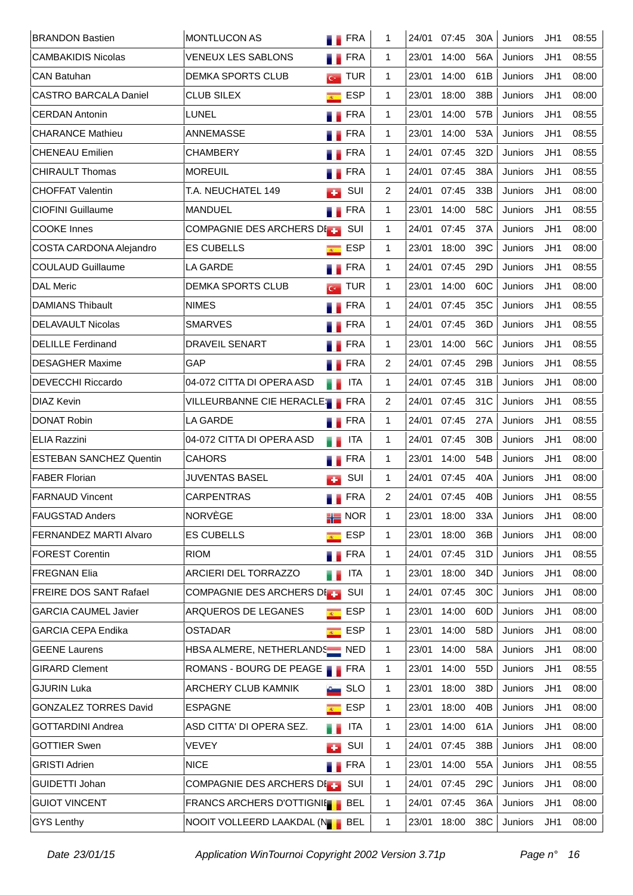| <b>BRANDON Bastien</b>         | <b>MONTLUCON AS</b>                                   |                  | <b>N</b> FRA             | 1              | 24/01 | 07:45 | 30A             | Juniors        | JH1 | 08:55 |
|--------------------------------|-------------------------------------------------------|------------------|--------------------------|----------------|-------|-------|-----------------|----------------|-----|-------|
| <b>CAMBAKIDIS Nicolas</b>      | <b>VENEUX LES SABLONS</b>                             |                  | <b>FRA</b>               | $\mathbf{1}$   | 23/01 | 14:00 | 56A             | Juniors        | JH1 | 08:55 |
| <b>CAN Batuhan</b>             | <b>DEMKA SPORTS CLUB</b>                              |                  | $\overline{G}$ TUR       | $\mathbf{1}$   | 23/01 | 14:00 | 61B             | Juniors        | JH1 | 08:00 |
| <b>CASTRO BARCALA Daniel</b>   | <b>CLUB SILEX</b>                                     | $R^{\pm}$        | <b>ESP</b>               | $\mathbf{1}$   | 23/01 | 18:00 | 38B             | Juniors        | JH1 | 08:00 |
| <b>CERDAN Antonin</b>          | LUNEL                                                 |                  | <b>FRA</b>               | $\mathbf{1}$   | 23/01 | 14:00 | 57B             | Juniors        | JH1 | 08:55 |
| <b>CHARANCE Mathieu</b>        | ANNEMASSE                                             |                  | <b>FRA</b>               | $\mathbf{1}$   | 23/01 | 14:00 | 53A             | Juniors        | JH1 | 08:55 |
| <b>CHENEAU Emilien</b>         | <b>CHAMBERY</b>                                       |                  | FRA                      | 1              | 24/01 | 07:45 | 32D             | Juniors        | JH1 | 08:55 |
| <b>CHIRAULT Thomas</b>         | <b>MOREUIL</b>                                        |                  | <b>FRA</b>               | $\mathbf{1}$   | 24/01 | 07:45 | 38A             | Juniors        | JH1 | 08:55 |
| <b>CHOFFAT Valentin</b>        | T.A. NEUCHATEL 149                                    | ÷                | SUI                      | 2              | 24/01 | 07:45 | 33B             | Juniors        | JH1 | 08:00 |
| <b>CIOFINI Guillaume</b>       | <b>MANDUEL</b>                                        |                  | <b>FRA</b>               | $\mathbf{1}$   | 23/01 | 14:00 | 58C             | Juniors        | JH1 | 08:55 |
| <b>COOKE Innes</b>             | COMPAGNIE DES ARCHERS DE                              |                  | SUI                      | $\mathbf{1}$   | 24/01 | 07:45 | 37A             | Juniors        | JH1 | 08:00 |
| COSTA CARDONA Alejandro        | <b>ES CUBELLS</b>                                     | $\overline{R}$   | <b>ESP</b>               | $\mathbf{1}$   | 23/01 | 18:00 | 39C             | Juniors        | JH1 | 08:00 |
| <b>COULAUD Guillaume</b>       | <b>LA GARDE</b>                                       |                  | <b>FRA</b>               | $\mathbf{1}$   | 24/01 | 07:45 | 29D             | <b>Juniors</b> | JH1 | 08:55 |
| <b>DAL Meric</b>               | <b>DEMKA SPORTS CLUB</b>                              | $\overline{G}$   | TUR <sub></sub>          | $\mathbf{1}$   | 23/01 | 14:00 | 60C             | Juniors        | JH1 | 08:00 |
| <b>DAMIANS Thibault</b>        | <b>NIMES</b>                                          |                  | <b>Exercise</b>          | $\mathbf{1}$   | 24/01 | 07:45 | 35C             | Juniors        | JH1 | 08:55 |
| <b>DELAVAULT Nicolas</b>       | <b>SMARVES</b>                                        |                  | <b>FRA</b>               | $\mathbf{1}$   | 24/01 | 07:45 | 36D             | <b>Juniors</b> | JH1 | 08:55 |
| <b>DELILLE Ferdinand</b>       | <b>DRAVEIL SENART</b>                                 |                  | $\blacksquare$ FRA       | $\mathbf{1}$   | 23/01 | 14:00 | 56C             | Juniors        | JH1 | 08:55 |
| <b>DESAGHER Maxime</b>         | GAP                                                   |                  | <b>FRA</b>               | 2              | 24/01 | 07:45 | 29B             | Juniors        | JH1 | 08:55 |
| <b>DEVECCHI Riccardo</b>       | 04-072 CITTA DI OPERA ASD                             |                  | <b>ITA</b>               | $\mathbf{1}$   | 24/01 | 07:45 | 31B             | Juniors        | JH1 | 08:00 |
| <b>DIAZ Kevin</b>              | VILLEURBANNE CIE HERACLES FRA                         |                  |                          | 2              | 24/01 | 07:45 | 31C             | Juniors        | JH1 | 08:55 |
| <b>DONAT Robin</b>             | LA GARDE                                              |                  | <b>Exercise</b>          | $\mathbf{1}$   | 24/01 | 07:45 | 27A             | Juniors        | JH1 | 08:55 |
| <b>ELIA Razzini</b>            | 04-072 CITTA DI OPERA ASD                             | Ш.               | <b>ITA</b>               | $\mathbf{1}$   | 24/01 | 07:45 | 30 <sub>B</sub> | Juniors        | JH1 | 08:00 |
| <b>ESTEBAN SANCHEZ Quentin</b> | <b>CAHORS</b>                                         |                  | <b>FRA</b>               | $\mathbf{1}$   | 23/01 | 14:00 | 54B             | Juniors        | JH1 | 08:00 |
| <b>FABER Florian</b>           | <b>JUVENTAS BASEL</b>                                 | a s              | SUI                      | $\mathbf{1}$   | 24/01 | 07:45 | 40A             | Juniors        | JH1 | 08:00 |
| <b>FARNAUD Vincent</b>         | <b>CARPENTRAS</b>                                     |                  | <b>Exercise</b>          | $\overline{2}$ | 24/01 | 07:45 | 40 <sub>B</sub> | Juniors        | JH1 | 08:55 |
| FAUGSTAD Anders                | NORVÈGE                                               |                  | $\frac{1}{10}$ NOR       | 1              | 23/01 | 18:00 | 33A             | Juniors        | JH1 | 08:00 |
| FERNANDEZ MARTI Alvaro         | <b>ES CUBELLS</b>                                     |                  | $\overline{\bullet}$ ESP | $\mathbf{1}$   | 23/01 | 18:00 | 36B             | Juniors        | JH1 | 08:00 |
| <b>FOREST Corentin</b>         | <b>RIOM</b>                                           |                  | <b>TERA</b>              | 1              | 24/01 | 07:45 | 31D             | Juniors        | JH1 | 08:55 |
| <b>FREGNAN Elia</b>            | ARCIERI DEL TORRAZZO                                  |                  | ITA                      | $\mathbf{1}$   | 23/01 | 18:00 | 34D             | Juniors        | JH1 | 08:00 |
| FREIRE DOS SANT Rafael         | COMPAGNIE DES ARCHERS DEL SUI                         |                  |                          | $\mathbf{1}$   | 24/01 | 07:45 | 30C             | Juniors        | JH1 | 08:00 |
| <b>GARCIA CAUMEL Javier</b>    | ARQUEROS DE LEGANES                                   | $\overline{R}$ . | <b>ESP</b>               | $\mathbf{1}$   | 23/01 | 14:00 | 60D             | Juniors        | JH1 | 08:00 |
| <b>GARCIA CEPA Endika</b>      | <b>OSTADAR</b>                                        |                  | $\overline{\bullet}$ ESP | 1              | 23/01 | 14:00 | 58D             | Juniors        | JH1 | 08:00 |
| <b>GEENE Laurens</b>           | HBSA ALMERE, NETHERLANDS NED                          |                  |                          | $\mathbf{1}$   | 23/01 | 14:00 | 58A             | Juniors        | JH1 | 08:00 |
| <b>GIRARD Clement</b>          | ROMANS - BOURG DE PEAGE THE FRA                       |                  |                          | 1              | 23/01 | 14:00 | 55D             | Juniors        | JH1 | 08:55 |
| <b>GJURIN Luka</b>             | ARCHERY CLUB KAMNIK                                   |                  | <b>SLO</b>               | $\mathbf{1}$   | 23/01 | 18:00 | 38D             | Juniors        | JH1 | 08:00 |
| <b>GONZALEZ TORRES David</b>   | <b>ESPAGNE</b>                                        |                  | $\overline{\bullet}$ ESP | $\mathbf{1}$   | 23/01 | 18:00 | 40B             | Juniors        | JH1 | 08:00 |
| <b>GOTTARDINI Andrea</b>       | ASD CITTA' DI OPERA SEZ.                              | n e              | <b>ITA</b>               | $\mathbf{1}$   | 23/01 | 14:00 | 61A             | Juniors        | JH1 | 08:00 |
| <b>GOTTIER Swen</b>            | <b>VEVEY</b>                                          | <b>CO</b>        | SUI                      | 1              | 24/01 | 07:45 | 38B             | Juniors        | JH1 | 08:00 |
| <b>GRISTI Adrien</b>           | <b>NICE</b>                                           |                  | <b>FRA</b>               | 1              | 23/01 | 14:00 | 55A             | Juniors        | JH1 | 08:55 |
| GUIDETTI Johan                 | COMPAGNIE DES ARCHERS DE SUI                          |                  |                          | $\mathbf{1}$   | 24/01 | 07:45 | 29C             | Juniors        | JH1 | 08:00 |
| <b>GUIOT VINCENT</b>           | <b>FRANCS ARCHERS D'OTTIGNIE</b>                      |                  | <b>BEL</b>               | $\mathbf{1}$   | 24/01 | 07:45 | 36A             | Juniors        | JH1 | 08:00 |
| <b>GYS Lenthy</b>              | NOOIT VOLLEERD LAAKDAL (NOOIT VOLLEERD LAAKDAL (NOOIT |                  |                          | $\mathbf{1}$   | 23/01 | 18:00 | 38C             | Juniors        | JH1 | 08:00 |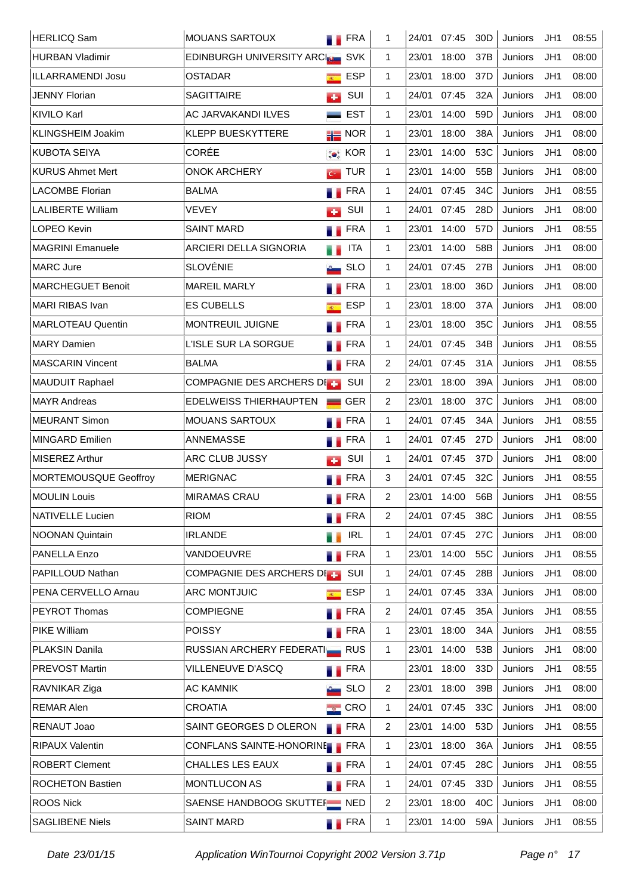| <b>HERLICQ Sam</b>       | <b>MOUANS SARTOUX</b>                              | <b>FRA</b>         | 1            | 24/01 | 07:45 | 30 <sub>D</sub> | Juniors | JH1 | 08:55 |
|--------------------------|----------------------------------------------------|--------------------|--------------|-------|-------|-----------------|---------|-----|-------|
| <b>HURBAN Vladimir</b>   | EDINBURGH UNIVERSITY ARCILE SVK                    |                    | $\mathbf{1}$ | 23/01 | 18:00 | 37B             | Juniors | JH1 | 08:00 |
| ILLARRAMENDI Josu        | <b>OSTADAR</b><br>$\overline{R_{\rm{c}}^{\rm{c}}}$ | <b>ESP</b>         | $\mathbf{1}$ | 23/01 | 18:00 | 37D             | Juniors | JH1 | 08:00 |
| <b>JENNY Florian</b>     | <b>SAGITTAIRE</b><br><b>CO</b>                     | SUI                | 1            | 24/01 | 07:45 | 32A             | Juniors | JH1 | 08:00 |
| <b>KIVILO Karl</b>       | AC JARVAKANDI ILVES                                | <b>EST</b>         | $\mathbf 1$  | 23/01 | 14:00 | 59 <sub>D</sub> | Juniors | JH1 | 08:00 |
| <b>KLINGSHEIM Joakim</b> | <b>KLEPP BUESKYTTERE</b>                           | $\frac{1}{10}$ NOR | $\mathbf{1}$ | 23/01 | 18:00 | 38A             | Juniors | JH1 | 08:00 |
| <b>KUBOTA SEIYA</b>      | CORÉE                                              | <b>Co</b> KOR      | $\mathbf{1}$ | 23/01 | 14:00 | 53C             | Juniors | JH1 | 08:00 |
| <b>KURUS Ahmet Mert</b>  | <b>ONOK ARCHERY</b><br>$G^{\pm}$                   | <b>TUR</b>         | 1            | 23/01 | 14:00 | 55B             | Juniors | JH1 | 08:00 |
| <b>LACOMBE Florian</b>   | <b>BALMA</b>                                       | <b>Exercise</b>    | 1            | 24/01 | 07:45 | 34C             | Juniors | JH1 | 08:55 |
| <b>LALIBERTE William</b> | <b>VEVEY</b><br>с.                                 | SUI                | 1            | 24/01 | 07:45 | 28D             | Juniors | JH1 | 08:00 |
| <b>LOPEO Kevin</b>       | <b>SAINT MARD</b>                                  | <b>FRA</b>         | $\mathbf{1}$ | 23/01 | 14:00 | 57D             | Juniors | JH1 | 08:55 |
| <b>MAGRINI Emanuele</b>  | ARCIERI DELLA SIGNORIA<br>u p                      | <b>ITA</b>         | $\mathbf{1}$ | 23/01 | 14:00 | 58B             | Juniors | JH1 | 08:00 |
| <b>MARC Jure</b>         | <b>SLOVÉNIE</b>                                    | <b>SLO</b>         | $\mathbf{1}$ | 24/01 | 07:45 | 27B             | Juniors | JH1 | 08:00 |
| <b>MARCHEGUET Benoit</b> | <b>MAREIL MARLY</b><br>. .                         | <b>FRA</b>         | $\mathbf{1}$ | 23/01 | 18:00 | 36D             | Juniors | JH1 | 08:00 |
| <b>MARI RIBAS Ivan</b>   | <b>ES CUBELLS</b><br>$\overline{R}$                | <b>ESP</b>         | $\mathbf{1}$ | 23/01 | 18:00 | 37A             | Juniors | JH1 | 08:00 |
| <b>MARLOTEAU Quentin</b> | MONTREUIL JUIGNE<br>a a                            | <b>FRA</b>         | 1            | 23/01 | 18:00 | 35C             | Juniors | JH1 | 08:55 |
| <b>MARY Damien</b>       | L'ISLE SUR LA SORGUE                               | <b>FRA</b>         | $\mathbf{1}$ | 24/01 | 07:45 | 34B             | Juniors | JH1 | 08:55 |
| <b>MASCARIN Vincent</b>  | <b>BALMA</b><br>. .                                | <b>FRA</b>         | 2            | 24/01 | 07:45 | 31A             | Juniors | JH1 | 08:55 |
| <b>MAUDUIT Raphael</b>   | COMPAGNIE DES ARCHERS DE                           | SUI                | 2            | 23/01 | 18:00 | 39A             | Juniors | JH1 | 08:00 |
| <b>MAYR Andreas</b>      | EDELWEISS THIERHAUPTEN                             | <b>GER</b>         | 2            | 23/01 | 18:00 | 37C             | Juniors | JH1 | 08:00 |
| <b>MEURANT Simon</b>     | MOUANS SARTOUX                                     | <b>FRA</b>         | $\mathbf 1$  | 24/01 | 07:45 | 34A             | Juniors | JH1 | 08:55 |
| <b>MINGARD Emilien</b>   | <b>ANNEMASSE</b>                                   | <b>FRA</b>         | $\mathbf{1}$ | 24/01 | 07:45 | 27D             | Juniors | JH1 | 08:00 |
| <b>MISEREZ Arthur</b>    | ARC CLUB JUSSY<br>с.                               | SUI                | 1            | 24/01 | 07:45 | 37D             | Juniors | JH1 | 08:00 |
| MORTEMOUSQUE Geoffroy    | <b>MERIGNAC</b>                                    | <b>FRA</b>         | 3            | 24/01 | 07:45 | 32C             | Juniors | JH1 | 08:55 |
| <b>MOULIN Louis</b>      | <b>MIRAMAS CRAU</b>                                | FRA                | 2            | 23/01 | 14:00 | 56B             | Juniors | JH1 | 08:55 |
| <b>NATIVELLE Lucien</b>  | <b>RIOM</b>                                        | <b>FRA</b>         | 2            | 24/01 | 07:45 | 38C             | Juniors | JH1 | 08:55 |
| <b>NOONAN Quintain</b>   | <b>IRLANDE</b><br>۰.                               | <b>IRL</b>         | 1            | 24/01 | 07:45 | 27C             | Juniors | JH1 | 08:00 |
| PANELLA Enzo             | VANDOEUVRE                                         | <b>FRA</b>         | 1            | 23/01 | 14:00 | 55C             | Juniors | JH1 | 08:55 |
| PAPILLOUD Nathan         | <b>COMPAGNIE DES ARCHERS DIET</b>                  | SUI                | 1            | 24/01 | 07:45 | 28B             | Juniors | JH1 | 08:00 |
| PENA CERVELLO Arnau      | <b>ARC MONTJUIC</b><br>$R^{\pm}$                   | <b>ESP</b>         | $\mathbf{1}$ | 24/01 | 07:45 | 33A             | Juniors | JH1 | 08:00 |
| <b>PEYROT Thomas</b>     | <b>COMPIEGNE</b>                                   | <b>FRA</b>         | 2            | 24/01 | 07:45 | 35A             | Juniors | JH1 | 08:55 |
| <b>PIKE William</b>      | <b>POISSY</b>                                      | <b>FRA</b>         | 1            | 23/01 | 18:00 | 34A             | Juniors | JH1 | 08:55 |
| PLAKSIN Danila           | RUSSIAN ARCHERY FEDERATIER RUS                     |                    | 1            | 23/01 | 14:00 | 53B             | Juniors | JH1 | 08:00 |
| PREVOST Martin           | VILLENEUVE D'ASCQ                                  | <b>FRA</b>         |              | 23/01 | 18:00 | 33D             | Juniors | JH1 | 08:55 |
| RAVNIKAR Ziga            | <b>AC KAMNIK</b>                                   | <b>SLO</b>         | 2            | 23/01 | 18:00 | 39B             | Juniors | JH1 | 08:00 |
| <b>REMAR Alen</b>        | <b>CROATIA</b>                                     | $\equiv$ CRO       | $\mathbf{1}$ | 24/01 | 07:45 | 33C             | Juniors | JH1 | 08:00 |
| RENAUT Joao              | SAINT GEORGES D OLERON                             | <b>FRA</b>         | 2            | 23/01 | 14:00 | 53D             | Juniors | JH1 | 08:55 |
| <b>RIPAUX Valentin</b>   | CONFLANS SAINTE-HONORINE FRA                       |                    | 1            | 23/01 | 18:00 | 36A             | Juniors | JH1 | 08:55 |
| <b>ROBERT Clement</b>    | CHALLES LES EAUX                                   | <b>FRA</b>         | 1            | 24/01 | 07:45 | 28C             | Juniors | JH1 | 08:55 |
| <b>ROCHETON Bastien</b>  | MONTLUCON AS                                       | <b>FRA</b>         | 1            | 24/01 | 07:45 | 33D             | Juniors | JH1 | 08:55 |
| <b>ROOS Nick</b>         | SAENSE HANDBOOG SKUTTEF NED                        |                    | 2            | 23/01 | 18:00 | 40 <sup>C</sup> | Juniors | JH1 | 08:00 |
| <b>SAGLIBENE Niels</b>   | <b>SAINT MARD</b>                                  | <b>FRA</b>         | 1            | 23/01 | 14:00 | 59A             | Juniors | JH1 | 08:55 |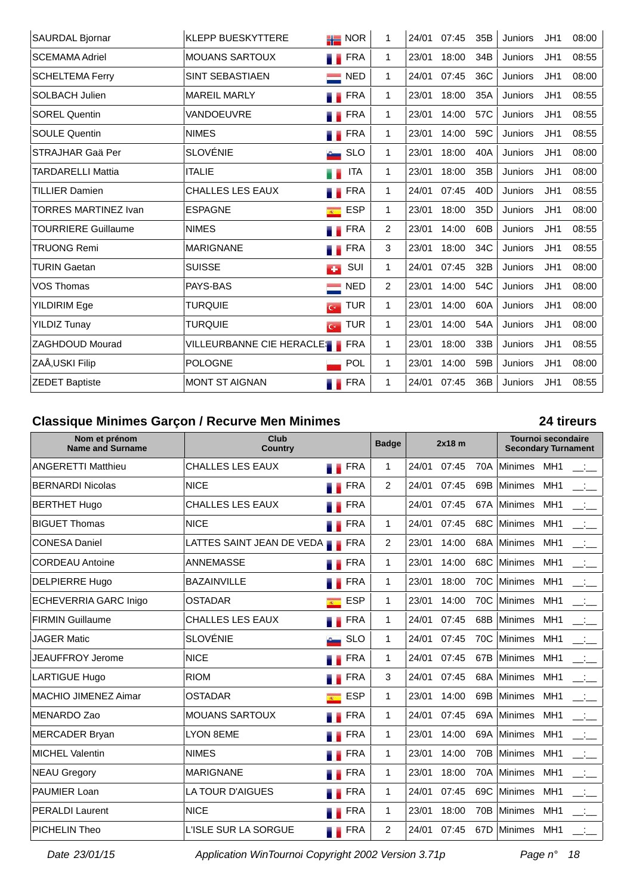| SAURDAL Bjornar            | <b>KLEPP BUESKYTTERE</b>      | $\frac{1}{10}$ NOR           | 1            | 24/01 | 07:45 | 35B             | Juniors        | JH1             | 08:00 |
|----------------------------|-------------------------------|------------------------------|--------------|-------|-------|-----------------|----------------|-----------------|-------|
| <b>SCEMAMA Adriel</b>      | <b>MOUANS SARTOUX</b>         | <b>FRA</b>                   | 1.           | 23/01 | 18:00 | 34B             | Juniors        | JH1             | 08:55 |
| <b>SCHELTEMA Ferry</b>     | SINT SEBASTIAEN               | $\blacksquare$ NED           | $\mathbf 1$  | 24/01 | 07:45 | 36C             | Juniors        | JH1             | 08:00 |
| <b>SOLBACH Julien</b>      | <b>MAREIL MARLY</b>           | <b>FRA</b>                   | 1            | 23/01 | 18:00 | 35A             | <b>Juniors</b> | JH1             | 08:55 |
| <b>SOREL Quentin</b>       | VANDOEUVRE                    | <b>FRA</b>                   | 1            | 23/01 | 14:00 | 57C             | <b>Juniors</b> | JH1             | 08:55 |
| <b>SOULE Quentin</b>       | <b>NIMES</b>                  | <b>N</b> FRA                 | $\mathbf 1$  | 23/01 | 14:00 | 59C             | Juniors        | JH1             | 08:55 |
| STRAJHAR Gaä Per           | <b>SLOVÉNIE</b>               | <b>SLO</b>                   | 1            | 23/01 | 18:00 | 40A             | <b>Juniors</b> | JH1             | 08:00 |
| TARDARELLI Mattia          | <b>ITALIE</b>                 | <b>ITA</b>                   | $\mathbf 1$  | 23/01 | 18:00 | 35B             | Juniors        | JH1             | 08:00 |
| <b>TILLIER Damien</b>      | <b>CHALLES LES EAUX</b>       | <b>FRA</b>                   | 1            | 24/01 | 07:45 | 40 <sub>D</sub> | Juniors        | JH1             | 08:55 |
| TORRES MARTINEZ Ivan       | <b>ESPAGNE</b>                | <b>ESP</b><br>$\overline{R}$ | 1            | 23/01 | 18:00 | 35 <sub>D</sub> | Juniors        | JH1             | 08:00 |
| <b>TOURRIERE Guillaume</b> | <b>NIMES</b>                  | <b>FRA</b>                   | 2            | 23/01 | 14:00 | 60B             | Juniors        | JH <sub>1</sub> | 08:55 |
| <b>TRUONG Remi</b>         | <b>MARIGNANE</b>              | <b>FRA</b>                   | 3            | 23/01 | 18:00 | 34C             | Juniors        | JH <sub>1</sub> | 08:55 |
| TURIN Gaetan               | <b>SUISSE</b>                 | SUI<br>$\bullet$             | $\mathbf 1$  | 24/01 | 07:45 | 32B             | Juniors        | JH1             | 08:00 |
| VOS Thomas                 | PAYS-BAS                      | <b>NED</b>                   | 2            | 23/01 | 14:00 | 54C             | <b>Juniors</b> | JH <sub>1</sub> | 08:00 |
| <b>YILDIRIM Ege</b>        | <b>TURQUIE</b>                | <b>TUR</b><br>$\overline{C}$ | $\mathbf 1$  | 23/01 | 14:00 | 60A             | <b>Juniors</b> | JH1             | 08:00 |
| <b>YILDIZ Tunay</b>        | <b>TURQUIE</b>                | <b>TUR</b><br>$\overline{C}$ | 1            | 23/01 | 14:00 | 54A             | Juniors        | JH1             | 08:00 |
| <b>ZAGHDOUD Mourad</b>     | VILLEURBANNE CIE HERACLES FRA |                              | 1            | 23/01 | 18:00 | 33B             | <b>Juniors</b> | JH1             | 08:55 |
| ZAĂ, USKI Filip            | <b>POLOGNE</b>                | POL                          | $\mathbf{1}$ | 23/01 | 14:00 | 59B             | <b>Juniors</b> | JH1             | 08:00 |
| <b>ZEDET Baptiste</b>      | <b>MONT ST AIGNAN</b>         | <b>FRA</b>                   | 1            | 24/01 | 07:45 | 36B             | Juniors        | JH1             | 08:55 |

# **Classique Minimes Garçon / Recurve Men Minimes 24 tireurs**

| Nom et prénom<br><b>Name and Surname</b> | Club<br><b>Badge</b><br>Country            |                              |                |       | $2x18$ m |     | <b>Tournoi secondaire</b><br><b>Secondary Turnament</b> |                 |                   |  |
|------------------------------------------|--------------------------------------------|------------------------------|----------------|-------|----------|-----|---------------------------------------------------------|-----------------|-------------------|--|
|                                          |                                            |                              |                |       |          |     |                                                         |                 |                   |  |
| <b>ANGERETTI Matthieu</b>                | <b>CHALLES LES EAUX</b>                    | <b>FRA</b>                   | $\mathbf 1$    | 24/01 | 07:45    | 70A | Minimes MH1                                             |                 |                   |  |
| <b>BERNARDI Nicolas</b>                  | <b>NICE</b>                                | <b>FRA</b>                   | 2              | 24/01 | 07:45    | 69B | Minimes                                                 | MH <sub>1</sub> | $\sim 100$        |  |
| <b>BERTHET Hugo</b>                      | <b>CHALLES LES EAUX</b>                    | <b>FRA</b>                   |                | 24/01 | 07:45    | 67A | <b>Minimes</b>                                          | MH <sub>1</sub> | $\sim 10^{-1}$    |  |
| <b>BIGUET Thomas</b>                     | <b>NICE</b>                                | <b>FRA</b>                   | $\mathbf{1}$   | 24/01 | 07:45    | 68C | Minimes MH1                                             |                 |                   |  |
| <b>CONESA Daniel</b>                     | LATTES SAINT JEAN DE VEDA <b>NOTER</b> FRA |                              | 2              | 23/01 | 14:00    | 68A | Minimes MH1                                             |                 | $\sim 100$        |  |
| <b>CORDEAU Antoine</b>                   | <b>ANNEMASSE</b>                           | FRA                          | 1              | 23/01 | 14:00    | 68C | Minimes                                                 | MH <sub>1</sub> | $\sim 10^{-1}$    |  |
| <b>DELPIERRE Hugo</b>                    | <b>BAZAINVILLE</b>                         | <b>FRA</b>                   | $\mathbf{1}$   | 23/01 | 18:00    | 70C | Minimes MH1                                             |                 | $\Box$            |  |
| ECHEVERRIA GARC Inigo                    | <b>OSTADAR</b>                             | <b>ESP</b><br>$\overline{R}$ | 1              | 23/01 | 14:00    | 70C | Minimes                                                 | MH <sub>1</sub> |                   |  |
| <b>FIRMIN Guillaume</b>                  | CHALLES LES EAUX                           | <b>FRA</b>                   | $\mathbf 1$    | 24/01 | 07:45    | 68B | Minimes                                                 | MH <sub>1</sub> |                   |  |
| <b>JAGER Matic</b>                       | <b>SLOVÉNIE</b>                            | <b>SLO</b>                   | $\mathbf{1}$   | 24/01 | 07:45    | 70C | <b>Minimes</b>                                          | MH <sub>1</sub> | المتنقصة          |  |
| <b>JEAUFFROY Jerome</b>                  | <b>NICE</b>                                | FRA                          | $\mathbf{1}$   | 24/01 | 07:45    | 67B | Minimes                                                 | MH1             |                   |  |
| <b>LARTIGUE Hugo</b>                     | <b>RIOM</b>                                | <b>FRA</b>                   | 3              | 24/01 | 07:45    | 68A | Minimes MH1                                             |                 | للمنافس           |  |
| <b>MACHIO JIMENEZ Aimar</b>              | <b>OSTADAR</b>                             | <b>ESP</b><br>$\overline{R}$ | 1              | 23/01 | 14:00    | 69B | <b>Minimes</b>                                          | MH <sub>1</sub> | $\sim 10^{-1}$    |  |
| MENARDO Zao                              | <b>MOUANS SARTOUX</b>                      | <b>FRA</b>                   | $\mathbf 1$    | 24/01 | 07:45    | 69A | Minimes                                                 | MH <sub>1</sub> |                   |  |
| MERCADER Bryan                           | <b>LYON 8EME</b>                           | <b>FRA</b>                   | 1              | 23/01 | 14:00    | 69A | Minimes                                                 | MH <sub>1</sub> | $\sim 10^{-1}$    |  |
| <b>MICHEL Valentin</b>                   | <b>NIMES</b>                               | <b>FRA</b>                   | $\mathbf 1$    | 23/01 | 14:00    | 70B | Minimes                                                 | MH <sub>1</sub> | $\Box$            |  |
| <b>NEAU Gregory</b>                      | <b>MARIGNANE</b>                           | <b>TERA</b>                  | $\mathbf{1}$   | 23/01 | 18:00    | 70A | <b>Minimes</b>                                          | MH <sub>1</sub> | $\equiv$ $\equiv$ |  |
| PAUMIER Loan                             | LA TOUR D'AIGUES                           | <b>FRA</b>                   | $\mathbf 1$    | 24/01 | 07:45    | 69C | Minimes                                                 | MH1             |                   |  |
| <b>PERALDI Laurent</b>                   | <b>NICE</b>                                | <b>FRA</b>                   | $\mathbf{1}$   | 23/01 | 18:00    |     | 70B Minimes MH1                                         |                 | $\Box$            |  |
| <b>PICHELIN Theo</b>                     | L'ISLE SUR LA SORGUE                       | <b>FRA</b>                   | $\overline{2}$ | 24/01 | 07:45    | 67D | Minimes MH1                                             |                 |                   |  |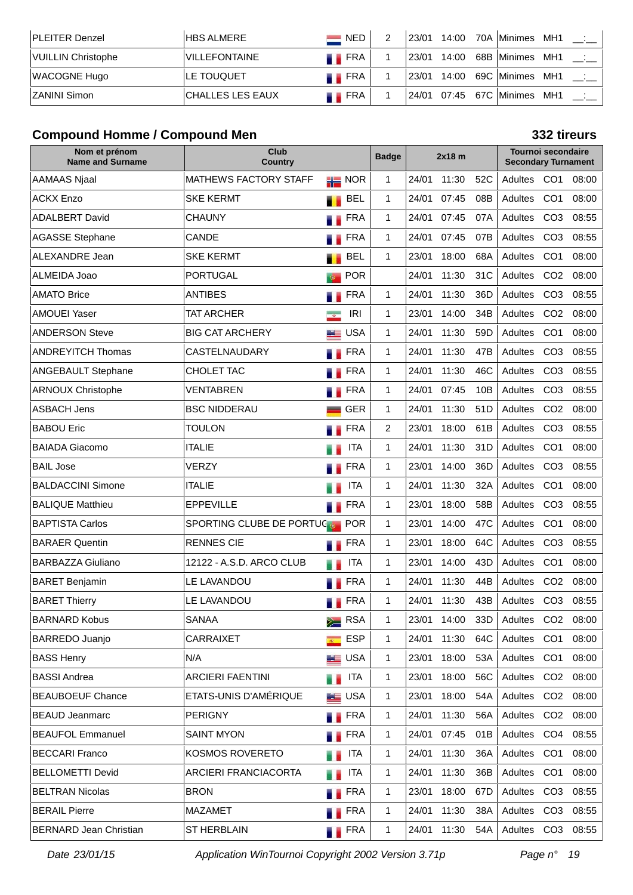| ⊺PLEITER Denzel    | HBS ALMERE            | $\blacksquare$ NED | $^{\circ}$ 23/01 | 14:00 | 70A   Minimes | MH1 |  |
|--------------------|-----------------------|--------------------|------------------|-------|---------------|-----|--|
| VUILLIN Christophe | <b>IVILLEFONTAINE</b> | <b>THE FRA</b>     | ' 23/01          | 14:00 | 68B   Minimes | MH1 |  |
| WACOGNE Hugo       | <b>ILE TOUQUET</b>    | <b>FRA</b>         | ' 23/01          | 14:00 | 69C   Minimes | MH1 |  |
| IZANINI Simon      | CHALLES LES EAUX      | <b>FRA</b>         |                  |       |               | MH1 |  |

## **Compound Homme / Compound Men 332 tireurs**

| Nom et prénom<br><b>Name and Surname</b> | Club<br><b>Country</b>       |                                   | <b>Badge</b> |       | $2x18$ m |                 | <b>Tournoi secondaire</b><br><b>Secondary Turnament</b> |                 |       |  |
|------------------------------------------|------------------------------|-----------------------------------|--------------|-------|----------|-----------------|---------------------------------------------------------|-----------------|-------|--|
| AAMAAS Njaal                             | <b>MATHEWS FACTORY STAFF</b> | $\frac{1}{10}$ NOR                | 1            | 24/01 | 11:30    | 52C             | Adultes CO1                                             |                 | 08:00 |  |
| <b>ACKX Enzo</b>                         | <b>SKE KERMT</b>             | BEL                               | 1            | 24/01 | 07:45    | 08B             | Adultes                                                 | CO <sub>1</sub> | 08:00 |  |
| <b>ADALBERT David</b>                    | <b>CHAUNY</b>                | <b>FRA</b>                        | 1            | 24/01 | 07:45    | 07A             | Adultes                                                 | CO <sub>3</sub> | 08:55 |  |
| <b>AGASSE Stephane</b>                   | <b>CANDE</b>                 | <b>FRA</b>                        | 1            | 24/01 | 07:45    | 07B             | Adultes                                                 | CO <sub>3</sub> | 08:55 |  |
| <b>ALEXANDRE Jean</b>                    | <b>SKE KERMT</b>             | <b>BEL</b>                        | 1            | 23/01 | 18:00    | 68A             | Adultes                                                 | CO <sub>1</sub> | 08:00 |  |
| ALMEIDA Joao                             | <b>PORTUGAL</b>              | <b>POR</b>                        |              | 24/01 | 11:30    | 31C             | Adultes                                                 | CO <sub>2</sub> | 08:00 |  |
| <b>AMATO Brice</b>                       | <b>ANTIBES</b>               | <b>FRA</b>                        | 1            | 24/01 | 11:30    | 36D             | Adultes                                                 | CO <sub>3</sub> | 08:55 |  |
| <b>AMOUEI Yaser</b>                      | TAT ARCHER                   | IRI<br>$\overline{\phantom{a}}$   | 1            | 23/01 | 14:00    | 34B             | Adultes                                                 | CO <sub>2</sub> | 08:00 |  |
| <b>ANDERSON Steve</b>                    | <b>BIG CAT ARCHERY</b>       | <b>USA</b><br>كت                  | 1            | 24/01 | 11:30    | 59 <sub>D</sub> | Adultes                                                 | CO <sub>1</sub> | 08:00 |  |
| <b>ANDREYITCH Thomas</b>                 | CASTELNAUDARY                | <b>FRA</b>                        | 1            | 24/01 | 11:30    | 47B             | Adultes                                                 | CO <sub>3</sub> | 08:55 |  |
| <b>ANGEBAULT Stephane</b>                | CHOLET TAC                   | <b>FRA</b>                        | 1            | 24/01 | 11:30    | 46C             | Adultes                                                 | CO <sub>3</sub> | 08:55 |  |
| <b>ARNOUX Christophe</b>                 | VENTABREN                    | <b>FRA</b>                        | 1            | 24/01 | 07:45    | 10B             | Adultes                                                 | CO <sub>3</sub> | 08:55 |  |
| <b>ASBACH Jens</b>                       | <b>BSC NIDDERAU</b>          | <b>GER</b>                        | 1            | 24/01 | 11:30    | 51D             | Adultes                                                 | CO <sub>2</sub> | 08:00 |  |
| <b>BABOU Eric</b>                        | <b>TOULON</b>                | <b>FRA</b>                        | 2            | 23/01 | 18:00    | 61B             | Adultes                                                 | CO <sub>3</sub> | 08:55 |  |
| <b>BAIADA Giacomo</b>                    | <b>ITALIE</b>                | <b>ITA</b>                        | 1            | 24/01 | 11:30    | 31D             | Adultes                                                 | CO <sub>1</sub> | 08:00 |  |
| <b>BAIL Jose</b>                         | <b>VERZY</b>                 | <b>FRA</b>                        | 1            | 23/01 | 14:00    | 36D             | Adultes                                                 | CO <sub>3</sub> | 08:55 |  |
| <b>BALDACCINI Simone</b>                 | <b>ITALIE</b>                | <b>ITA</b>                        | 1            | 24/01 | 11:30    | 32A             | Adultes                                                 | CO <sub>1</sub> | 08:00 |  |
| <b>BALIQUE Matthieu</b>                  | <b>EPPEVILLE</b>             | <b>FRA</b>                        | 1            | 23/01 | 18:00    | 58B             | Adultes                                                 | CO <sub>3</sub> | 08:55 |  |
| <b>BAPTISTA Carlos</b>                   | SPORTING CLUBE DE PORTUC     | <b>POR</b>                        | 1            | 23/01 | 14:00    | 47C             | Adultes                                                 | CO <sub>1</sub> | 08:00 |  |
| <b>BARAER Quentin</b>                    | <b>RENNES CIE</b>            | FRA                               | 1            | 23/01 | 18:00    | 64C             | Adultes                                                 | CO <sub>3</sub> | 08:55 |  |
| <b>BARBAZZA Giuliano</b>                 | 12122 - A.S.D. ARCO CLUB     | <b>ITA</b>                        | 1            | 23/01 | 14:00    | 43D             | Adultes                                                 | CO <sub>1</sub> | 08:00 |  |
| <b>BARET Benjamin</b>                    | LE LAVANDOU                  | <b>FRA</b>                        | 1            | 24/01 | 11:30    | 44B             | Adultes                                                 | CO <sub>2</sub> | 08:00 |  |
| <b>BARET Thierry</b>                     | LE LAVANDOU                  | <b>FRA</b>                        | 1            | 24/01 | 11:30    | 43B             | Adultes                                                 | CO <sub>3</sub> | 08:55 |  |
| <b>BARNARD Kobus</b>                     | <b>SANAA</b>                 | $\geq$ RSA                        | 1            | 23/01 | 14:00    | 33D             | Adultes CO2                                             |                 | 08:00 |  |
| BARREDO Juanjo                           | CARRAIXET                    | <b>ESP</b><br>$\mathcal{R}^{(n)}$ | 1            | 24/01 | 11:30    | 64C             | Adultes                                                 | CO <sub>1</sub> | 08:00 |  |
| <b>BASS Henry</b>                        | N/A                          | <b>LE</b> USA                     | 1            | 23/01 | 18:00    | 53A             | Adultes CO1                                             |                 | 08:00 |  |
| <b>BASSI Andrea</b>                      | <b>ARCIERI FAENTINI</b>      | <b>ITA</b>                        | 1            | 23/01 | 18:00    | 56C             | Adultes CO2                                             |                 | 08:00 |  |
| <b>BEAUBOEUF Chance</b>                  | ETATS-UNIS D'AMÉRIQUE        | <b>LE</b> USA                     | 1            | 23/01 | 18:00    | 54A             | Adultes CO <sub>2</sub>                                 |                 | 08:00 |  |
| <b>BEAUD Jeanmarc</b>                    | <b>PERIGNY</b>               | <b>FRA</b>                        | 1            | 24/01 | 11:30    | 56A             | Adultes CO2                                             |                 | 08:00 |  |
| <b>BEAUFOL Emmanuel</b>                  | <b>SAINT MYON</b>            | <b>FRA</b>                        | 1            | 24/01 | 07:45    | 01B             | Adultes                                                 | CO <sub>4</sub> | 08:55 |  |
| <b>BECCARI Franco</b>                    | KOSMOS ROVERETO              | <b>ITA</b>                        | 1            | 24/01 | 11:30    | 36A             | Adultes                                                 | CO <sub>1</sub> | 08:00 |  |
| <b>BELLOMETTI Devid</b>                  | <b>ARCIERI FRANCIACORTA</b>  | ITA                               | 1            | 24/01 | 11:30    | 36B             | Adultes                                                 | CO <sub>1</sub> | 08:00 |  |
| <b>BELTRAN Nicolas</b>                   | <b>BRON</b>                  | <b>FRA</b>                        | 1            | 23/01 | 18:00    | 67D             | Adultes CO3                                             |                 | 08:55 |  |
| <b>BERAIL Pierre</b>                     | <b>MAZAMET</b>               | FRA                               | 1            | 24/01 | 11:30    | 38A             | Adultes                                                 | CO <sub>3</sub> | 08:55 |  |
| <b>BERNARD Jean Christian</b>            | <b>ST HERBLAIN</b>           | <b>FRA</b>                        | 1            | 24/01 | 11:30    | 54A             | Adultes CO3 08:55                                       |                 |       |  |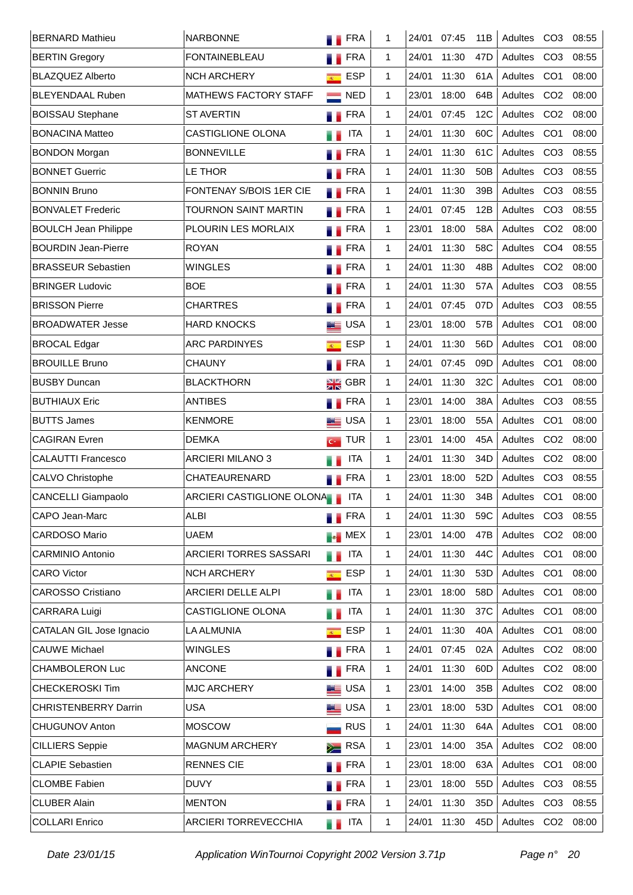| <b>BERNARD Mathieu</b>      | <b>NARBONNE</b>             | <b>FRA</b>                                                 | 1            | 24/01 | 07:45 | 11B             | Adultes     | CO <sub>3</sub> | 08:55 |
|-----------------------------|-----------------------------|------------------------------------------------------------|--------------|-------|-------|-----------------|-------------|-----------------|-------|
| <b>BERTIN Gregory</b>       | <b>FONTAINEBLEAU</b>        | <b>FRA</b>                                                 | $\mathbf{1}$ | 24/01 | 11:30 | 47 <sub>D</sub> | Adultes     | CO <sub>3</sub> | 08:55 |
| <b>BLAZQUEZ Alberto</b>     | <b>NCH ARCHERY</b>          | <b>ESP</b><br>$R^{\pm}$                                    | $\mathbf{1}$ | 24/01 | 11:30 | 61A             | Adultes     | CO <sub>1</sub> | 08:00 |
| <b>BLEYENDAAL Ruben</b>     | MATHEWS FACTORY STAFF       | $\equiv$ NED                                               | $\mathbf{1}$ | 23/01 | 18:00 | 64B             | Adultes     | CO <sub>2</sub> | 08:00 |
| <b>BOISSAU Stephane</b>     | <b>ST AVERTIN</b>           | <b>N</b> FRA                                               | $\mathbf{1}$ | 24/01 | 07:45 | 12C             | Adultes     | CO <sub>2</sub> | 08:00 |
| <b>BONACINA Matteo</b>      | <b>CASTIGLIONE OLONA</b>    | <b>ITA</b>                                                 | 1            | 24/01 | 11:30 | 60C             | Adultes     | CO <sub>1</sub> | 08:00 |
| <b>BONDON Morgan</b>        | <b>BONNEVILLE</b>           | <b>FRA</b>                                                 | $\mathbf{1}$ | 24/01 | 11:30 | 61C             | Adultes     | CO <sub>3</sub> | 08:55 |
| <b>BONNET Guerric</b>       | LE THOR                     | <b>Example</b> FRA                                         | 1            | 24/01 | 11:30 | 50B             | Adultes     | CO <sub>3</sub> | 08:55 |
| <b>BONNIN Bruno</b>         | FONTENAY S/BOIS 1ER CIE     | <b>Example</b> FRA                                         | $\mathbf{1}$ | 24/01 | 11:30 | 39B             | Adultes     | CO <sub>3</sub> | 08:55 |
| <b>BONVALET Frederic</b>    | <b>TOURNON SAINT MARTIN</b> | <b>FRA</b>                                                 | $\mathbf{1}$ | 24/01 | 07:45 | 12B             | Adultes     | CO <sub>3</sub> | 08:55 |
| <b>BOULCH Jean Philippe</b> | PLOURIN LES MORLAIX         | <b>FRA</b>                                                 | $\mathbf{1}$ | 23/01 | 18:00 | 58A             | Adultes     | CO <sub>2</sub> | 08:00 |
| <b>BOURDIN Jean-Pierre</b>  | <b>ROYAN</b>                | <b>FRA</b>                                                 | $\mathbf{1}$ | 24/01 | 11:30 | 58C             | Adultes     | CO <sub>4</sub> | 08:55 |
| <b>BRASSEUR Sebastien</b>   | <b>WINGLES</b>              | <b>FRA</b>                                                 | $\mathbf{1}$ | 24/01 | 11:30 | 48B             | Adultes     | CO <sub>2</sub> | 08:00 |
| <b>BRINGER Ludovic</b>      | <b>BOE</b>                  | <b>FRA</b>                                                 | $\mathbf{1}$ | 24/01 | 11:30 | 57A             | Adultes     | CO <sub>3</sub> | 08:55 |
| <b>BRISSON Pierre</b>       | <b>CHARTRES</b>             | <b>FRA</b>                                                 | $\mathbf{1}$ | 24/01 | 07:45 | 07D             | Adultes     | CO <sub>3</sub> | 08:55 |
| <b>BROADWATER Jesse</b>     | <b>HARD KNOCKS</b>          | <b>BE</b> USA                                              | $\mathbf{1}$ | 23/01 | 18:00 | 57B             | Adultes     | CO <sub>1</sub> | 08:00 |
| <b>BROCAL Edgar</b>         | <b>ARC PARDINYES</b>        | <b>ESP</b><br>$\overline{R^{(1)}_{\scriptscriptstyle{A}}}$ | $\mathbf{1}$ | 24/01 | 11:30 | 56D             | Adultes     | CO <sub>1</sub> | 08:00 |
| <b>BROUILLE Bruno</b>       | <b>CHAUNY</b>               | <b>FRA</b>                                                 | 1            | 24/01 | 07:45 | 09D             | Adultes     | CO <sub>1</sub> | 08:00 |
| <b>BUSBY Duncan</b>         | <b>BLACKTHORN</b>           | $\frac{1}{2}$ GBR                                          | $\mathbf{1}$ | 24/01 | 11:30 | 32C             | Adultes     | CO <sub>1</sub> | 08:00 |
| <b>BUTHIAUX Eric</b>        | <b>ANTIBES</b>              | <b>FRA</b>                                                 | $\mathbf{1}$ | 23/01 | 14:00 | 38A             | Adultes     | CO <sub>3</sub> | 08:55 |
| <b>BUTTS James</b>          | <b>KENMORE</b>              | <b>LE</b> USA                                              | $\mathbf{1}$ | 23/01 | 18:00 | 55A             | Adultes     | CO <sub>1</sub> | 08:00 |
| <b>CAGIRAN Evren</b>        | <b>DEMKA</b>                | $G$ TUR                                                    | $\mathbf{1}$ | 23/01 | 14:00 | 45A             | Adultes     | CO <sub>2</sub> | 08:00 |
| <b>CALAUTTI Francesco</b>   | <b>ARCIERI MILANO 3</b>     | <b>ITA</b>                                                 | $\mathbf{1}$ | 24/01 | 11:30 | 34D             | Adultes     | CO <sub>2</sub> | 08:00 |
| <b>CALVO Christophe</b>     | CHATEAURENARD               | <b>FRA</b>                                                 | 1            | 23/01 | 18:00 | 52D             | Adultes     | CO <sub>3</sub> | 08:55 |
| <b>CANCELLI Giampaolo</b>   | ARCIERI CASTIGLIONE OLONA   | <b>ITA</b>                                                 | 1            | 24/01 | 11:30 | 34B             | Adultes CO1 |                 | 08:00 |
| CAPO Jean-Marc              | <b>ALBI</b>                 | <b>TERA</b>                                                | 1            | 24/01 | 11:30 | 59C             | Adultes CO3 |                 | 08:55 |
| <b>CARDOSO Mario</b>        | <b>UAEM</b>                 | <b>Ex</b> MEX                                              | 1            | 23/01 | 14:00 | 47B             | Adultes     | CO <sub>2</sub> | 08:00 |
| <b>CARMINIO Antonio</b>     | ARCIERI TORRES SASSARI      | <b>ITA</b><br>a n                                          | 1            | 24/01 | 11:30 | 44C             | Adultes CO1 |                 | 08:00 |
| <b>CARO Victor</b>          | <b>NCH ARCHERY</b>          | ESP<br>$\overline{R^{(1)}_{\scriptscriptstyle{A}}}$        | 1            | 24/01 | 11:30 | 53D             | Adultes     | CO <sub>1</sub> | 08:00 |
| <b>CAROSSO Cristiano</b>    | ARCIERI DELLE ALPI          | <b>ITA</b>                                                 | 1            | 23/01 | 18:00 | 58D             | Adultes CO1 |                 | 08:00 |
| CARRARA Luigi               | <b>CASTIGLIONE OLONA</b>    | ITA<br>u p                                                 | 1            | 24/01 | 11:30 | 37C             | Adultes     | CO <sub>1</sub> | 08:00 |
| CATALAN GIL Jose Ignacio    | <b>LA ALMUNIA</b>           | ESP<br>$\overline{R}$ .                                    | $\mathbf{1}$ | 24/01 | 11:30 | 40A             | Adultes     | CO <sub>1</sub> | 08:00 |
| <b>CAUWE Michael</b>        | <b>WINGLES</b>              | <b>FRA</b>                                                 | 1            | 24/01 | 07:45 | 02A             | Adultes     | CO <sub>2</sub> | 08:00 |
| <b>CHAMBOLERON Luc</b>      | <b>ANCONE</b>               | <b>N</b> FRA                                               | 1            | 24/01 | 11:30 | 60D             | Adultes CO2 |                 | 08:00 |
| <b>CHECKEROSKI Tim</b>      | <b>MJC ARCHERY</b>          | <b>LE</b> USA                                              | 1.           | 23/01 | 14:00 | 35B             | Adultes     | CO <sub>2</sub> | 08:00 |
| <b>CHRISTENBERRY Darrin</b> | <b>USA</b>                  | <b>LE</b> USA                                              | 1            | 23/01 | 18:00 | 53D             | Adultes     | CO <sub>1</sub> | 08:00 |
| <b>CHUGUNOV Anton</b>       | <b>MOSCOW</b>               | <b>RUS</b>                                                 | 1            | 24/01 | 11:30 | 64A             | Adultes     | CO <sub>1</sub> | 08:00 |
| <b>CILLIERS Seppie</b>      | <b>MAGNUM ARCHERY</b>       | $\sum$ RSA                                                 | 1            | 23/01 | 14:00 | 35A             | Adultes     | CO <sub>2</sub> | 08:00 |
| <b>CLAPIE Sebastien</b>     | <b>RENNES CIE</b>           | <b>FRA</b>                                                 | 1            | 23/01 | 18:00 | 63A             | Adultes     | CO <sub>1</sub> | 08:00 |
| <b>CLOMBE Fabien</b>        | <b>DUVY</b>                 | $\blacksquare$ FRA                                         | 1            | 23/01 | 18:00 | 55 <sub>D</sub> | Adultes     | CO <sub>3</sub> | 08:55 |
| <b>CLUBER Alain</b>         | <b>MENTON</b>               | <b>FRA</b>                                                 | 1            | 24/01 | 11:30 | 35D             | Adultes     | CO <sub>3</sub> | 08:55 |
| <b>COLLARI Enrico</b>       | ARCIERI TORREVECCHIA        | <b>ITA</b><br>в.                                           | 1            | 24/01 | 11:30 | 45D             | Adultes CO2 |                 | 08:00 |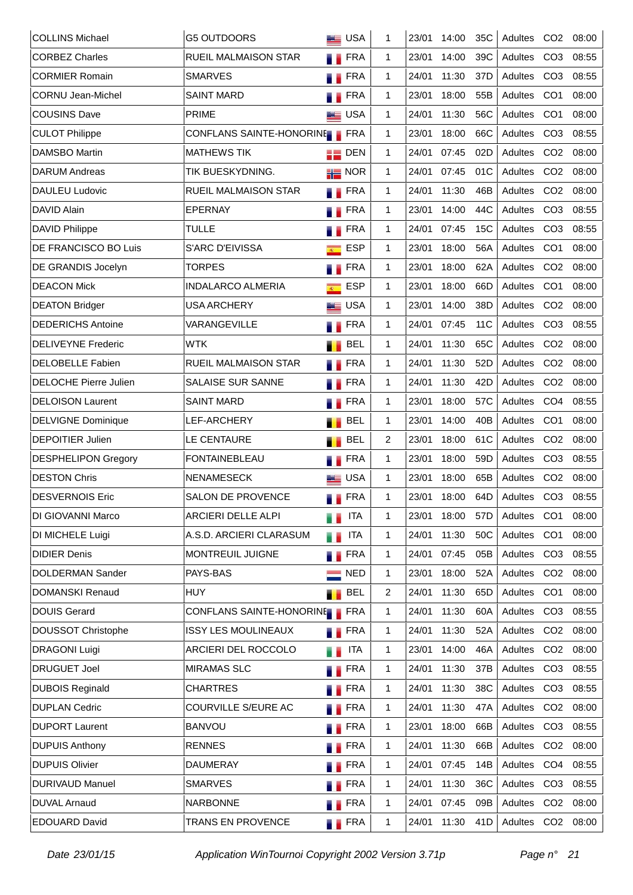| <b>COLLINS Michael</b>       | <b>G5 OUTDOORS</b>           | <b>BEE</b> USA             |            | 1            | 23/01 | 14:00 | 35C             | Adultes CO2 |                 | 08:00 |
|------------------------------|------------------------------|----------------------------|------------|--------------|-------|-------|-----------------|-------------|-----------------|-------|
| <b>CORBEZ Charles</b>        | <b>RUEIL MALMAISON STAR</b>  | . .                        | <b>FRA</b> | 1            | 23/01 | 14:00 | 39C             | Adultes     | CO <sub>3</sub> | 08:55 |
| <b>CORMIER Romain</b>        | <b>SMARVES</b>               |                            | <b>FRA</b> | 1            | 24/01 | 11:30 | 37D             | Adultes     | CO <sub>3</sub> | 08:55 |
| <b>CORNU Jean-Michel</b>     | <b>SAINT MARD</b>            | m e                        | <b>FRA</b> | $\mathbf{1}$ | 23/01 | 18:00 | 55B             | Adultes     | CO <sub>1</sub> | 08:00 |
| <b>COUSINS Dave</b>          | <b>PRIME</b>                 | <b>ED</b> USA              |            | $\mathbf{1}$ | 24/01 | 11:30 | 56C             | Adultes     | CO <sub>1</sub> | 08:00 |
| <b>CULOT Philippe</b>        | CONFLANS SAINTE-HONORINE FRA |                            |            | $\mathbf{1}$ | 23/01 | 18:00 | 66C             | Adultes     | CO <sub>3</sub> | 08:55 |
| <b>DAMSBO Martin</b>         | <b>MATHEWS TIK</b>           | $\blacksquare$ DEN         |            | $\mathbf{1}$ | 24/01 | 07:45 | 02D             | Adultes     | CO <sub>2</sub> | 08:00 |
| <b>DARUM</b> Andreas         | TIK BUESKYDNING.             | $\frac{1}{10}$ NOR         |            | 1            | 24/01 | 07:45 | 01C             | Adultes     | CO <sub>2</sub> | 08:00 |
| DAULEU Ludovic               | RUEIL MALMAISON STAR         | <b>FRA</b>                 |            | 1            | 24/01 | 11:30 | 46B             | Adultes     | CO <sub>2</sub> | 08:00 |
| <b>DAVID Alain</b>           | <b>EPERNAY</b>               | ш                          | <b>FRA</b> | 1            | 23/01 | 14:00 | 44C             | Adultes     | CO <sub>3</sub> | 08:55 |
| <b>DAVID Philippe</b>        | <b>TULLE</b>                 |                            | <b>FRA</b> | 1            | 24/01 | 07:45 | 15C             | Adultes     | CO <sub>3</sub> | 08:55 |
| DE FRANCISCO BO Luis         | S'ARC D'EIVISSA              | $\overline{R}$             | <b>ESP</b> | 1            | 23/01 | 18:00 | 56A             | Adultes     | CO <sub>1</sub> | 08:00 |
| DE GRANDIS Jocelyn           | <b>TORPES</b>                | <b>FRA</b>                 |            | 1            | 23/01 | 18:00 | 62A             | Adultes     | CO <sub>2</sub> | 08:00 |
| <b>DEACON Mick</b>           | <b>INDALARCO ALMERIA</b>     | $\overline{\mathcal{R}^+}$ | <b>ESP</b> | 1            | 23/01 | 18:00 | 66D             | Adultes     | CO <sub>1</sub> | 08:00 |
| <b>DEATON Bridger</b>        | <b>USA ARCHERY</b>           | <b>BE</b> USA              |            | 1            | 23/01 | 14:00 | 38D             | Adultes     | CO <sub>2</sub> | 08:00 |
| <b>DEDERICHS Antoine</b>     | VARANGEVILLE                 | m e                        | <b>FRA</b> | 1            | 24/01 | 07:45 | 11C             | Adultes     | CO <sub>3</sub> | 08:55 |
| <b>DELIVEYNE Frederic</b>    | <b>WTK</b>                   |                            | <b>BEL</b> | 1            | 24/01 | 11:30 | 65C             | Adultes     | CO <sub>2</sub> | 08:00 |
| <b>DELOBELLE Fabien</b>      | <b>RUEIL MALMAISON STAR</b>  | . .                        | <b>FRA</b> | 1            | 24/01 | 11:30 | 52D             | Adultes     | CO <sub>2</sub> | 08:00 |
| <b>DELOCHE Pierre Julien</b> | SALAISE SUR SANNE            |                            | <b>FRA</b> | 1            | 24/01 | 11:30 | 42D             | Adultes     | CO <sub>2</sub> | 08:00 |
| <b>DELOISON Laurent</b>      | <b>SAINT MARD</b>            |                            | <b>FRA</b> | $\mathbf{1}$ | 23/01 | 18:00 | 57C             | Adultes     | CO <sub>4</sub> | 08:55 |
| <b>DELVIGNE Dominique</b>    | <b>LEF-ARCHERY</b>           |                            | <b>BEL</b> | $\mathbf{1}$ | 23/01 | 14:00 | 40 <sub>B</sub> | Adultes     | CO <sub>1</sub> | 08:00 |
| <b>DEPOITIER Julien</b>      | LE CENTAURE                  |                            | <b>BEL</b> | 2            | 23/01 | 18:00 | 61C             | Adultes     | CO <sub>2</sub> | 08:00 |
| <b>DESPHELIPON Gregory</b>   | <b>FONTAINEBLEAU</b>         |                            | <b>FRA</b> | $\mathbf{1}$ | 23/01 | 18:00 | 59D             | Adultes     | CO <sub>3</sub> | 08:55 |
| <b>DESTON Chris</b>          | <b>NENAMESECK</b>            | <b>BE</b> USA              |            | 1            | 23/01 | 18:00 | 65B             | Adultes     | CO <sub>2</sub> | 08:00 |
| <b>DESVERNOIS Eric</b>       | SALON DE PROVENCE            | 51                         | FRA        | 1            | 23/01 | 18:00 | 64D             | Adultes CO3 |                 | 08:55 |
| DI GIOVANNI Marco            | <b>ARCIERI DELLE ALPI</b>    |                            | <b>ITA</b> | 1            | 23/01 | 18:00 | 57D             | Adultes CO1 |                 | 08:00 |
| DI MICHELE Luigi             | A.S.D. ARCIERI CLARASUM      | a a                        | <b>ITA</b> | 1            | 24/01 | 11:30 | 50C             | Adultes     | CO <sub>1</sub> | 08:00 |
| <b>DIDIER Denis</b>          | MONTREUIL JUIGNE             | <b>TERA</b>                |            | 1            | 24/01 | 07:45 | 05B             | Adultes CO3 |                 | 08:55 |
| <b>DOLDERMAN Sander</b>      | PAYS-BAS                     |                            | <b>NED</b> | 1            | 23/01 | 18:00 | 52A             | Adultes     | CO <sub>2</sub> | 08:00 |
| <b>DOMANSKI Renaud</b>       | <b>HUY</b>                   |                            | <b>BEL</b> | 2            | 24/01 | 11:30 | 65D             | Adultes     | CO <sub>1</sub> | 08:00 |
| <b>DOUIS Gerard</b>          | CONFLANS SAINTE-HONORINE FRA |                            |            | $\mathbf{1}$ | 24/01 | 11:30 | 60A             | Adultes     | CO <sub>3</sub> | 08:55 |
| <b>DOUSSOT Christophe</b>    | <b>ISSY LES MOULINEAUX</b>   | <b>TERA</b>                |            | $\mathbf{1}$ | 24/01 | 11:30 | 52A             | Adultes CO2 |                 | 08:00 |
| <b>DRAGONI Luigi</b>         | ARCIERI DEL ROCCOLO          | a a                        | ITA        | 1            | 23/01 | 14:00 | 46A             | Adultes     | CO <sub>2</sub> | 08:00 |
| <b>DRUGUET Joel</b>          | <b>MIRAMAS SLC</b>           |                            | <b>FRA</b> | $\mathbf{1}$ | 24/01 | 11:30 | 37B             | Adultes CO3 |                 | 08:55 |
| <b>DUBOIS Reginald</b>       | <b>CHARTRES</b>              | .,                         | <b>FRA</b> | 1            | 24/01 | 11:30 | 38C             | Adultes     | CO <sub>3</sub> | 08:55 |
| <b>DUPLAN Cedric</b>         | COURVILLE S/EURE AC          |                            | FRA        | $\mathbf{1}$ | 24/01 | 11:30 | 47A             | Adultes     | CO <sub>2</sub> | 08:00 |
| <b>DUPORT Laurent</b>        | <b>BANVOU</b>                | M.                         | <b>FRA</b> | 1            | 23/01 | 18:00 | 66B             | Adultes     | CO <sub>3</sub> | 08:55 |
| <b>DUPUIS Anthony</b>        | <b>RENNES</b>                |                            | <b>FRA</b> | 1            | 24/01 | 11:30 | 66B             | Adultes     | CO <sub>2</sub> | 08:00 |
| <b>DUPUIS Olivier</b>        | <b>DAUMERAY</b>              | M.                         | <b>FRA</b> | 1            | 24/01 | 07:45 | 14B             | Adultes     | CO <sub>4</sub> | 08:55 |
| DURIVAUD Manuel              | <b>SMARVES</b>               |                            | FRA        | $\mathbf{1}$ | 24/01 | 11:30 | 36C             | Adultes     | CO <sub>3</sub> | 08:55 |
| <b>DUVAL Arnaud</b>          | <b>NARBONNE</b>              |                            | FRA        | 1            | 24/01 | 07:45 | 09B             | Adultes     | CO <sub>2</sub> | 08:00 |
| EDOUARD David                | <b>TRANS EN PROVENCE</b>     | <b>FRA</b>                 |            | 1            | 24/01 | 11:30 | 41D             | Adultes CO2 |                 | 08:00 |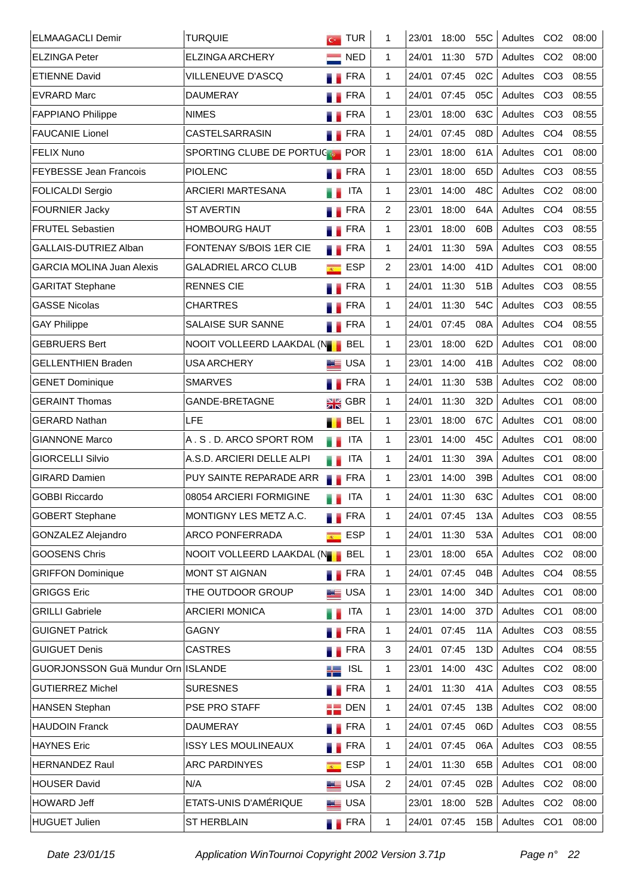| <b>ELMAAGACLI Demir</b>            | <b>TURQUIE</b>                | $G$ TUR                                      |                    | 1              | 23/01 | 18:00 | 55C             | Adultes CO2 |                 | 08:00 |
|------------------------------------|-------------------------------|----------------------------------------------|--------------------|----------------|-------|-------|-----------------|-------------|-----------------|-------|
| <b>ELZINGA Peter</b>               | <b>ELZINGA ARCHERY</b>        |                                              | <b>NED</b>         | 1              | 24/01 | 11:30 | 57D             | Adultes     | CO <sub>2</sub> | 08:00 |
| <b>ETIENNE David</b>               | VILLENEUVE D'ASCQ             |                                              | FRA                | 1              | 24/01 | 07:45 | 02C             | Adultes     | CO <sub>3</sub> | 08:55 |
| <b>EVRARD Marc</b>                 | <b>DAUMERAY</b>               | a.                                           | <b>FRA</b>         | 1              | 24/01 | 07:45 | 05C             | Adultes     | CO <sub>3</sub> | 08:55 |
| <b>FAPPIANO Philippe</b>           | <b>NIMES</b>                  |                                              | $\blacksquare$ FRA | 1.             | 23/01 | 18:00 | 63C             | Adultes     | CO <sub>3</sub> | 08:55 |
| <b>FAUCANIE Lionel</b>             | <b>CASTELSARRASIN</b>         | <b>FRA</b>                                   |                    | 1.             | 24/01 | 07:45 | 08D             | Adultes     | CO <sub>4</sub> | 08:55 |
| <b>FELIX Nuno</b>                  | SPORTING CLUBE DE PORTUCE POR |                                              |                    | 1.             | 23/01 | 18:00 | 61A             | Adultes     | CO <sub>1</sub> | 08:00 |
| <b>FEYBESSE Jean Francois</b>      | <b>PIOLENC</b>                | <b>FRA</b>                                   |                    | 1              | 23/01 | 18:00 | 65D             | Adultes     | CO <sub>3</sub> | 08:55 |
| <b>FOLICALDI Sergio</b>            | ARCIERI MARTESANA             |                                              | <b>ITA</b>         | 1              | 23/01 | 14:00 | 48C             | Adultes     | CO <sub>2</sub> | 08:00 |
| <b>FOURNIER Jacky</b>              | <b>ST AVERTIN</b>             | . .                                          | <b>FRA</b>         | 2              | 23/01 | 18:00 | 64A             | Adultes     | CO <sub>4</sub> | 08:55 |
| <b>FRUTEL Sebastien</b>            | <b>HOMBOURG HAUT</b>          | <b>FRA</b>                                   |                    | $\mathbf{1}$   | 23/01 | 18:00 | 60B             | Adultes     | CO <sub>3</sub> | 08:55 |
| GALLAIS-DUTRIEZ Alban              | FONTENAY S/BOIS 1ER CIE       | <b>FRA</b>                                   |                    | 1              | 24/01 | 11:30 | 59A             | Adultes     | CO <sub>3</sub> | 08:55 |
| <b>GARCIA MOLINA Juan Alexis</b>   | <b>GALADRIEL ARCO CLUB</b>    | $\overline{R^{(1)}_{\scriptscriptstyle{A}}}$ | <b>ESP</b>         | $\overline{2}$ | 23/01 | 14:00 | 41 <sub>D</sub> | Adultes     | CO <sub>1</sub> | 08:00 |
| <b>GARITAT Stephane</b>            | <b>RENNES CIE</b>             | <b>FRA</b>                                   |                    | $\mathbf{1}$   | 24/01 | 11:30 | 51B             | Adultes     | CO <sub>3</sub> | 08:55 |
| <b>GASSE Nicolas</b>               | <b>CHARTRES</b>               | <b>FRA</b>                                   |                    | $\mathbf{1}$   | 24/01 | 11:30 | 54C             | Adultes     | CO <sub>3</sub> | 08:55 |
| <b>GAY Philippe</b>                | SALAISE SUR SANNE             | <b>FRA</b>                                   |                    | 1              | 24/01 | 07:45 | 08A             | Adultes     | CO <sub>4</sub> | 08:55 |
| <b>GEBRUERS Bert</b>               | NOOIT VOLLEERD LAAKDAL (NOOI  |                                              | <b>BEL</b>         | 1              | 23/01 | 18:00 | 62D             | Adultes     | CO <sub>1</sub> | 08:00 |
| <b>GELLENTHIEN Braden</b>          | <b>USA ARCHERY</b>            | <b>ED</b> USA                                |                    | 1              | 23/01 | 14:00 | 41B             | Adultes     | CO <sub>2</sub> | 08:00 |
| <b>GENET Dominique</b>             | <b>SMARVES</b>                | <b>FRA</b>                                   |                    | 1              | 24/01 | 11:30 | 53B             | Adultes     | CO <sub>2</sub> | 08:00 |
| <b>GERAINT Thomas</b>              | GANDE-BRETAGNE                | $\frac{1}{2}$ GBR                            |                    | 1              | 24/01 | 11:30 | 32D             | Adultes     | CO <sub>1</sub> | 08:00 |
| <b>GERARD Nathan</b>               | LFE                           | п.                                           | <b>BEL</b>         | 1              | 23/01 | 18:00 | 67C             | Adultes     | CO <sub>1</sub> | 08:00 |
| <b>GIANNONE Marco</b>              | A.S.D. ARCO SPORT ROM         | H B                                          | <b>ITA</b>         | 1              | 23/01 | 14:00 | 45C             | Adultes     | CO <sub>1</sub> | 08:00 |
| <b>GIORCELLI Silvio</b>            | A.S.D. ARCIERI DELLE ALPI     | u p                                          | <b>ITA</b>         | 1              | 24/01 | 11:30 | 39A             | Adultes     | CO <sub>1</sub> | 08:00 |
| <b>GIRARD Damien</b>               | PUY SAINTE REPARADE ARR       | <b>FRA</b>                                   |                    | 1              | 23/01 | 14:00 | 39B             | Adultes     | CO <sub>1</sub> | 08:00 |
| <b>GOBBI Riccardo</b>              | 08054 ARCIERI FORMIGINE       |                                              | <b>ITA</b>         | 1              | 24/01 | 11:30 | 63C             | Adultes CO1 |                 | 08:00 |
| <b>GOBERT Stephane</b>             | MONTIGNY LES METZ A.C.        | <b>TERA</b>                                  |                    | 1              | 24/01 | 07:45 | 13A             | Adultes CO3 |                 | 08:55 |
| GONZALEZ Alejandro                 | <b>ARCO PONFERRADA</b>        | $\overline{R}$                               | <b>ESP</b>         | 1              | 24/01 | 11:30 | 53A             | Adultes     | CO <sub>1</sub> | 08:00 |
| <b>GOOSENS Chris</b>               | NOOIT VOLLEERD LAAKDAL (NOOIT |                                              | <b>BEL</b>         | 1              | 23/01 | 18:00 | 65A             | Adultes     | CO <sub>2</sub> | 08:00 |
| <b>GRIFFON Dominique</b>           | <b>MONT ST AIGNAN</b>         | <b>FRA</b>                                   |                    | 1              | 24/01 | 07:45 | 04B             | Adultes     | CO <sub>4</sub> | 08:55 |
| <b>GRIGGS Eric</b>                 | THE OUTDOOR GROUP             | <b>LE</b> USA                                |                    | 1              | 23/01 | 14:00 | 34D             | Adultes     | CO <sub>1</sub> | 08:00 |
| <b>GRILLI Gabriele</b>             | <b>ARCIERI MONICA</b>         | u p                                          | ITA                | 1              | 23/01 | 14:00 | 37D             | Adultes     | CO <sub>1</sub> | 08:00 |
| <b>GUIGNET Patrick</b>             | <b>GAGNY</b>                  | <b>FRA</b>                                   |                    | 1.             | 24/01 | 07:45 | 11A             | Adultes     | CO <sub>3</sub> | 08:55 |
| <b>GUIGUET Denis</b>               | <b>CASTRES</b>                | a a                                          | <b>FRA</b>         | 3              | 24/01 | 07:45 | 13D             | Adultes     | CO <sub>4</sub> | 08:55 |
| GUORJONSSON Guä Mundur Orn ISLANDE |                               | ä L                                          | <b>ISL</b>         | 1              | 23/01 | 14:00 | 43C             | Adultes     | CO <sub>2</sub> | 08:00 |
| <b>GUTIERREZ Michel</b>            | <b>SURESNES</b>               | a.                                           | FRA                | 1              | 24/01 | 11:30 | 41A             | Adultes     | CO <sub>3</sub> | 08:55 |
| <b>HANSEN Stephan</b>              | PSE PRO STAFF                 | $\blacksquare$ DEN                           |                    | 1              | 24/01 | 07:45 | 13B             | Adultes     | CO <sub>2</sub> | 08:00 |
| <b>HAUDOIN Franck</b>              | <b>DAUMERAY</b>               | <b>FRA</b>                                   |                    | $\mathbf{1}$   | 24/01 | 07:45 | 06D             | Adultes     | CO <sub>3</sub> | 08:55 |
| <b>HAYNES Eric</b>                 | <b>ISSY LES MOULINEAUX</b>    | <b>FRA</b>                                   |                    | 1              | 24/01 | 07:45 | 06A             | Adultes     | CO <sub>3</sub> | 08:55 |
| <b>HERNANDEZ Raul</b>              | <b>ARC PARDINYES</b>          | $\overline{R^{(1)}}$                         | <b>ESP</b>         | 1.             | 24/01 | 11:30 | 65B             | Adultes     | CO <sub>1</sub> | 08:00 |
| <b>HOUSER David</b>                | N/A                           | <b>LE</b> USA                                |                    | 2              | 24/01 | 07:45 | 02B             | Adultes     | CO <sub>2</sub> | 08:00 |
| <b>HOWARD Jeff</b>                 | ETATS-UNIS D'AMÉRIQUE         | <b>LE</b> USA                                |                    |                | 23/01 | 18:00 | 52B             | Adultes     | CO <sub>2</sub> | 08:00 |
| <b>HUGUET Julien</b>               | ST HERBLAIN                   | <b>FRA</b>                                   |                    | 1              | 24/01 | 07:45 | 15B             | Adultes CO1 |                 | 08:00 |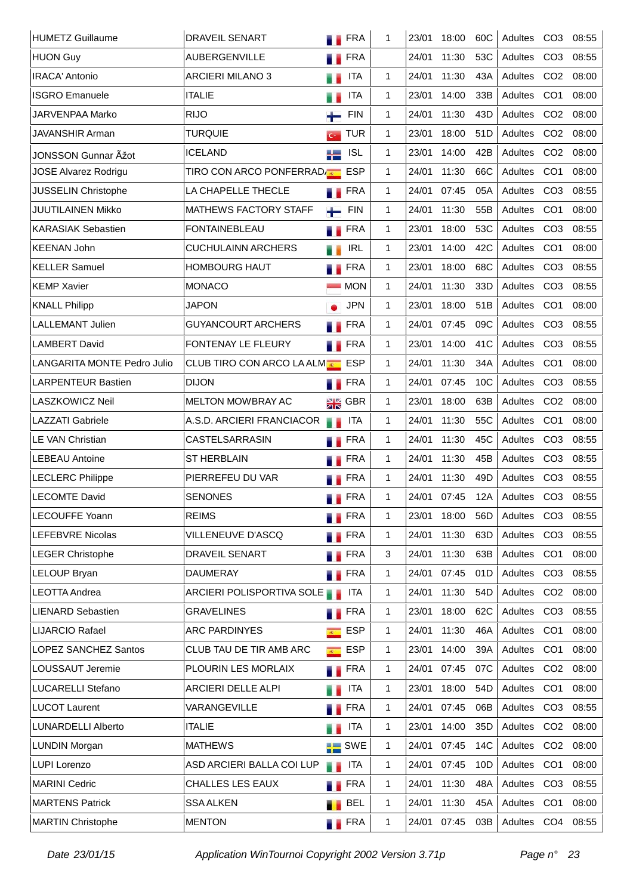| <b>HUMETZ Guillaume</b>     | <b>DRAVEIL SENART</b>               | <b>TERA</b>                    | 1  | 23/01 | 18:00 | 60C             | Adultes CO3 |                 | 08:55 |
|-----------------------------|-------------------------------------|--------------------------------|----|-------|-------|-----------------|-------------|-----------------|-------|
| <b>HUON Guy</b>             | <b>AUBERGENVILLE</b>                | <b>FRA</b><br>.,               |    | 24/01 | 11:30 | 53C             | Adultes     | CO <sub>3</sub> | 08:55 |
| <b>IRACA' Antonio</b>       | <b>ARCIERI MILANO 3</b>             | <b>ITA</b>                     | 1  | 24/01 | 11:30 | 43A             | Adultes     | CO <sub>2</sub> | 08:00 |
| <b>ISGRO Emanuele</b>       | <b>ITALIE</b>                       | <b>ITA</b>                     | 1  | 23/01 | 14:00 | 33B             | Adultes     | CO <sub>1</sub> | 08:00 |
| JARVENPAA Marko             | <b>RIJO</b>                         | <b>FIN</b><br>┶                | 1  | 24/01 | 11:30 | 43D             | Adultes     | CO <sub>2</sub> | 08:00 |
| JAVANSHIR Arman             | <b>TURQUIE</b>                      | <b>TUR</b><br>$G^{\pm}$        | 1. | 23/01 | 18:00 | 51D             | Adultes     | CO <sub>2</sub> | 08:00 |
| JONSSON Gunnar Äžot         | <b>ICELAND</b>                      | <b>ISL</b><br>ä L              | 1. | 23/01 | 14:00 | 42B             | Adultes     | CO <sub>2</sub> | 08:00 |
| JOSE Alvarez Rodrigu        | TIRO CON ARCO PONFERRADA C          | <b>ESP</b>                     | 1  | 24/01 | 11:30 | 66C             | Adultes     | CO <sub>1</sub> | 08:00 |
| JUSSELIN Christophe         | LA CHAPELLE THECLE                  | <b>FRA</b>                     | 1  | 24/01 | 07:45 | 05A             | Adultes     | CO <sub>3</sub> | 08:55 |
| JUUTILAINEN Mikko           | <b>MATHEWS FACTORY STAFF</b>        | <b>FIN</b><br>$\leftarrow$     | 1  | 24/01 | 11:30 | 55B             | Adultes     | CO <sub>1</sub> | 08:00 |
| <b>KARASIAK Sebastien</b>   | <b>FONTAINEBLEAU</b>                | <b>FRA</b>                     | 1  | 23/01 | 18:00 | 53C             | Adultes     | CO <sub>3</sub> | 08:55 |
| <b>KEENAN John</b>          | <b>CUCHULAINN ARCHERS</b>           | <b>IRL</b><br>. .              | 1  | 23/01 | 14:00 | 42C             | Adultes     | CO <sub>1</sub> | 08:00 |
| <b>KELLER Samuel</b>        | <b>HOMBOURG HAUT</b>                | <b>FRA</b>                     | 1  | 23/01 | 18:00 | 68C             | Adultes     | CO <sub>3</sub> | 08:55 |
| <b>KEMP Xavier</b>          | <b>MONACO</b>                       | <b>MON</b>                     | 1  | 24/01 | 11:30 | 33D             | Adultes     | CO <sub>3</sub> | 08:55 |
| <b>KNALL Philipp</b>        | <b>JAPON</b>                        | <b>JPN</b>                     | 1  | 23/01 | 18:00 | 51B             | Adultes     | CO <sub>1</sub> | 08:00 |
| LALLEMANT Julien            | <b>GUYANCOURT ARCHERS</b>           | <b>FRA</b>                     | 1  | 24/01 | 07:45 | 09C             | Adultes     | CO <sub>3</sub> | 08:55 |
| <b>LAMBERT David</b>        | <b>FONTENAY LE FLEURY</b>           | <b>FRA</b>                     | 1  | 23/01 | 14:00 | 41 <sub>C</sub> | Adultes     | CO <sub>3</sub> | 08:55 |
| LANGARITA MONTE Pedro Julio | <b>CLUB TIRO CON ARCO LA ALMADE</b> | <b>ESP</b>                     | 1  | 24/01 | 11:30 | 34A             | Adultes     | CO <sub>1</sub> | 08:00 |
| <b>LARPENTEUR Bastien</b>   | <b>DIJON</b>                        | <b>FRA</b>                     | 1  | 24/01 | 07:45 | 10C             | Adultes     | CO <sub>3</sub> | 08:55 |
| LASZKOWICZ Neil             | <b>MELTON MOWBRAY AC</b>            | $\frac{1}{2}$ GBR              | 1  | 23/01 | 18:00 | 63B             | Adultes     | CO <sub>2</sub> | 08:00 |
| <b>LAZZATI Gabriele</b>     | A.S.D. ARCIERI FRANCIACOR           | <b>ITA</b><br>. .              | 1  | 24/01 | 11:30 | 55C             | Adultes     | CO <sub>1</sub> | 08:00 |
| <b>LE VAN Christian</b>     | <b>CASTELSARRASIN</b>               | <b>FRA</b>                     | 1  | 24/01 | 11:30 | 45C             | Adultes     | CO <sub>3</sub> | 08:55 |
| LEBEAU Antoine              | <b>ST HERBLAIN</b>                  | <b>FRA</b>                     | 1. | 24/01 | 11:30 | 45B             | Adultes     | CO <sub>3</sub> | 08:55 |
| <b>LECLERC Philippe</b>     | PIERREFEU DU VAR                    | <b>FRA</b>                     | 1. | 24/01 | 11:30 | 49 <sub>D</sub> | Adultes     | CO <sub>3</sub> | 08:55 |
| <b>LECOMTE David</b>        | <b>SENONES</b>                      | FRA                            | 1  | 24/01 | 07:45 | 12A             | Adultes CO3 |                 | 08:55 |
| <b>LECOUFFE Yoann</b>       | <b>REIMS</b>                        | <b>TERA</b>                    | 1  | 23/01 | 18:00 | 56D             | Adultes CO3 |                 | 08:55 |
| <b>LEFEBVRE Nicolas</b>     | VILLENEUVE D'ASCQ                   | <b>FRA</b>                     | 1. | 24/01 | 11:30 | 63D             | Adultes     | CO <sub>3</sub> | 08:55 |
| <b>LEGER Christophe</b>     | DRAVEIL SENART                      | <b>TERA</b>                    | 3  | 24/01 | 11:30 | 63B             | Adultes CO1 |                 | 08:00 |
| <b>LELOUP Bryan</b>         | <b>DAUMERAY</b>                     | <b>FRA</b>                     | 1  | 24/01 | 07:45 | 01D             | Adultes     | CO <sub>3</sub> | 08:55 |
| <b>LEOTTA Andrea</b>        | ARCIERI POLISPORTIVA SOLE           | <b>ITA</b>                     | 1. | 24/01 | 11:30 | 54D             | Adultes     | CO <sub>2</sub> | 08:00 |
| <b>LIENARD Sebastien</b>    | <b>GRAVELINES</b>                   | <b>FRA</b>                     | 1  | 23/01 | 18:00 | 62C             | Adultes     | CO <sub>3</sub> | 08:55 |
| <b>LIJARCIO Rafael</b>      | <b>ARC PARDINYES</b>                | <b>ESP</b><br>$\overline{R}$ . | 1  | 24/01 | 11:30 | 46A             | Adultes     | CO <sub>1</sub> | 08:00 |
| <b>LOPEZ SANCHEZ Santos</b> | CLUB TAU DE TIR AMB ARC             | <b>ESP</b><br>$\overline{R}$ . | 1  | 23/01 | 14:00 | 39A             | Adultes     | CO <sub>1</sub> | 08:00 |
| LOUSSAUT Jeremie            | PLOURIN LES MORLAIX                 | <b>FRA</b>                     | 1  | 24/01 | 07:45 | 07C             | Adultes     | CO <sub>2</sub> | 08:00 |
| LUCARELLI Stefano           | ARCIERI DELLE ALPI                  | ITA                            | 1  | 23/01 | 18:00 | 54D             | Adultes     | CO <sub>1</sub> | 08:00 |
| <b>LUCOT Laurent</b>        | VARANGEVILLE                        | <b>TERA</b>                    | 1  | 24/01 | 07:45 | 06B             | Adultes     | CO <sub>3</sub> | 08:55 |
| LUNARDELLI Alberto          | <b>ITALIE</b>                       | <b>ITA</b><br>a a              | 1  | 23/01 | 14:00 | 35D             | Adultes     | CO <sub>2</sub> | 08:00 |
| LUNDIN Morgan               | <b>MATHEWS</b>                      | $\frac{1}{10}$ SWE             | 1  | 24/01 | 07:45 | 14C             | Adultes     | CO <sub>2</sub> | 08:00 |
| <b>LUPI Lorenzo</b>         | ASD ARCIERI BALLA COI LUP           | <b>ITA</b><br>. .              | 1  | 24/01 | 07:45 | 10D             | Adultes     | CO <sub>1</sub> | 08:00 |
| <b>MARINI Cedric</b>        | CHALLES LES EAUX                    | <b>TERA</b>                    | 1  | 24/01 | 11:30 | 48A             | Adultes CO3 |                 | 08:55 |
| <b>MARTENS Patrick</b>      | <b>SSA ALKEN</b>                    | <b>BEL</b>                     | 1  | 24/01 | 11:30 | 45A             | Adultes     | CO <sub>1</sub> | 08:00 |
| <b>MARTIN Christophe</b>    | <b>MENTON</b>                       | <b>FRA</b>                     | 1  | 24/01 | 07:45 | 03B             | Adultes CO4 |                 | 08:55 |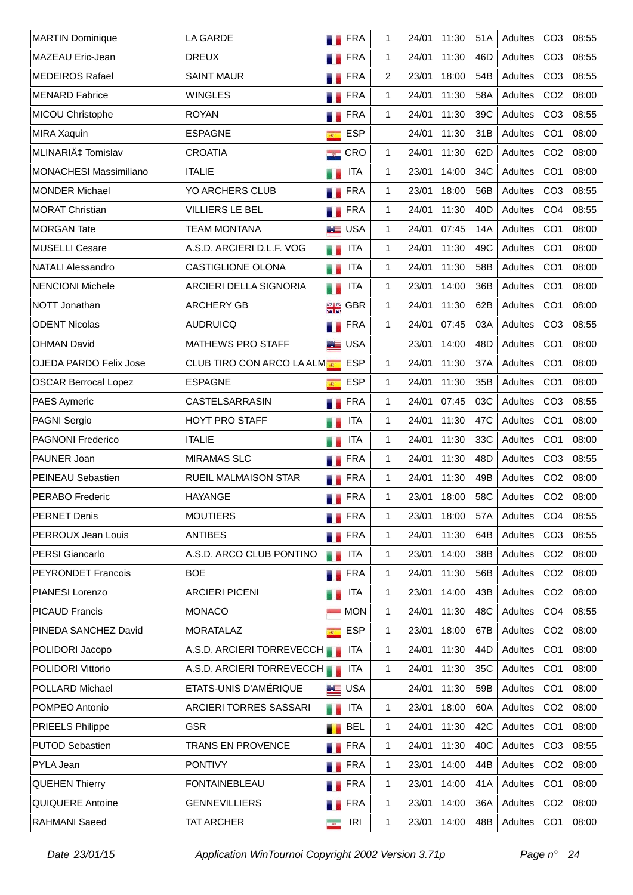| <b>MARTIN Dominique</b>       | LA GARDE                           | <b>FRA</b>                              | 1 | 24/01 | 11:30 | 51A             | Adultes     | CO <sub>3</sub> | 08:55 |
|-------------------------------|------------------------------------|-----------------------------------------|---|-------|-------|-----------------|-------------|-----------------|-------|
| <b>MAZEAU Eric-Jean</b>       | <b>DREUX</b>                       | <b>FRA</b>                              | 1 | 24/01 | 11:30 | 46D             | Adultes     | CO <sub>3</sub> | 08:55 |
| <b>MEDEIROS Rafael</b>        | <b>SAINT MAUR</b>                  | <b>FRA</b>                              | 2 | 23/01 | 18:00 | 54B             | Adultes     | CO <sub>3</sub> | 08:55 |
| <b>MENARD Fabrice</b>         | WINGLES                            | <b>FRA</b>                              | 1 | 24/01 | 11:30 | 58A             | Adultes     | CO <sub>2</sub> | 08:00 |
| MICOU Christophe              | <b>ROYAN</b>                       | <b>FRA</b>                              | 1 | 24/01 | 11:30 | 39C             | Adultes     | CO <sub>3</sub> | 08:55 |
| MIRA Xaquin                   | <b>ESPAGNE</b>                     | <b>ESP</b><br>$\overline{R}$            |   | 24/01 | 11:30 | 31B             | Adultes     | CO <sub>1</sub> | 08:00 |
| MLINARIć Tomislav             | <b>CROATIA</b>                     | $\equiv$ CRO                            | 1 | 24/01 | 11:30 | 62D             | Adultes     | CO <sub>2</sub> | 08:00 |
| <b>MONACHESI Massimiliano</b> | <b>ITALIE</b>                      | <b>ITA</b>                              | 1 | 23/01 | 14:00 | 34C             | Adultes     | CO <sub>1</sub> | 08:00 |
| <b>MONDER Michael</b>         | YO ARCHERS CLUB                    | <b>FRA</b>                              | 1 | 23/01 | 18:00 | 56B             | Adultes     | CO <sub>3</sub> | 08:55 |
| <b>MORAT Christian</b>        | VILLIERS LE BEL                    | <b>FRA</b><br>. .                       | 1 | 24/01 | 11:30 | 40 <sub>D</sub> | Adultes     | CO <sub>4</sub> | 08:55 |
| <b>MORGAN Tate</b>            | <b>TEAM MONTANA</b>                | <b>LE</b> USA                           | 1 | 24/01 | 07:45 | 14A             | Adultes     | CO <sub>1</sub> | 08:00 |
| <b>MUSELLI Cesare</b>         | A.S.D. ARCIERI D.L.F. VOG          | <b>ITA</b><br>N S                       | 1 | 24/01 | 11:30 | 49C             | Adultes     | CO <sub>1</sub> | 08:00 |
| <b>NATALI Alessandro</b>      | <b>CASTIGLIONE OLONA</b>           | <b>ITA</b><br>N S                       | 1 | 24/01 | 11:30 | 58B             | Adultes     | CO <sub>1</sub> | 08:00 |
| <b>NENCIONI Michele</b>       | <b>ARCIERI DELLA SIGNORIA</b>      | <b>ITA</b><br>a p                       | 1 | 23/01 | 14:00 | 36B             | Adultes     | CO <sub>1</sub> | 08:00 |
| <b>NOTT Jonathan</b>          | <b>ARCHERY GB</b>                  | $\frac{1}{2R}$ GBR                      | 1 | 24/01 | 11:30 | 62B             | Adultes     | CO <sub>1</sub> | 08:00 |
| <b>ODENT Nicolas</b>          | <b>AUDRUICQ</b>                    | <b>FRA</b><br>a.                        | 1 | 24/01 | 07:45 | 03A             | Adultes     | CO <sub>3</sub> | 08:55 |
| <b>OHMAN David</b>            | MATHEWS PRO STAFF                  | USA                                     |   | 23/01 | 14:00 | 48D             | Adultes     | CO <sub>1</sub> | 08:00 |
| <b>OJEDA PARDO Felix Jose</b> | <b>CLUB TIRO CON ARCO LA ALMET</b> | <b>ESP</b>                              | 1 | 24/01 | 11:30 | 37A             | Adultes     | CO <sub>1</sub> | 08:00 |
| <b>OSCAR Berrocal Lopez</b>   | <b>ESPAGNE</b>                     | <b>ESP</b><br>$\overline{R^{(0)}}$      | 1 | 24/01 | 11:30 | 35B             | Adultes     | CO <sub>1</sub> | 08:00 |
| <b>PAES Aymeric</b>           | CASTELSARRASIN                     | <b>FRA</b>                              | 1 | 24/01 | 07:45 | 03C             | Adultes     | CO <sub>3</sub> | 08:55 |
| PAGNI Sergio                  | <b>HOYT PRO STAFF</b>              | <b>ITA</b>                              | 1 | 24/01 | 11:30 | 47C             | Adultes     | CO <sub>1</sub> | 08:00 |
| <b>PAGNONI Frederico</b>      | <b>ITALIE</b>                      | <b>ITA</b>                              | 1 | 24/01 | 11:30 | 33C             | Adultes     | CO <sub>1</sub> | 08:00 |
| PAUNER Joan                   | <b>MIRAMAS SLC</b>                 | <b>FRA</b>                              | 1 | 24/01 | 11:30 | 48D             | Adultes     | CO <sub>3</sub> | 08:55 |
| PEINEAU Sebastien             | RUEIL MALMAISON STAR               | FRA<br>۳.                               | 1 | 24/01 | 11:30 | 49B             | Adultes     | CO <sub>2</sub> | 08:00 |
| <b>PERABO Frederic</b>        | <b>HAYANGE</b>                     | <b>FRA</b><br>۰.                        | 1 | 23/01 | 18:00 | 58C             | Adultes CO2 |                 | 08:00 |
| <b>PERNET Denis</b>           | <b>MOUTIERS</b>                    | <b>FRA</b>                              | 1 | 23/01 | 18:00 | 57A             | Adultes     | CO <sub>4</sub> | 08:55 |
| PERROUX Jean Louis            | <b>ANTIBES</b>                     | <b>FRA</b>                              | 1 | 24/01 | 11:30 | 64B             | Adultes     | CO <sub>3</sub> | 08:55 |
| <b>PERSI Giancarlo</b>        | A.S.D. ARCO CLUB PONTINO           | <b>ITA</b><br>H.                        | 1 | 23/01 | 14:00 | 38B             | Adultes     | CO <sub>2</sub> | 08:00 |
| <b>PEYRONDET Francois</b>     | <b>BOE</b>                         | <b>FRA</b><br>a a                       | 1 | 24/01 | 11:30 | 56B             | Adultes     | CO <sub>2</sub> | 08:00 |
| PIANESI Lorenzo               | <b>ARCIERI PICENI</b>              | <b>ITA</b><br>a a                       | 1 | 23/01 | 14:00 | 43B             | Adultes     | CO <sub>2</sub> | 08:00 |
| <b>PICAUD Francis</b>         | <b>MONACO</b>                      | <b>MON</b>                              | 1 | 24/01 | 11:30 | 48C             | Adultes     | CO <sub>4</sub> | 08:55 |
| PINEDA SANCHEZ David          | <b>MORATALAZ</b>                   | <b>ESP</b><br>$\overline{\mathbb{R}^+}$ | 1 | 23/01 | 18:00 | 67B             | Adultes     | CO <sub>2</sub> | 08:00 |
| POLIDORI Jacopo               | A.S.D. ARCIERI TORREVECCH          | ITA                                     | 1 | 24/01 | 11:30 | 44D             | Adultes     | CO <sub>1</sub> | 08:00 |
| <b>POLIDORI Vittorio</b>      | A.S.D. ARCIERI TORREVECCH          | ITA                                     | 1 | 24/01 | 11:30 | 35C             | Adultes     | CO <sub>1</sub> | 08:00 |
| POLLARD Michael               | ETATS-UNIS D'AMÉRIQUE              | <b>LE</b> USA                           |   | 24/01 | 11:30 | 59B             | Adultes     | CO <sub>1</sub> | 08:00 |
| POMPEO Antonio                | ARCIERI TORRES SASSARI             | <b>ITA</b><br>N.                        | 1 | 23/01 | 18:00 | 60A             | Adultes     | CO <sub>2</sub> | 08:00 |
| <b>PRIEELS Philippe</b>       | GSR                                | <b>BEL</b><br>٠.                        | 1 | 24/01 | 11:30 | 42C             | Adultes     | CO <sub>1</sub> | 08:00 |
| <b>PUTOD Sebastien</b>        | <b>TRANS EN PROVENCE</b>           | <b>FRA</b><br>a.                        | 1 | 24/01 | 11:30 | 40C             | Adultes     | CO <sub>3</sub> | 08:55 |
| PYLA Jean                     | <b>PONTIVY</b>                     | FRA<br>a.                               | 1 | 23/01 | 14:00 | 44B             | Adultes     | CO <sub>2</sub> | 08:00 |
| <b>QUEHEN Thierry</b>         | <b>FONTAINEBLEAU</b>               | FRA<br>۳.                               | 1 | 23/01 | 14:00 | 41A             | Adultes     | CO <sub>1</sub> | 08:00 |
| QUIQUERE Antoine              | <b>GENNEVILLIERS</b>               | <b>FRA</b><br>a a                       | 1 | 23/01 | 14:00 | 36A             | Adultes     | CO <sub>2</sub> | 08:00 |
| RAHMANI Saeed                 | TAT ARCHER                         | <b>IRI</b><br>$\overline{\phantom{a}}$  | 1 | 23/01 | 14:00 | 48B             | Adultes CO1 |                 | 08:00 |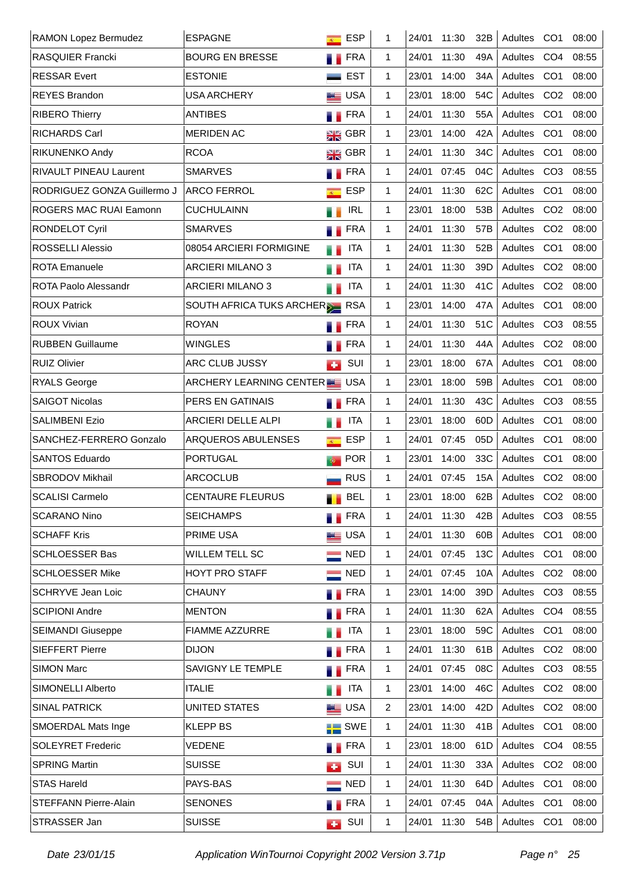| RAMON Lopez Bermudez          | <b>ESPAGNE</b>                 | <b>ESP</b><br>$\overline{R}$ | 1              | 24/01 | 11:30 | 32B             | Adultes     | CO <sub>1</sub> | 08:00 |
|-------------------------------|--------------------------------|------------------------------|----------------|-------|-------|-----------------|-------------|-----------------|-------|
| <b>RASQUIER Francki</b>       | <b>BOURG EN BRESSE</b>         | <b>FRA</b>                   | 1              | 24/01 | 11:30 | 49A             | Adultes     | CO <sub>4</sub> | 08:55 |
| <b>RESSAR Evert</b>           | <b>ESTONIE</b>                 | <b>EST</b>                   | $\mathbf{1}$   | 23/01 | 14:00 | 34A             | Adultes     | CO <sub>1</sub> | 08:00 |
| <b>REYES Brandon</b>          | <b>USA ARCHERY</b>             | <b>LE</b> USA                | $\mathbf{1}$   | 23/01 | 18:00 | 54C             | Adultes     | CO <sub>2</sub> | 08:00 |
| <b>RIBERO Thierry</b>         | <b>ANTIBES</b>                 | <b>Exercise</b>              | $\mathbf{1}$   | 24/01 | 11:30 | 55A             | Adultes     | CO <sub>1</sub> | 08:00 |
| <b>RICHARDS Carl</b>          | <b>MERIDEN AC</b>              | $\frac{1}{2}$ GBR            | $\mathbf{1}$   | 23/01 | 14:00 | 42A             | Adultes     | CO <sub>1</sub> | 08:00 |
| RIKUNENKO Andy                | <b>RCOA</b>                    | $\frac{1}{2}$ GBR            | $\mathbf{1}$   | 24/01 | 11:30 | 34C             | Adultes     | CO <sub>1</sub> | 08:00 |
| <b>RIVAULT PINEAU Laurent</b> | <b>SMARVES</b>                 | <b>Exercise</b>              | $\mathbf{1}$   | 24/01 | 07:45 | 04C             | Adultes     | CO <sub>3</sub> | 08:55 |
| RODRIGUEZ GONZA Guillermo J   | <b>ARCO FERROL</b>             | <b>ESP</b><br>$\overline{R}$ | $\mathbf{1}$   | 24/01 | 11:30 | 62C             | Adultes     | CO <sub>1</sub> | 08:00 |
| ROGERS MAC RUAI Eamonn        | <b>CUCHULAINN</b>              | <b>IRL</b>                   | $\mathbf{1}$   | 23/01 | 18:00 | 53B             | Adultes     | CO <sub>2</sub> | 08:00 |
| <b>RONDELOT Cyril</b>         | <b>SMARVES</b>                 | <b>FRA</b>                   | $\mathbf{1}$   | 24/01 | 11:30 | 57B             | Adultes     | CO <sub>2</sub> | 08:00 |
| <b>ROSSELLI Alessio</b>       | 08054 ARCIERI FORMIGINE        | <b>ITA</b><br>a s            | $\mathbf{1}$   | 24/01 | 11:30 | 52B             | Adultes     | CO <sub>1</sub> | 08:00 |
| <b>ROTA Emanuele</b>          | <b>ARCIERI MILANO 3</b>        | <b>ITA</b>                   | $\mathbf{1}$   | 24/01 | 11:30 | 39D             | Adultes     | CO <sub>2</sub> | 08:00 |
| <b>ROTA Paolo Alessandr</b>   | <b>ARCIERI MILANO 3</b>        | <b>ITA</b>                   | $\mathbf{1}$   | 24/01 | 11:30 | 41C             | Adultes     | CO <sub>2</sub> | 08:00 |
| <b>ROUX Patrick</b>           | SOUTH AFRICA TUKS ARCHERER RSA |                              | $\mathbf{1}$   | 23/01 | 14:00 | 47A             | Adultes     | CO <sub>1</sub> | 08:00 |
| <b>ROUX Vivian</b>            | <b>ROYAN</b>                   | <b>FRA</b>                   | $\mathbf{1}$   | 24/01 | 11:30 | 51C             | Adultes     | CO <sub>3</sub> | 08:55 |
| <b>RUBBEN Guillaume</b>       | <b>WINGLES</b>                 | <b>FRA</b>                   | $\mathbf{1}$   | 24/01 | 11:30 | 44A             | Adultes     | CO <sub>2</sub> | 08:00 |
| <b>RUIZ Olivier</b>           | ARC CLUB JUSSY                 | SUI<br><b>CO</b>             | $\mathbf{1}$   | 23/01 | 18:00 | 67A             | Adultes     | CO <sub>1</sub> | 08:00 |
| <b>RYALS George</b>           | ARCHERY LEARNING CENTER EUSA   |                              | $\mathbf{1}$   | 23/01 | 18:00 | 59B             | Adultes     | CO <sub>1</sub> | 08:00 |
| <b>SAIGOT Nicolas</b>         | PERS EN GATINAIS               | <b>FRA</b>                   | $\mathbf{1}$   | 24/01 | 11:30 | 43C             | Adultes     | CO <sub>3</sub> | 08:55 |
| <b>SALIMBENI Ezio</b>         | ARCIERI DELLE ALPI             | <b>ITA</b><br>a p            | $\mathbf{1}$   | 23/01 | 18:00 | 60 <sub>D</sub> | Adultes     | CO <sub>1</sub> | 08:00 |
| SANCHEZ-FERRERO Gonzalo       | ARQUEROS ABULENSES             | <b>ESP</b><br>$\overline{R}$ | $\mathbf{1}$   | 24/01 | 07:45 | 05D             | Adultes     | CO <sub>1</sub> | 08:00 |
| <b>SANTOS Eduardo</b>         | <b>PORTUGAL</b>                | <b>POR</b>                   | $\mathbf{1}$   | 23/01 | 14:00 | 33C             | Adultes     | CO <sub>1</sub> | 08:00 |
| SBRODOV Mikhail               | <b>ARCOCLUB</b>                | <b>RUS</b>                   | $\mathbf{1}$   | 24/01 | 07:45 | 15A             | Adultes     | CO <sub>2</sub> | 08:00 |
| <b>SCALISI Carmelo</b>        | <b>CENTAURE FLEURUS</b>        | <b>BEL</b>                   | 1              | 23/01 | 18:00 | 62B             | Adultes CO2 |                 | 08:00 |
| <b>SCARANO Nino</b>           | <b>SEICHAMPS</b>               | <b>TERA</b>                  | 1              | 24/01 | 11:30 | 42B             | Adultes CO3 |                 | 08:55 |
| <b>SCHAFF Kris</b>            | PRIME USA                      | <b>LE</b> USA                | 1              | 24/01 | 11:30 | 60B             | Adultes     | CO <sub>1</sub> | 08:00 |
| <b>SCHLOESSER Bas</b>         | WILLEM TELL SC                 | $\equiv$ NED                 | 1              | 24/01 | 07:45 | 13C             | Adultes CO1 |                 | 08:00 |
| <b>SCHLOESSER Mike</b>        | <b>HOYT PRO STAFF</b>          | $\equiv$ NED                 | 1              | 24/01 | 07:45 | 10A             | Adultes     | CO <sub>2</sub> | 08:00 |
| <b>SCHRYVE Jean Loic</b>      | <b>CHAUNY</b>                  | <b>TERA</b>                  | 1              | 23/01 | 14:00 | 39D             | Adultes CO3 |                 | 08:55 |
| <b>SCIPIONI Andre</b>         | <b>MENTON</b>                  | <b>TERA</b>                  | 1              | 24/01 | 11:30 | 62A             | Adultes     | CO <sub>4</sub> | 08:55 |
| <b>SEIMANDI Giuseppe</b>      | FIAMME AZZURRE                 | <b>ITA</b>                   | 1              | 23/01 | 18:00 | 59C             | Adultes CO1 |                 | 08:00 |
| <b>SIEFFERT Pierre</b>        | <b>DIJON</b>                   | <b>FRA</b>                   | 1              | 24/01 | 11:30 | 61B             | Adultes     | CO <sub>2</sub> | 08:00 |
| <b>SIMON Marc</b>             | SAVIGNY LE TEMPLE              | <b>TERA</b>                  | 1              | 24/01 | 07:45 | 08C             | Adultes CO3 |                 | 08:55 |
| SIMONELLI Alberto             | <b>ITALIE</b>                  | ITA                          | 1              | 23/01 | 14:00 | 46C             | Adultes     | CO <sub>2</sub> | 08:00 |
| <b>SINAL PATRICK</b>          | UNITED STATES                  | <b>LE</b> USA                | $\overline{2}$ | 23/01 | 14:00 | 42D             | Adultes     | CO <sub>2</sub> | 08:00 |
| SMOERDAL Mats Inge            | <b>KLEPP BS</b>                | $\blacksquare$ SWE           | 1              | 24/01 | 11:30 | 41B             | Adultes     | CO <sub>1</sub> | 08:00 |
| <b>SOLEYRET Frederic</b>      | VEDENE                         | <b>FRA</b>                   | 1              | 23/01 | 18:00 | 61D             | Adultes     | CO <sub>4</sub> | 08:55 |
| <b>SPRING Martin</b>          | <b>SUISSE</b>                  | SUI<br><b>CO</b>             | 1              | 24/01 | 11:30 | 33A             | Adultes     | CO <sub>2</sub> | 08:00 |
| <b>STAS Hareld</b>            | PAYS-BAS                       | <b>NED</b>                   | 1              | 24/01 | 11:30 | 64D             | Adultes CO1 |                 | 08:00 |
| STEFFANN Pierre-Alain         | <b>SENONES</b>                 | <b>FRA</b>                   | 1              | 24/01 | 07:45 | 04A             | Adultes     | CO <sub>1</sub> | 08:00 |
| STRASSER Jan                  | <b>SUISSE</b>                  | $\Box$ SUI                   | 1              | 24/01 | 11:30 | 54B             | Adultes CO1 |                 | 08:00 |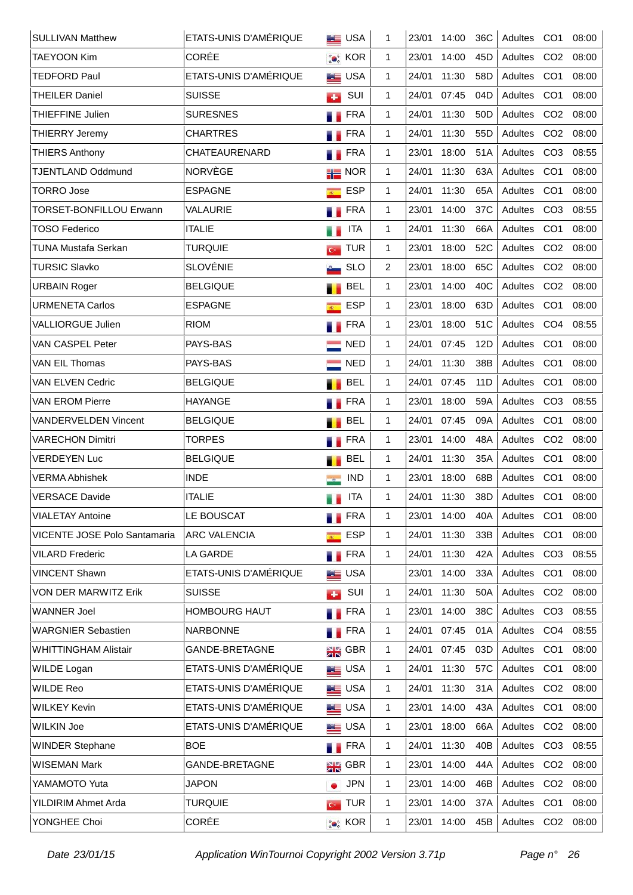| <b>SULLIVAN Matthew</b>             | ETATS-UNIS D'AMÉRIQUE | <b>BEE</b> USA               | 1            | 23/01 | 14:00 | 36C             | Adultes CO1 |                 | 08:00 |
|-------------------------------------|-----------------------|------------------------------|--------------|-------|-------|-----------------|-------------|-----------------|-------|
| <b>TAEYOON Kim</b>                  | CORÉE                 | <b>CON</b> KOR               | $\mathbf{1}$ | 23/01 | 14:00 | 45 <sub>D</sub> | Adultes     | CO <sub>2</sub> | 08:00 |
| <b>TEDFORD Paul</b>                 | ETATS-UNIS D'AMÉRIQUE | <b>ED</b> USA                | $\mathbf{1}$ | 24/01 | 11:30 | 58D             | Adultes CO1 |                 | 08:00 |
| <b>THEILER Daniel</b>               | <b>SUISSE</b>         | SUI<br><b>CO</b>             | $\mathbf{1}$ | 24/01 | 07:45 | 04D             | Adultes     | CO <sub>1</sub> | 08:00 |
| THIEFFINE Julien                    | <b>SURESNES</b>       | <b>EXAMPLE</b>               | $\mathbf{1}$ | 24/01 | 11:30 | 50 <sub>D</sub> | Adultes     | CO <sub>2</sub> | 08:00 |
| <b>THIERRY Jeremy</b>               | <b>CHARTRES</b>       | FRA<br>a.                    | $\mathbf{1}$ | 24/01 | 11:30 | 55 <sub>D</sub> | Adultes     | CO <sub>2</sub> | 08:00 |
| <b>THIERS Anthony</b>               | CHATEAURENARD         | FRA                          | $\mathbf{1}$ | 23/01 | 18:00 | 51A             | Adultes     | CO <sub>3</sub> | 08:55 |
| <b>TJENTLAND Oddmund</b>            | NORVÈGE               | $\frac{1}{10}$ NOR           | $\mathbf{1}$ | 24/01 | 11:30 | 63A             | Adultes     | CO <sub>1</sub> | 08:00 |
| <b>TORRO Jose</b>                   | <b>ESPAGNE</b>        | <b>ESP</b><br>$\overline{R}$ | $\mathbf{1}$ | 24/01 | 11:30 | 65A             | Adultes     | CO <sub>1</sub> | 08:00 |
| <b>TORSET-BONFILLOU Erwann</b>      | VALAURIE              | <b>FRA</b><br>. .            | 1            | 23/01 | 14:00 | 37C             | Adultes     | CO <sub>3</sub> | 08:55 |
| <b>TOSO Federico</b>                | <b>ITALIE</b>         | <b>ITA</b>                   | $\mathbf{1}$ | 24/01 | 11:30 | 66A             | Adultes     | CO <sub>1</sub> | 08:00 |
| <b>TUNA Mustafa Serkan</b>          | <b>TURQUIE</b>        | <b>TUR</b><br>$G^{\pm}$      | $\mathbf{1}$ | 23/01 | 18:00 | 52C             | Adultes     | CO <sub>2</sub> | 08:00 |
| <b>TURSIC Slavko</b>                | <b>SLOVÉNIE</b>       | <b>SLO</b>                   | 2            | 23/01 | 18:00 | 65C             | Adultes     | CO <sub>2</sub> | 08:00 |
| <b>URBAIN Roger</b>                 | <b>BELGIQUE</b>       | <b>BEL</b>                   | $\mathbf{1}$ | 23/01 | 14:00 | 40C             | Adultes     | CO <sub>2</sub> | 08:00 |
| <b>URMENETA Carlos</b>              | <b>ESPAGNE</b>        | <b>ESP</b><br>$\overline{R}$ | $\mathbf{1}$ | 23/01 | 18:00 | 63D             | Adultes     | CO <sub>1</sub> | 08:00 |
| <b>VALLIORGUE Julien</b>            | <b>RIOM</b>           | <b>FRA</b>                   | $\mathbf{1}$ | 23/01 | 18:00 | 51C             | Adultes     | CO <sub>4</sub> | 08:55 |
| VAN CASPEL Peter                    | PAYS-BAS              | <b>NED</b>                   | $\mathbf{1}$ | 24/01 | 07:45 | 12D             | Adultes     | CO <sub>1</sub> | 08:00 |
| <b>VAN EIL Thomas</b>               | PAYS-BAS              | <b>NED</b>                   | 1            | 24/01 | 11:30 | 38B             | Adultes     | CO <sub>1</sub> | 08:00 |
| VAN ELVEN Cedric                    | <b>BELGIQUE</b>       | <b>BEL</b>                   | $\mathbf{1}$ | 24/01 | 07:45 | 11D             | Adultes     | CO <sub>1</sub> | 08:00 |
| <b>VAN EROM Pierre</b>              | <b>HAYANGE</b>        | <b>FRA</b>                   | $\mathbf{1}$ | 23/01 | 18:00 | 59A             | Adultes     | CO <sub>3</sub> | 08:55 |
| <b>VANDERVELDEN Vincent</b>         | <b>BELGIQUE</b>       | <b>BEL</b>                   | $\mathbf{1}$ | 24/01 | 07:45 | 09A             | Adultes     | CO <sub>1</sub> | 08:00 |
| <b>VARECHON Dimitri</b>             | <b>TORPES</b>         | <b>FRA</b>                   | $\mathbf{1}$ | 23/01 | 14:00 | 48A             | Adultes     | CO <sub>2</sub> | 08:00 |
| <b>VERDEYEN Luc</b>                 | <b>BELGIQUE</b>       | <b>BEL</b>                   | $\mathbf{1}$ | 24/01 | 11:30 | 35A             | Adultes     | CO <sub>1</sub> | 08:00 |
| <b>VERMA Abhishek</b>               | <b>INDE</b>           | <b>IND</b><br>$\rightarrow$  | $\mathbf{1}$ | 23/01 | 18:00 | 68B             | Adultes     | CO <sub>1</sub> | 08:00 |
| <b>VERSACE Davide</b>               | <b>ITALIE</b>         | <b>ITA</b><br>и.             | 1            | 24/01 | 11:30 | 38D             | Adultes CO1 |                 | 08:00 |
| <b>VIALETAY Antoine</b>             | LE BOUSCAT            | <b>N</b> FRA                 | 1            | 23/01 | 14:00 | 40A             | Adultes CO1 |                 | 08:00 |
| <b>VICENTE JOSE Polo Santamaria</b> | <b>ARC VALENCIA</b>   | <b>ESP</b><br>$\overline{R}$ | $\mathbf{1}$ | 24/01 | 11:30 | 33B             | Adultes     | CO <sub>1</sub> | 08:00 |
| <b>VILARD Frederic</b>              | LA GARDE              | <b>FRA</b>                   | $\mathbf{1}$ | 24/01 | 11:30 | 42A             | Adultes CO3 |                 | 08:55 |
| <b>VINCENT Shawn</b>                | ETATS-UNIS D'AMÉRIQUE | <b>LE</b> USA                |              | 23/01 | 14:00 | 33A             | Adultes     | CO <sub>1</sub> | 08:00 |
| <b>VON DER MARWITZ Erik</b>         | <b>SUISSE</b>         | SUI<br><b>CO</b>             | 1            | 24/01 | 11:30 | 50A             | Adultes     | CO <sub>2</sub> | 08:00 |
| <b>WANNER Joel</b>                  | <b>HOMBOURG HAUT</b>  | <b>FRA</b>                   | $\mathbf{1}$ | 23/01 | 14:00 | 38C             | Adultes     | CO <sub>3</sub> | 08:55 |
| <b>WARGNIER Sebastien</b>           | <b>NARBONNE</b>       | <b>N</b> FRA                 | $\mathbf{1}$ | 24/01 | 07:45 | 01A             | Adultes     | CO <sub>4</sub> | 08:55 |
| <b>WHITTINGHAM Alistair</b>         | GANDE-BRETAGNE        | $\frac{N}{2N}$ GBR           | $\mathbf{1}$ | 24/01 | 07:45 | 03D             | Adultes     | CO <sub>1</sub> | 08:00 |
| <b>WILDE Logan</b>                  | ETATS-UNIS D'AMÉRIQUE | <b>LE</b> USA                | $\mathbf{1}$ | 24/01 | 11:30 | 57C             | Adultes     | CO <sub>1</sub> | 08:00 |
| <b>WILDE Reo</b>                    | ETATS-UNIS D'AMÉRIQUE | <b>LE</b> USA                | $\mathbf{1}$ | 24/01 | 11:30 | 31A             | Adultes     | CO <sub>2</sub> | 08:00 |
| <b>WILKEY Kevin</b>                 | ETATS-UNIS D'AMÉRIQUE | <b>LE</b> USA                | 1            | 23/01 | 14:00 | 43A             | Adultes     | CO <sub>1</sub> | 08:00 |
| <b>WILKIN Joe</b>                   | ETATS-UNIS D'AMÉRIQUE | <b>LE</b> USA                | $\mathbf{1}$ | 23/01 | 18:00 | 66A             | Adultes     | CO <sub>2</sub> | 08:00 |
| <b>WINDER Stephane</b>              | <b>BOE</b>            | <b>FRA</b>                   | $\mathbf{1}$ | 24/01 | 11:30 | 40B             | Adultes     | CO <sub>3</sub> | 08:55 |
| <b>WISEMAN Mark</b>                 | GANDE-BRETAGNE        | $\frac{N}{2N}$ GBR           | $\mathbf{1}$ | 23/01 | 14:00 | 44A             | Adultes     | CO <sub>2</sub> | 08:00 |
| YAMAMOTO Yuta                       | <b>JAPON</b>          | <b>JPN</b>                   | $\mathbf{1}$ | 23/01 | 14:00 | 46B             | Adultes     | CO <sub>2</sub> | 08:00 |
| YILDIRIM Ahmet Arda                 | <b>TURQUIE</b>        | $\sim$ TUR                   | $\mathbf{1}$ | 23/01 | 14:00 | 37A             | Adultes     | CO <sub>1</sub> | 08:00 |
| YONGHEE Choi                        | CORÉE                 | <b>O</b> KOR                 | 1            | 23/01 | 14:00 | 45B             | Adultes CO2 |                 | 08:00 |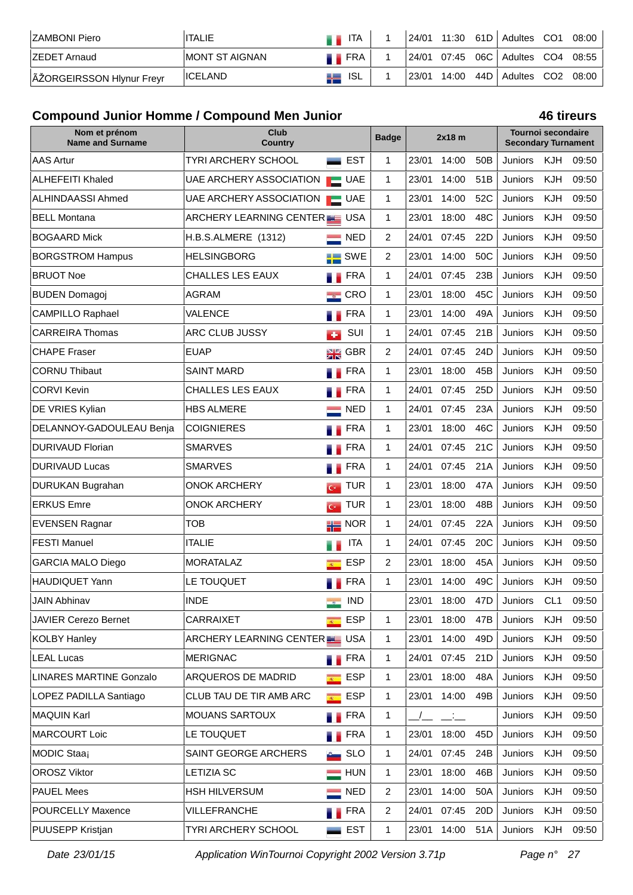| <b>ZAMBONI Piero</b>      | <b>ITALIE</b>   | <b>ITA</b>     |  |             | 24/01 11:30 61D   Adultes CO1 08:00 |  |
|---------------------------|-----------------|----------------|--|-------------|-------------------------------------|--|
| <b>IZEDET Arnaud</b>      | IMONT ST AIGNAN | <b>THE FRA</b> |  |             | 24/01 07:45 06C Adultes CO4 08:55   |  |
| ÃŽORGEIRSSON Hlynur Freyr | <b>IICELAND</b> | ISL.<br>42     |  | 23/01 14:00 | 44D   Adultes CO2 08:00             |  |

# **Compound Junior Homme / Compound Men Junior 46 tireurs**

| Nom et prénom<br><b>Name and Surname</b> | Club<br>Country             |                                       | <b>Badge</b>   | $2x18$ m |             | <b>Tournoi secondaire</b><br><b>Secondary Turnament</b> |                |            |       |
|------------------------------------------|-----------------------------|---------------------------------------|----------------|----------|-------------|---------------------------------------------------------|----------------|------------|-------|
| <b>AAS Artur</b>                         | <b>TYRI ARCHERY SCHOOL</b>  | <b>EST</b><br><b>State of Con-</b>    | 1              | 23/01    | 14:00       | 50 <sub>B</sub>                                         | Juniors        | KJH        | 09:50 |
| <b>ALHEFEITI Khaled</b>                  | UAE ARCHERY ASSOCIATION     | <b>UAE</b>                            | 1              | 23/01    | 14:00       | 51B                                                     | <b>Juniors</b> | KJH        | 09:50 |
| ALHINDAASSI Ahmed                        | UAE ARCHERY ASSOCIATION     | $\Box$ UAE                            | 1              | 23/01    | 14:00       | 52C                                                     | Juniors        | KJH        | 09:50 |
| <b>BELL Montana</b>                      | ARCHERY LEARNING CENTER USA |                                       | 1              | 23/01    | 18:00       | 48C                                                     | Juniors        | <b>KJH</b> | 09:50 |
| <b>BOGAARD Mick</b>                      | H.B.S.ALMERE (1312)         | <b>NED</b>                            | $\overline{2}$ | 24/01    | 07:45       | 22D                                                     | Juniors        | KJH        | 09:50 |
| <b>BORGSTROM Hampus</b>                  | <b>HELSINGBORG</b>          | SWE<br>۵E                             | $\overline{2}$ | 23/01    | 14:00       | 50C                                                     | Juniors        | KJH        | 09:50 |
| <b>BRUOT Noe</b>                         | CHALLES LES EAUX            | <b>FRA</b><br>6 P                     | $\mathbf{1}$   | 24/01    | 07:45       | 23B                                                     | Juniors        | KJH        | 09:50 |
| <b>BUDEN Domagoj</b>                     | <b>AGRAM</b>                | CRO<br>$\sim$                         | $\mathbf{1}$   | 23/01    | 18:00       | 45C                                                     | Juniors        | KJH        | 09:50 |
| <b>CAMPILLO Raphael</b>                  | VALENCE                     | <b>FRA</b>                            | 1              | 23/01    | 14:00       | 49A                                                     | Juniors        | KJH        | 09:50 |
| <b>CARREIRA Thomas</b>                   | ARC CLUB JUSSY              | SUI<br>÷                              | 1              | 24/01    | 07:45       | 21B                                                     | Juniors        | KJH        | 09:50 |
| <b>CHAPE Fraser</b>                      | <b>EUAP</b>                 | N V<br>Z R<br><b>GBR</b>              | 2              | 24/01    | 07:45       | 24D                                                     | Juniors        | KJH        | 09:50 |
| <b>CORNU Thibaut</b>                     | <b>SAINT MARD</b>           | <b>FRA</b>                            | 1              | 23/01    | 18:00       | 45B                                                     | Juniors        | KJH        | 09:50 |
| <b>CORVI Kevin</b>                       | <b>CHALLES LES EAUX</b>     | <b>FRA</b>                            | 1              | 24/01    | 07:45       | 25D                                                     | Juniors        | KJH        | 09:50 |
| DE VRIES Kylian                          | <b>HBS ALMERE</b>           | <b>NED</b>                            | $\mathbf{1}$   | 24/01    | 07:45       | 23A                                                     | <b>Juniors</b> | KJH        | 09:50 |
| DELANNOY-GADOULEAU Benja                 | <b>COIGNIERES</b>           | <b>FRA</b>                            | $\mathbf{1}$   | 23/01    | 18:00       | 46C                                                     | Juniors        | KJH        | 09:50 |
| <b>DURIVAUD Florian</b>                  | <b>SMARVES</b>              | <b>FRA</b>                            | 1              | 24/01    | 07:45       | 21C                                                     | Juniors        | <b>KJH</b> | 09:50 |
| <b>DURIVAUD Lucas</b>                    | <b>SMARVES</b>              | <b>FRA</b>                            | 1              | 24/01    | 07:45       | 21A                                                     | Juniors        | KJH        | 09:50 |
| DURUKAN Bugrahan                         | <b>ONOK ARCHERY</b>         | <b>TUR</b><br>$G^{\pm}$               | 1              | 23/01    | 18:00       | 47A                                                     | Juniors        | <b>KJH</b> | 09:50 |
| <b>ERKUS Emre</b>                        | <b>ONOK ARCHERY</b>         | <b>TUR</b><br>$\overline{G}$          | 1              | 23/01    | 18:00       | 48B                                                     | Juniors        | <b>KJH</b> | 09:50 |
| <b>EVENSEN Ragnar</b>                    | <b>TOB</b>                  | $\frac{1}{10}$ NOR                    | 1              | 24/01    | 07:45       | 22A                                                     | Juniors        | KJH        | 09:50 |
| <b>FESTI Manuel</b>                      | <b>ITALIE</b>               | <b>ITA</b>                            | 1              | 24/01    | 07:45       | 20C                                                     | Juniors        | <b>KJH</b> | 09:50 |
| <b>GARCIA MALO Diego</b>                 | <b>MORATALAZ</b>            | <b>ESP</b><br>$\overline{\mathbf{R}}$ | 2              | 23/01    | 18:00       | 45A                                                     | Juniors        | KJH        | 09:50 |
| <b>HAUDIQUET Yann</b>                    | LE TOUQUET                  | <b>FRA</b>                            | 1              | 23/01    | 14:00       | 49C                                                     | Juniors        | KJH        | 09:50 |
| <b>JAIN Abhinav</b>                      | <b>INDE</b>                 | <b>IND</b><br>$\rightarrow$           |                |          | 23/01 18:00 | 47D                                                     | Juniors CL1    |            | 09:50 |
| <b>JAVIER Cerezo Bernet</b>              | CARRAIXET                   | <b>ESP</b><br>$\overline{R}$          | $\mathbf{1}$   | 23/01    | 18:00       | 47B                                                     | Juniors        | <b>KJH</b> | 09:50 |
| <b>KOLBY Hanley</b>                      | ARCHERY LEARNING CENTER USA |                                       | 1              | 23/01    | 14:00       | 49D                                                     | Juniors        | KJH        | 09:50 |
| <b>LEAL Lucas</b>                        | <b>MERIGNAC</b>             | <b>TERA</b>                           | $\mathbf{1}$   | 24/01    | 07:45       | 21D                                                     | <b>Juniors</b> | KJH        | 09:50 |
| <b>LINARES MARTINE Gonzalo</b>           | ARQUEROS DE MADRID          | <b>ESP</b><br>$\overline{R}$          | 1              | 23/01    | 18:00       | 48A                                                     | Juniors        | KJH        | 09:50 |
| LOPEZ PADILLA Santiago                   | CLUB TAU DE TIR AMB ARC     | <b>ESP</b><br>$R^+$                   | $\mathbf{1}$   | 23/01    | 14:00       | 49B                                                     | Juniors        | <b>KJH</b> | 09:50 |
| <b>MAQUIN Karl</b>                       | MOUANS SARTOUX              | <b>FRA</b>                            | 1              |          | $\Box$      |                                                         | Juniors        | KJH        | 09:50 |
| <b>MARCOURT Loic</b>                     | LE TOUQUET                  | <b>FRA</b>                            | $\mathbf{1}$   | 23/01    | 18:00       | 45 <sub>D</sub>                                         | Juniors        | KJH        | 09:50 |
| MODIC Staaj                              | SAINT GEORGE ARCHERS        | <b>SLO</b>                            | $\mathbf{1}$   | 24/01    | 07:45       | 24B                                                     | Juniors        | KJH        | 09:50 |
| <b>OROSZ Viktor</b>                      | <b>LETIZIA SC</b>           | <b>HUN</b>                            | $\mathbf{1}$   | 23/01    | 18:00       | 46B                                                     | Juniors        | KJH        | 09:50 |
| <b>PAUEL Mees</b>                        | <b>HSH HILVERSUM</b>        | <b>NED</b>                            | 2              | 23/01    | 14:00       | 50A                                                     | Juniors        | KJH        | 09:50 |
| <b>POURCELLY Maxence</b>                 | VILLEFRANCHE                | <b>TERA</b>                           | 2              | 24/01    | 07:45       | 20 <sub>D</sub>                                         | Juniors        | KJH        | 09:50 |
| PUUSEPP Kristjan                         | TYRI ARCHERY SCHOOL         | <b>EST</b>                            | $\mathbf{1}$   | 23/01    | 14:00       | 51A                                                     | Juniors        | <b>KJH</b> | 09:50 |